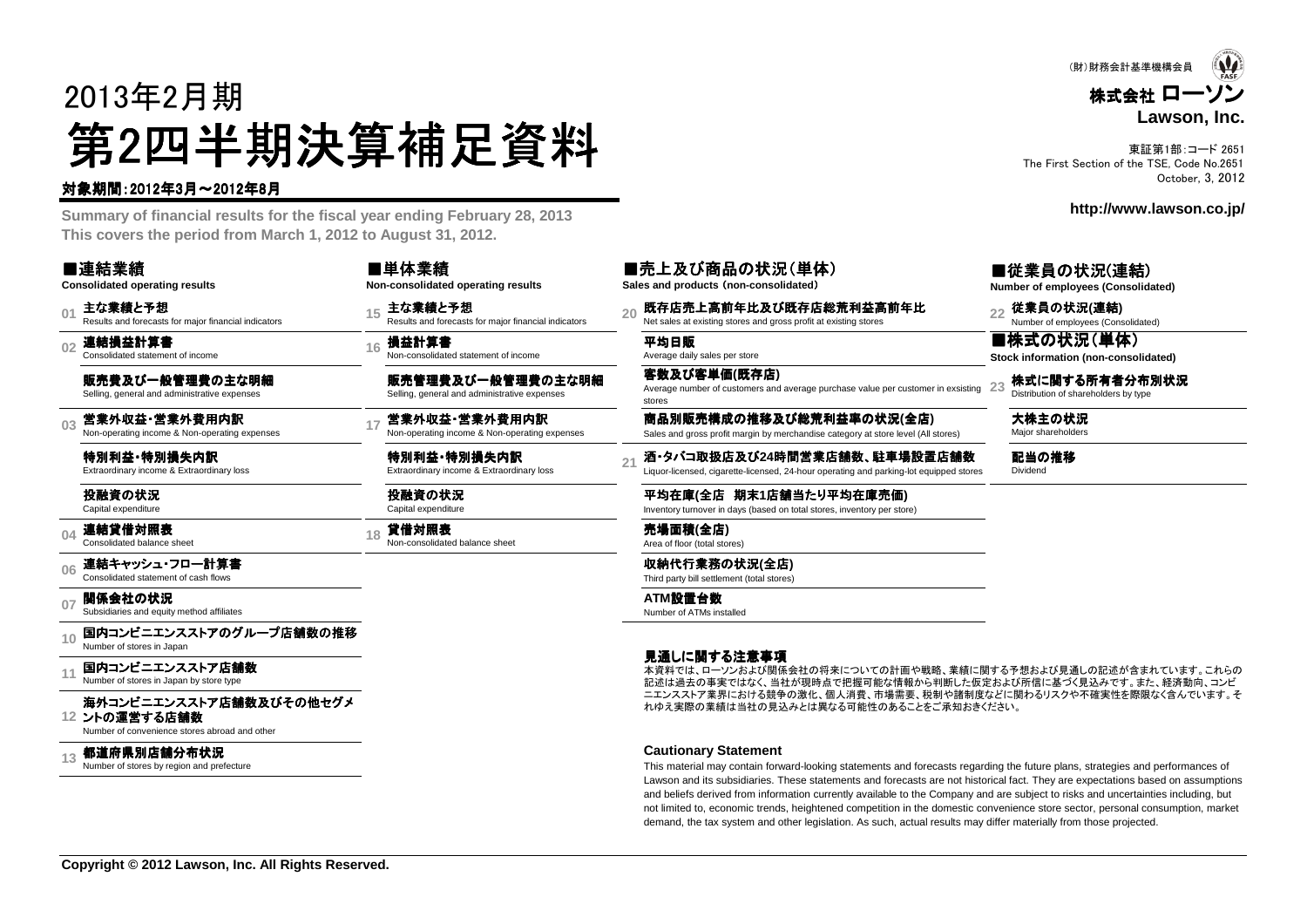# 2013年2月期第2四半期決算補足資料<br><del>"卿恩"</del>

#### 対象期間:2012年3月~2012年8月

 **Summary of financial results for the fiscal year ending February 28, 2013This covers the period from March 1, 2012 to August 31, 2012.**

#### ■連結業績

**Consolidated operating results**

**01**主な業績と予想<br>Results and forecasts for maior financial indicators

**02**連結損益計算書 Consolidated statement of income

販売費及び一般管理費の主な明細Selling, general and administrative expenses

**03**営業外収益・営業外費用内訳<br>Non-operating income & Non-operating expenses

特別利益 •特別損失内訳<br><sub>Extraordinary income & Extraordin</sub> Extraordinary income & Extraordinary loss

#### 投融資の状況Capital expenditure

**04**連結貸借対照表 Consolidated balance sheet

**06**連結キャッシュ・フロー計算書<br>Consolidated statement of cash flows

**07関係会社の状況**<br>Subsidiaries and equity method affiliates

**10**国内コンビニエンスストアのグループ店舗数の推移<br>Number of stores in Japan

**11**国内コンビニエンスストア店舗数<br>Number of stores in Japan by store type

#### **12**ントの運営する店舗数海外コンビニエンスストア店舗数及びその他セグメ<br><sub>ントの</sub>演営する店舗数

Number of convenience stores abroad and other

**13**都道府県別店舗分布状況<br>Number of stores by region and prefecture

■単体業績**Non-consolidated operating results**

**<sup>16</sup>** 損益計算書 Non-consolidated statement of income 平均日販 Average daily sales per store

販売管理費及び一般管理費の主な明細Selling, general and administrative expenses

特別利益・特別損失内訳<br><sub>Extraordinary income & Extraordin</sub> Extraordinary income & Extraordinary loss

投融資の状況Capital expenditure

t the conselidat **of the conselidated balance sheet for the conselidated balance sheet conselidated balance sheet<br>Area of floor (total stores) Area of floor (total stores)** 

**Sales and products** (**non-consolidated**)

■売上及び商品の状況(単体)

15 主な業績と予想 <sub>20</sub> Eta - 20 既存店売上高前年比及び既存店総荒利益高前年比<br>Results and forecasts for major financial indicators 20 Net sales at existing stores and gross profit at existing stores and gross profit at existing stores

客数及び客単価**(**既存店**)** Average number of customers and average purchase value per customer in exsistingstores**23**

17 営業外収益・営業外費用内訳 Sales and **別販売構成の推移及び総荒利益率の状況(全店) Sales Sales and gross profit margin by merchandise category at store level (All stores) Sales hareholders Sales and gross profit margin by merchandise category** 

酒・タバコ取扱店及び24時間営業店舗数、駐車場設置店舗数<br>Liquor-licensed, cigarette-licensed, 24-hour operating and parking-lot equipped stores

平均在庫(全店 期末1店舗当たり平均在庫売価)<br>Inventory turnover in days (based on total stores\_inventory.per.stor Inventory turnover in days (based on total stores, inventory per store)

収納代行業務の状況**(**全店**)** Third party bill settlement (total stores)

**ATM**設置台数 Number of ATMs installed

#### 見通しに関する注意事項

 記述は過去の事実ではなく、当社が現時点で把握可能な情報から判断した仮定および所信に基づく見込みです。また、経済動向、コンビ本資料では、ローソンおよび関係会社の将来についての計画や戦略、業績に関する予想および見通しの記述が含まれています。これらの ニエンスストア業界における競争の激化、個人消費、市場需要、税制や諸制度などに関わるリスクや不確実性を際限なく含んでいます。それゆえ実際の業績は当社の見込みとは異なる可能性のあることをご承知おきください。

#### **Cautionary Statement**

This material may contain forward-looking statements and forecasts regarding the future plans, strategies and performances of Lawson and its subsidiaries. These statements and forecasts are not historical fact. They are expectations based on assumptionsand beliefs derived from information currently available to the Company and are subject to risks and uncertainties including, but not limited to, economic trends, heightened competition in the domestic convenience store sector, personal consumption, marketdemand, the tax system and other legislation. As such, actual results may differ materially from those projected.

東証第1部:コード 2651The First Section of the TSE, Code No.2651

October, 3, 2012

**http://www.lawson.co.jp/**

#### ■従業員の状況(連結)

**Number of employees (Consolidated)**

■株式の状況(単体) **Stock information (non-consolidated)**

株式に関する所有者分布別状況<br>Distribution of shareholders by type

配当の推移 Dividend

株式会社 ローソン **Lawson, Inc.**(財)財務会計基準機構会員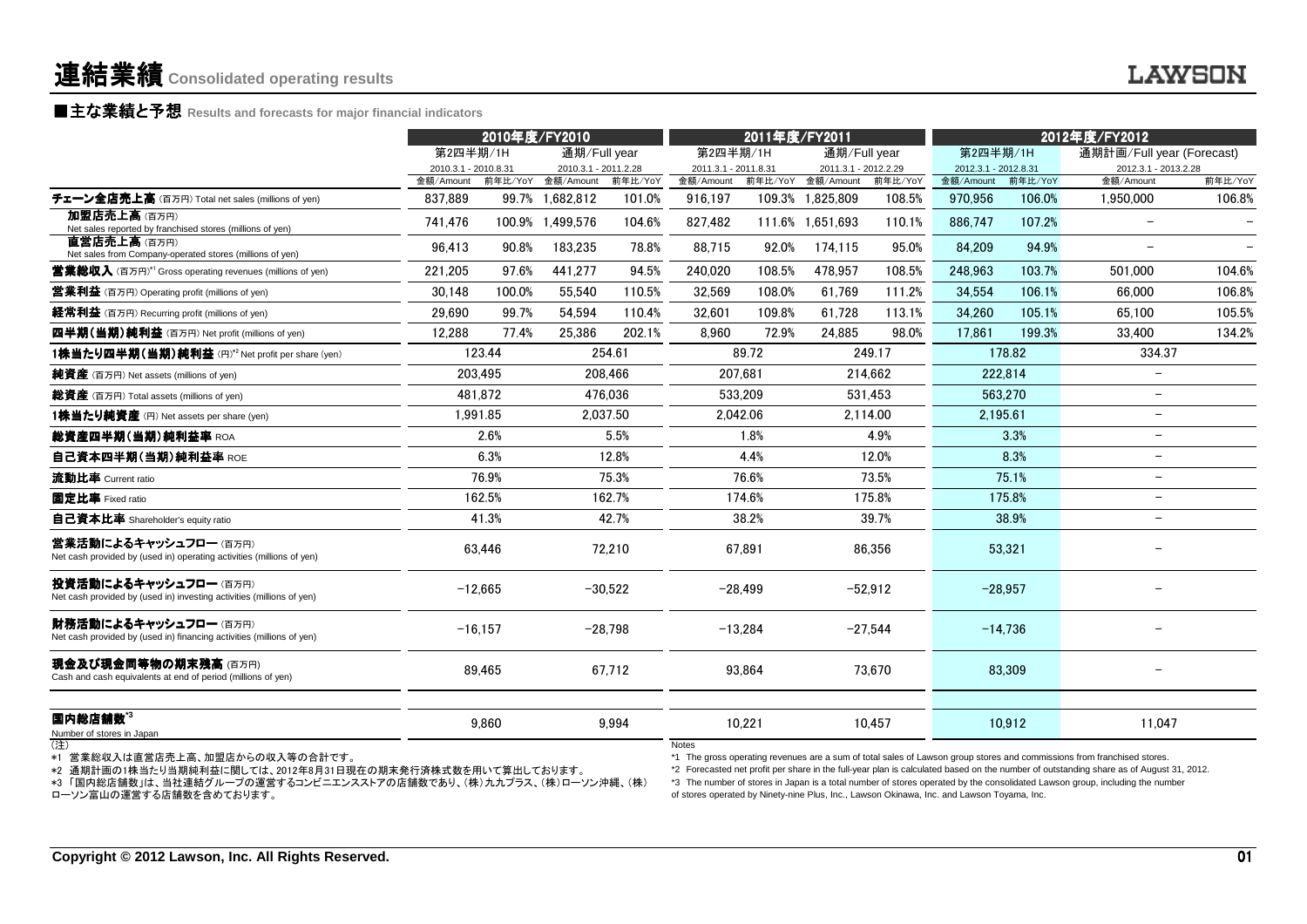### ■主な業績と予想 **Results and forecasts for major financial indicators**

|                                                                                               | 2010年度/FY2010        |                                              |                        | 2011年度/FY2011                                |                      |                      | 2012年度/FY2012                 |                      |                      |                   |                           |                   |
|-----------------------------------------------------------------------------------------------|----------------------|----------------------------------------------|------------------------|----------------------------------------------|----------------------|----------------------|-------------------------------|----------------------|----------------------|-------------------|---------------------------|-------------------|
|                                                                                               | 第2四半期/1H             |                                              | 通期/Full year           |                                              | 第2四半期/1H             |                      | 通期/Full year                  |                      | 第2四半期/1H             |                   | 通期計画/Full year (Forecast) |                   |
|                                                                                               |                      | 2010.3.1 - 2011.2.28<br>2010.3.1 - 2010.8.31 |                        | 2011.3.1 - 2011.8.31<br>2011.3.1 - 2012.2.29 |                      | 2012.3.1 - 2012.8.31 |                               | 2012.3.1 - 2013.2.28 |                      |                   |                           |                   |
| チェーン全店売上高 (百万円) Total net sales (millions of yen)                                             | 金額/Amount<br>837,889 | 前年比/YoY<br>99.7%                             | 金額/Amount<br>1,682,812 | 前年比/YoY<br>101.0%                            | 金額/Amount<br>916,197 | 前年比/YoY              | 金額/Amount<br>109.3% 1,825,809 | 前年比/YoY<br>108.5%    | 金額/Amount<br>970,956 | 前年比/YoY<br>106.0% | 金額/Amount<br>1,950,000    | 前年比/YoY<br>106.8% |
| 加盟店売上高(百万円)<br>Net sales reported by franchised stores (millions of yen)                      | 741.476              | 100.9%                                       | 1.499.576              | 104.6%                                       | 827.482              |                      | 111.6% 1.651.693              | 110.1%               | 886.747              | 107.2%            | $\overline{\phantom{a}}$  |                   |
| 直営店売上高(百万円)<br>Net sales from Company-operated stores (millions of yen)                       | 96.413               | 90.8%                                        | 183.235                | 78.8%                                        | 88.715               | 92.0%                | 174.115                       | 95.0%                | 84.209               | 94.9%             | $\overline{\phantom{0}}$  |                   |
| <b>営業総収入</b> (百万円) <sup>*1</sup> Gross operating revenues (millions of yen)                   | 221,205              | 97.6%                                        | 441.277                | 94.5%                                        | 240.020              | 108.5%               | 478.957                       | 108.5%               | 248,963              | 103.7%            | 501.000                   | 104.6%            |
| <b>営業利益</b> (百万円) Operating profit (millions of yen)                                          | 30.148               | 100.0%                                       | 55.540                 | 110.5%                                       | 32.569               | 108.0%               | 61.769                        | 111.2%               | 34.554               | 106.1%            | 66,000                    | 106.8%            |
| 経常利益 (百万円) Recurring profit (millions of yen)                                                 | 29,690               | 99.7%                                        | 54.594                 | 110.4%                                       | 32,601               | 109.8%               | 61.728                        | 113.1%               | 34,260               | 105.1%            | 65.100                    | 105.5%            |
| 四半期(当期)純利益 (百万円) Net profit (millions of yen)                                                 | 12.288               | 77.4%                                        | 25.386                 | 202.1%                                       | 8.960                | 72.9%                | 24.885                        | 98.0%                | 17.861               | 199.3%            | 33,400                    | 134.2%            |
| 1株当たり四半期 (当期) 純利益 (円)*2 Net profit per share (yen)                                            |                      | 123.44                                       |                        | 254.61                                       |                      | 89.72                |                               | 249.17               |                      | 178.82            | 334.37                    |                   |
| 純資産 (百万円) Net assets (millions of yen)                                                        |                      | 203,495                                      |                        | 208.466                                      |                      | 207.681              |                               | 214,662              |                      | 222,814           | $\overline{\phantom{m}}$  |                   |
| 総資産 (百万円) Total assets (millions of yen)                                                      |                      | 481.872                                      |                        | 476.036                                      |                      | 533.209              |                               | 531.453              |                      | 563,270           | $\overline{\phantom{m}}$  |                   |
| 1株当たり純資産 (円) Net assets per share (yen)                                                       |                      | 1,991.85                                     | 2,037.50               |                                              |                      | 2,042.06             | 2,114.00                      |                      |                      | 2,195.61          | $\overline{\phantom{0}}$  |                   |
| 総資産四半期(当期)純利益率 ROA                                                                            |                      | 2.6%                                         |                        | 5.5%                                         |                      | 1.8%                 |                               | 4.9%                 |                      | 3.3%              | $\overline{\phantom{m}}$  |                   |
| 自己資本四半期(当期)純利益率 ROE                                                                           |                      | 6.3%                                         |                        | 12.8%                                        |                      | 4.4%                 |                               | 12.0%                |                      | 8.3%              | $\overline{\phantom{m}}$  |                   |
| 流動比率 Current ratio                                                                            |                      | 76.9%                                        |                        | 75.3%                                        |                      | 76.6%                |                               | 73.5%                |                      | 75.1%             | $\overline{\phantom{m}}$  |                   |
| 固定比率 Fixed ratio                                                                              |                      | 162.5%                                       |                        | 162.7%                                       |                      | 174.6%               |                               | 175.8%               |                      | 175.8%            | $\overline{\phantom{m}}$  |                   |
| 自己資本比率 Shareholder's equity ratio                                                             |                      | 41.3%                                        |                        | 42.7%                                        |                      | 38.2%                |                               | 39.7%                |                      | 38.9%             | $\overline{\phantom{a}}$  |                   |
| 営業活動によるキャッシュフロー(百万円)<br>Net cash provided by (used in) operating activities (millions of yen) |                      | 63,446                                       |                        | 72,210                                       |                      | 67,891               |                               | 86,356               |                      | 53,321            |                           |                   |
| 投資活動によるキャッシュフロー(百万円)<br>Net cash provided by (used in) investing activities (millions of yen) |                      | $-12.665$                                    |                        | $-30,522$                                    |                      | $-28,499$            |                               | $-52,912$            |                      | $-28,957$         |                           |                   |
| 財務活動によるキャッシュフロー(百万円)<br>Net cash provided by (used in) financing activities (millions of yen) |                      | $-16.157$                                    |                        | $-28,798$                                    |                      | $-13,284$            |                               | $-27.544$            |                      | $-14.736$         |                           |                   |
| 現金及び現金同等物の期末残高 (百万円)<br>Cash and cash equivalents at end of period (millions of yen)          |                      | 89,465                                       |                        | 67,712                                       |                      | 93,864               |                               | 73,670               |                      | 83,309            |                           |                   |
|                                                                                               |                      |                                              |                        |                                              |                      |                      |                               |                      |                      |                   |                           |                   |
| 国内総店舗数 <sup>*3</sup><br>Number of stores in Japan                                             |                      | 9,860                                        |                        | 9,994                                        |                      | 10,221               |                               | 10.457               |                      | 10,912            | 11,047                    |                   |

(注)

\*1 営業総収入は直営店売上高、加盟店からの収入等の合計です。

\*2 通期計画の1株当たり当期純利益に関しては、2012年8月31日現在の期末発行済株式数を用いて算出しております。

\*3 「国内総店舗数」は、当社連結グループの運営するコンビニエンスストアの店舗数であり、(株)九九プラス、(株)ローソン沖縄、(株)

ローソン富山の運営する店舗数を含めております。

Notes

\*1 The gross operating revenues are a sum of total sales of Lawson group stores and commissions from franchised stores.

\*2 Forecasted net profit per share in the full-year plan is calculated based on the number of outstanding share as of August 31, 2012. \*3 The number of stores in Japan is a total number of stores operated by the consolidated Lawson group, including the number

of stores operated by Ninety-nine Plus, Inc., Lawson Okinawa, Inc. and Lawson Toyama, Inc.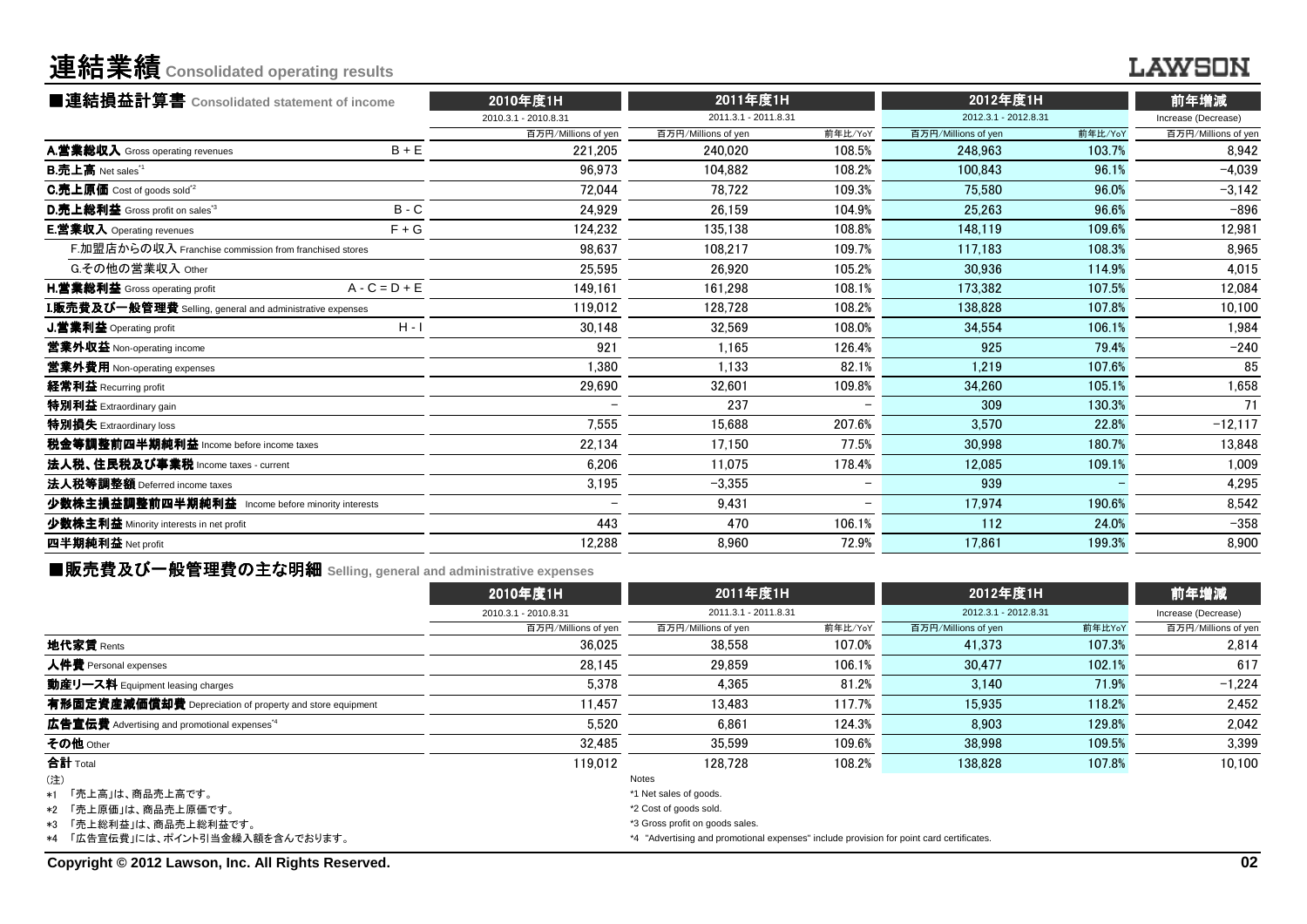# 連結業績**Consolidated operating results**

### **LAWSON**

| ■連結損益計算書 Consolidated statement of income                 |                 | 2010年度1H             | 2011年度1H             |         | 2012年度1H             | 前年増減    |                     |
|-----------------------------------------------------------|-----------------|----------------------|----------------------|---------|----------------------|---------|---------------------|
|                                                           |                 | 2010.3.1 - 2010.8.31 | 2011.3.1 - 2011.8.31 |         | 2012.3.1 - 2012.8.31 |         | Increase (Decrease) |
|                                                           |                 | 百万円/Millions of yen  | 百万円/Millions of yen  | 前年比/YoY | 百万円/Millions of yen  | 前年比/YoY | 百万円/Millions of yen |
| A.営業総収入 Gross operating revenues                          | $B + E$         | 221.205              | 240.020              | 108.5%  | 248.963              | 103.7%  | 8,942               |
| <b>B.売上高</b> Net sales <sup>"1</sup>                      |                 | 96,973               | 104.882              | 108.2%  | 100.843              | 96.1%   | $-4,039$            |
| C.売上原価 Cost of goods sold <sup>*2</sup>                   |                 | 72.044               | 78.722               | 109.3%  | 75.580               | 96.0%   | $-3,142$            |
| D.売上総利益 Gross profit on sales <sup>"3</sup>               | $B - C$         | 24.929               | 26.159               | 104.9%  | 25.263               | 96.6%   | $-896$              |
| <b>E.営業収入</b> Operating revenues                          | $F + G$         | 124,232              | 135.138              | 108.8%  | 148.119              | 109.6%  | 12,981              |
| F.加盟店からの収入 Franchise commission from franchised stores    |                 | 98.637               | 108.217              | 109.7%  | 117.183              | 108.3%  | 8,965               |
| G.その他の営業収入 Other                                          |                 | 25,595               | 26.920               | 105.2%  | 30.936               | 114.9%  | 4,015               |
| <b>H.営業総利益</b> Gross operating profit                     | $A - C = D + E$ | 149.161              | 161.298              | 108.1%  | 173.382              | 107.5%  | 12,084              |
| I.販売費及び一般管理費 Selling, general and administrative expenses |                 | 119,012              | 128.728              | 108.2%  | 138.828              | 107.8%  | 10,100              |
| J.営業利益 Operating profit                                   | $H - I$         | 30,148               | 32,569               | 108.0%  | 34.554               | 106.1%  | 1,984               |
| 営業外収益 Non-operating income                                |                 | 921                  | 1.165                | 126.4%  | 925                  | 79.4%   | $-240$              |
| 営業外費用 Non-operating expenses                              |                 | 1.380                | 1.133                | 82.1%   | 1.219                | 107.6%  | 85                  |
| 経常利益 Recurring profit                                     |                 | 29,690               | 32,601               | 109.8%  | 34.260               | 105.1%  | 1,658               |
| 特別利益 Extraordinary gain                                   |                 |                      | 237                  |         | 309                  | 130.3%  | 71                  |
| 特別損失 Extraordinary loss                                   |                 | 7,555                | 15.688               | 207.6%  | 3.570                | 22.8%   | $-12,117$           |
| 税金等調整前四半期純利益 Income before income taxes                   |                 | 22,134               | 17,150               | 77.5%   | 30.998               | 180.7%  | 13,848              |
| 法人税、住民税及び事業税 Income taxes - current                       |                 | 6.206                | 11.075               | 178.4%  | 12.085               | 109.1%  | 1,009               |
| 法人税等調整額 Deferred income taxes                             |                 | 3,195                | $-3.355$             |         | 939                  |         | 4,295               |
| 少数株主損益調整前四半期純利益 Income before minority interests          |                 |                      | 9.431                |         | 17.974               | 190.6%  | 8,542               |
| 少数株主利益 Minority interests in net profit                   |                 | 443                  | 470                  | 106.1%  | 112                  | 24.0%   | $-358$              |
| 四半期純利益 Net profit                                         |                 | 12,288               | 8.960                | 72.9%   | 17,861               | 199.3%  | 8,900               |
|                                                           |                 |                      |                      |         |                      |         |                     |

■販売費及び一般管理費の主な明細 **Selling, general and administrative expenses**

|                                                                 | 2010年度1H                        | 2011年度1H                                                                                 |         | 2012年度1H<br>2012.3.1 - 2012.8.31 |        | 前年増減<br>Increase (Decrease) |  |
|-----------------------------------------------------------------|---------------------------------|------------------------------------------------------------------------------------------|---------|----------------------------------|--------|-----------------------------|--|
|                                                                 | 2010.3.1 - 2010.8.31            | 2011.3.1 - 2011.8.31                                                                     |         |                                  |        |                             |  |
|                                                                 | 百万円/Millions of yen             | 百万円/Millions of yen                                                                      | 前年比/YoY | 百万円/Millions of yen              | 前年比YoY | 百万円/Millions of yen         |  |
| 地代家賃 Rents                                                      | 36.025                          | 38.558                                                                                   | 107.0%  | 41.373                           | 107.3% | 2.814                       |  |
| 人件費 Personal expenses                                           | 28.145                          | 29.859                                                                                   | 106.1%  | 30.477                           | 102.1% | 617                         |  |
| 動産リース料 Equipment leasing charges                                | 5.378                           | 4.365                                                                                    | 81.2%   | 3.140                            | 71.9%  | $-1,224$                    |  |
| 有形固定資産減価償却費 Depreciation of property and store equipment        | 11.457                          | 13.483                                                                                   | 117.7%  | 15.935                           | 118.2% | 2,452                       |  |
| <b>広告宣伝費</b> Advertising and promotional expenses <sup>*4</sup> | 5.520                           | 6.861                                                                                    | 124.3%  | 8.903                            | 129.8% | 2.042                       |  |
| その他 Other                                                       | 32.485                          | 35.599                                                                                   | 109.6%  | 38.998                           | 109.5% | 3,399                       |  |
| 合計 Total                                                        | 119.012                         | 128.728                                                                                  | 108.2%  | 138,828                          | 107.8% | 10.100                      |  |
| (注)                                                             |                                 | Notes                                                                                    |         |                                  |        |                             |  |
| *1 「売上高」は、商品売上高です。                                              |                                 | *1 Net sales of goods.                                                                   |         |                                  |        |                             |  |
| *2 「売上原価  は、商品売上原価です。                                           |                                 | *2 Cost of goods sold.                                                                   |         |                                  |        |                             |  |
| *3 「売上総利益」は、商品売上総利益です。                                          | *3 Gross profit on goods sales. |                                                                                          |         |                                  |        |                             |  |
| *4 「広告宣伝費」には、ポイント引当金繰入額を含んでおります。                                |                                 | *4 "Advertising and promotional expenses" include provision for point card certificates. |         |                                  |        |                             |  |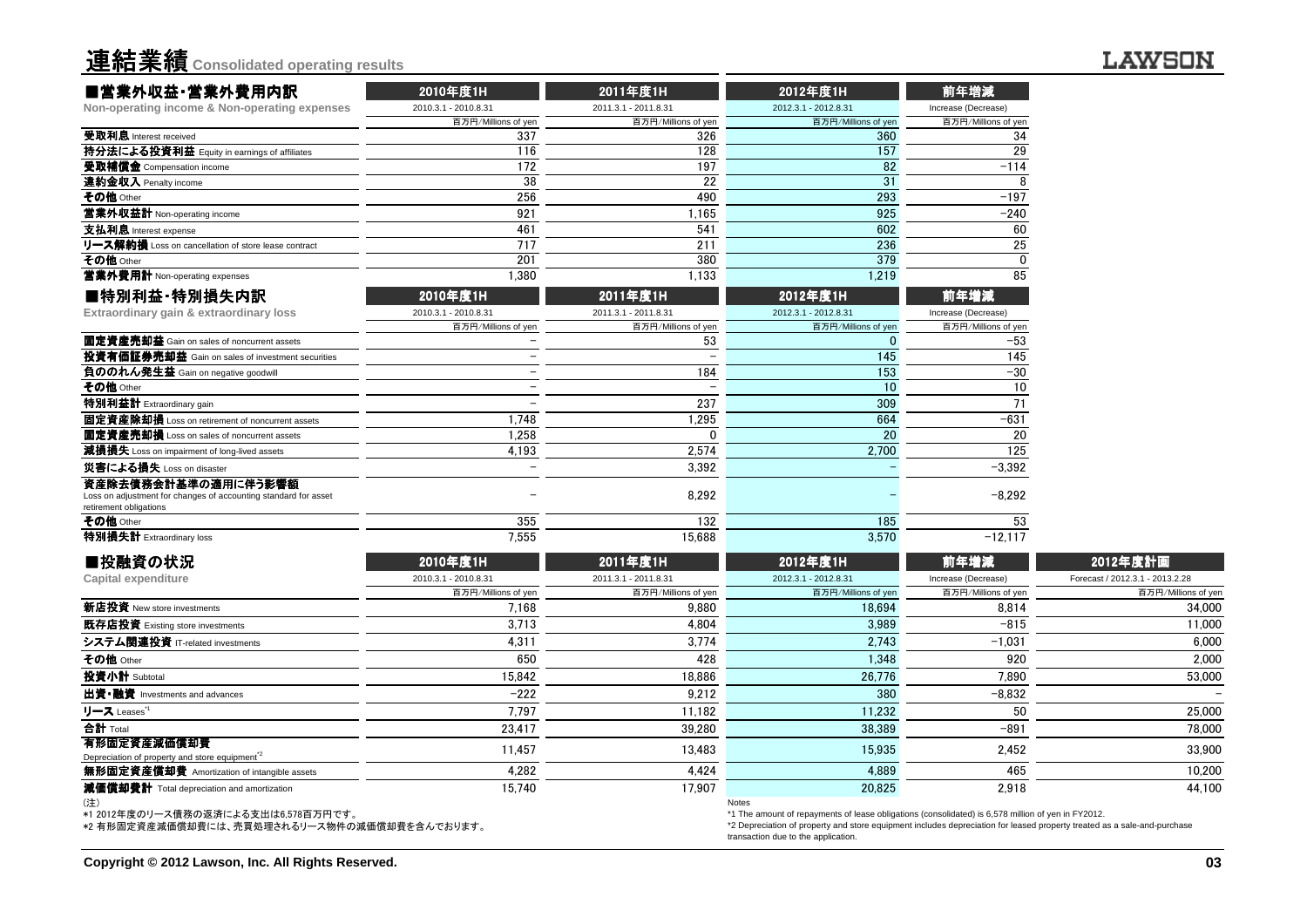

#### **LAWSON**

| ■営業外収益·営業外費用内訳                                                                                                   | 2010年度1H             | 2011年度1H             | 2012年度1H                                                                                           | 前年増減                |                                 |
|------------------------------------------------------------------------------------------------------------------|----------------------|----------------------|----------------------------------------------------------------------------------------------------|---------------------|---------------------------------|
| Non-operating income & Non-operating expenses                                                                    | 2010.3.1 - 2010.8.31 | 2011.3.1 - 2011.8.31 | 2012.3.1 - 2012.8.31                                                                               | Increase (Decrease) |                                 |
|                                                                                                                  | 百万円/Millions of yen  | 百万円/Millions of yen  | 百万円/Millions of yen                                                                                | 百万円/Millions of yen |                                 |
| 受取利息 Interest received                                                                                           | 337                  | 326                  | 360                                                                                                | 34                  |                                 |
| 持分法による投資利益 Equity in earnings of affiliates                                                                      | 116                  | 128                  | 157                                                                                                | 29                  |                                 |
| 受取補償金 Compensation income                                                                                        | 172                  | 197                  | 82                                                                                                 | $-114$              |                                 |
| 違約金収入 Penalty income                                                                                             | 38                   | 22                   | 31                                                                                                 | 8                   |                                 |
| その他 Other                                                                                                        | 256                  | 490                  | 293                                                                                                | $-197$              |                                 |
| 営業外収益計 Non-operating income                                                                                      | 921                  | 1,165                | 925                                                                                                | $-240$              |                                 |
| 支払利息 Interest expense                                                                                            | 461                  | 541                  | 602                                                                                                | 60                  |                                 |
| リース解約損 Loss on cancellation of store lease contract                                                              | 717                  | 211                  | 236                                                                                                | 25                  |                                 |
| その他 Other                                                                                                        | 201                  | 380                  | 379                                                                                                | $\Omega$            |                                 |
| <b>営業外費用計</b> Non-operating expenses                                                                             | 1,380                | 1,133                | 1,219                                                                                              | 85                  |                                 |
| ■特別利益·特別損失内訳                                                                                                     | 2010年度1H             | 2011年度1H             | 2012年度1H                                                                                           | 前年増減                |                                 |
| Extraordinary gain & extraordinary loss                                                                          | 2010.3.1 - 2010.8.31 | 2011.3.1 - 2011.8.31 | 2012.3.1 - 2012.8.31                                                                               | Increase (Decrease) |                                 |
|                                                                                                                  | 百万円/Millions of yen  | 百万円/Millions of yen  | 百万円/Millions of yen                                                                                | 百万円/Millions of yen |                                 |
| 固定資産売却益 Gain on sales of noncurrent assets                                                                       |                      | 53                   | $\Omega$                                                                                           | $-53$               |                                 |
| <b>投資有価証券売却益</b> Gain on sales of investment securities                                                          |                      |                      | 145                                                                                                | 145                 |                                 |
| 負ののれん発生益 Gain on negative goodwill                                                                               |                      | 184                  | 153                                                                                                | $-30$               |                                 |
| その他 Other                                                                                                        |                      |                      | 10                                                                                                 | 10                  |                                 |
| <b>特別利益計</b> Extraordinary gain                                                                                  |                      | 237                  | 309                                                                                                | 71                  |                                 |
| 固定資産除却損 Loss on retirement of noncurrent assets                                                                  | 1.748                | 1,295                | 664                                                                                                | -631                |                                 |
| <b>固定資産売却損</b> Loss on sales of noncurrent assets                                                                | 1,258                | $\Omega$             | 20                                                                                                 | 20                  |                                 |
| 減損損失 Loss on impairment of long-lived assets                                                                     | 4,193                | 2,574                | 2,700                                                                                              | 125                 |                                 |
| 災害による損失 Loss on disaster                                                                                         |                      | 3,392                |                                                                                                    | $-3,392$            |                                 |
| 資産除去債務会計基準の適用に伴う影響額<br>Loss on adjustment for changes of accounting standard for asset<br>retirement obligations |                      | 8,292                |                                                                                                    | $-8.292$            |                                 |
| その他 Other                                                                                                        | 355                  | 132                  | 185                                                                                                | 53                  |                                 |
| 特別損失計 Extraordinary loss                                                                                         | 7.555                | 15.688               | 3.570                                                                                              | $-12.117$           |                                 |
| ■投融資の状況                                                                                                          | 2010年度1H             | 2011年度1H             | 2012年度1H                                                                                           | 前年増減                | 2012年度計画                        |
| Capital expenditure                                                                                              | 2010.3.1 - 2010.8.31 | 2011.3.1 - 2011.8.31 | 2012.3.1 - 2012.8.31                                                                               | Increase (Decrease) | Forecast / 2012.3.1 - 2013.2.28 |
|                                                                                                                  | 百万円/Millions of yen  | 百万円/Millions of yen  | 百万円/Millions of yen                                                                                | 百万円/Millions of yer | 百万円/Millions of yen             |
| <b>新店投資</b> New store investments                                                                                | 7,168                | 9.880                | 18,694                                                                                             | 8,814               | 34,000                          |
| 既存店投資 Existing store investments                                                                                 | 3,713                | 4,804                | 3,989                                                                                              | $-815$              | 11,000                          |
| システム関連投資 IT-related investments                                                                                  | 4,311                | 3,774                | 2,743                                                                                              | $-1,031$            | 6.000                           |
| その他 Other                                                                                                        | 650                  | 428                  | 1.348                                                                                              | 920                 | 2,000                           |
| 投資小計 Subtotal                                                                                                    | 15,842               | 18,886               | 26,776                                                                                             | 7,890               | 53,000                          |
| 出資•融資 Investments and advances                                                                                   | $-222$               | 9,212                | 380                                                                                                | $-8,832$            |                                 |
| リース Leases゛                                                                                                      | 7,797                | 11,182               | 11,232                                                                                             | 50                  | 25,000                          |
| 合計 Total                                                                                                         | 23,417               | 39,280               | 38,389                                                                                             | $-891$              | 78,000                          |
| 有形固定資産減価償却費                                                                                                      |                      |                      |                                                                                                    |                     |                                 |
| Depreciation of property and store equipment <sup>2</sup>                                                        | 11,457               | 13,483               | 15,935                                                                                             | 2,452               | 33,900                          |
| <b>無形固定資産償却費</b> Amortization of intangible assets                                                               | 4,282                | 4,424                | 4,889                                                                                              | 465                 | 10,200                          |
| 減価償却費計 Total depreciation and amortization                                                                       | 15.740               | 17.907               | 20.825<br><b>Notes</b>                                                                             | 2.918               | 44.100                          |
| *1 2012年度のリース倩務の返済による支出は6.578百万円です。                                                                              |                      |                      | *1 The amount of repayments of lease obligations (consolidated) is 6,578 million of yen in FY2012. |                     |                                 |

\*1 2012年度のリース債務の返済による支出は6,578百万円です。 \*2 有形固定資産減価償却費には、売買処理されるリース物件の減価償却費を含んでおります。

\*1 The amount of repayments of lease obligations (consolidated) is 6,578 million of yen in FY2012. \*2 Depreciation of property and store equipment includes depreciation for leased property treated as a sale-and-purchasetransaction due to the application.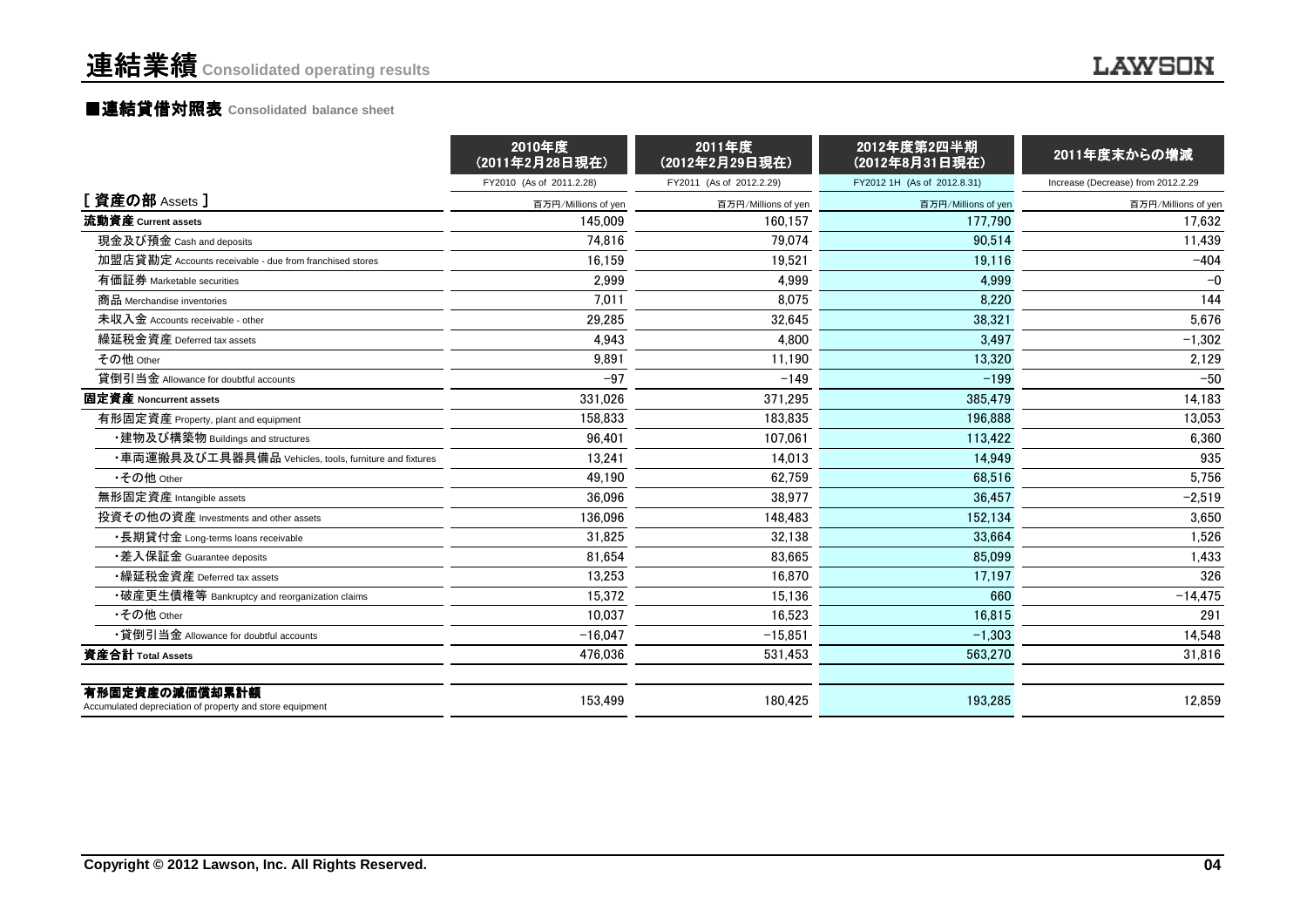#### ■連結貸借対照表 Consolidated balance sheet

|                                                                            | 2010年度<br>(2011年2月28日現在) | 2011年度<br>(2012年2月29日現在) | 2012年度第2四半期<br>(2012年8月31日現在) | 2011年度末からの増減                       |
|----------------------------------------------------------------------------|--------------------------|--------------------------|-------------------------------|------------------------------------|
|                                                                            | FY2010 (As of 2011.2.28) | FY2011 (As of 2012.2.29) | FY2012 1H (As of 2012.8.31)   | Increase (Decrease) from 2012.2.29 |
| [資産の部 Assets]                                                              | 百万円/Millions of yen      | 百万円/Millions of yen      | 百万円/Millions of yen           | 百万円/Millions of yen                |
| 流動資産 Current assets                                                        | 145.009                  | 160.157                  | 177.790                       | 17.632                             |
| 現金及び預金 Cash and deposits                                                   | 74.816                   | 79.074                   | 90.514                        | 11.439                             |
| 加盟店貸勘定 Accounts receivable - due from franchised stores                    | 16,159                   | 19,521                   | 19,116                        | $-404$                             |
| 有価証券 Marketable securities                                                 | 2.999                    | 4,999                    | 4.999                         | $-0$                               |
| 商品 Merchandise inventories                                                 | 7.011                    | 8.075                    | 8.220                         | 144                                |
| 未収入金 Accounts receivable - other                                           | 29,285                   | 32,645                   | 38,321                        | 5,676                              |
| 繰延税金資産 Deferred tax assets                                                 | 4.943                    | 4.800                    | 3.497                         | $-1,302$                           |
| その他 Other                                                                  | 9,891                    | 11,190                   | 13,320                        | 2,129                              |
| 貸倒引当金 Allowance for doubtful accounts                                      | $-97$                    | $-149$                   | $-199$                        | $-50$                              |
| 固定資産 Noncurrent assets                                                     | 331,026                  | 371,295                  | 385,479                       | 14,183                             |
| 有形固定資産 Property, plant and equipment                                       | 158,833                  | 183,835                  | 196.888                       | 13,053                             |
| ・建物及び構築物 Buildings and structures                                          | 96,401                   | 107,061                  | 113.422                       | 6,360                              |
| ・車両運搬具及び工具器具備品 Vehicles, tools, furniture and fixtures                     | 13.241                   | 14.013                   | 14.949                        | 935                                |
| •その他 Other                                                                 | 49.190                   | 62,759                   | 68,516                        | 5,756                              |
| 無形固定資産 Intangible assets                                                   | 36.096                   | 38.977                   | 36.457                        | $-2,519$                           |
| 投資その他の資産 Investments and other assets                                      | 136,096                  | 148.483                  | 152.134                       | 3,650                              |
| ・長期貸付金 Long-terms loans receivable                                         | 31,825                   | 32,138                   | 33,664                        | 1,526                              |
| ・差入保証金 Guarantee deposits                                                  | 81,654                   | 83,665                   | 85.099                        | 1,433                              |
| •繰延税金資産 Deferred tax assets                                                | 13,253                   | 16,870                   | 17,197                        | 326                                |
| •破産更生債権等 Bankruptcy and reorganization claims                              | 15,372                   | 15,136                   | 660                           | $-14,475$                          |
| •その他 Other                                                                 | 10.037                   | 16,523                   | 16.815                        | 291                                |
| •貸倒引当金 Allowance for doubtful accounts                                     | $-16,047$                | $-15,851$                | $-1,303$                      | 14,548                             |
| 資産合計 Total Assets                                                          | 476,036                  | 531,453                  | 563.270                       | 31,816                             |
| 有形固定資産の減価償却累計額<br>Accumulated depreciation of property and store equipment | 153,499                  | 180,425                  | 193,285                       | 12,859                             |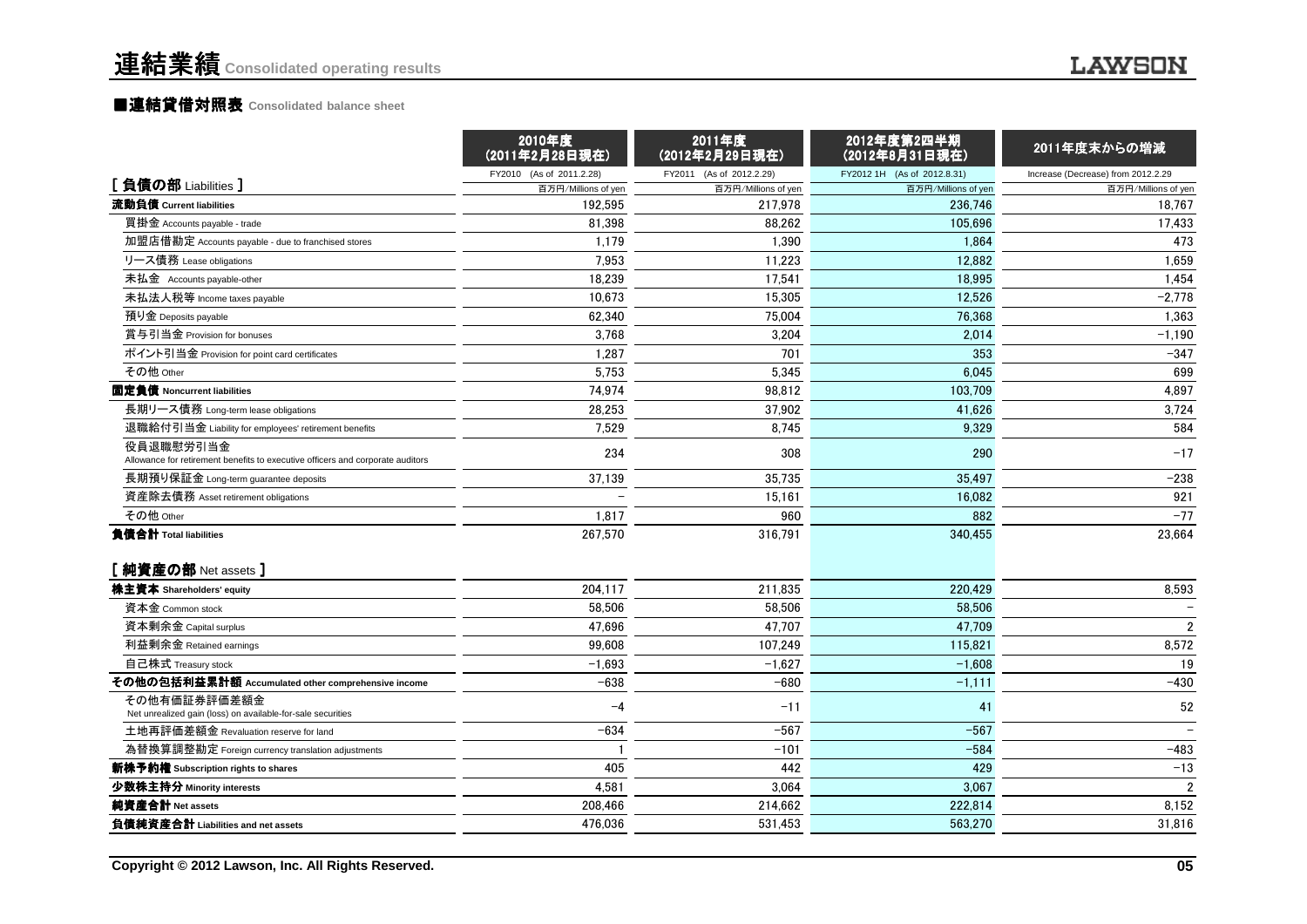#### ■<mark>連結貸借対照表 Consolidated balance sheet</mark>

|                                                                                             | 2010年度<br>(2011年2月28日現在) | 2011年度<br>(2012年2月29日現在) | 2012年度第2四半期<br>(2012年8月31日現在) | 2011年度末からの増減                       |
|---------------------------------------------------------------------------------------------|--------------------------|--------------------------|-------------------------------|------------------------------------|
|                                                                                             | FY2010 (As of 2011.2.28) | FY2011 (As of 2012.2.29) | FY2012 1H (As of 2012.8.31)   | Increase (Decrease) from 2012.2.29 |
| [負債の部 Liabilities]                                                                          | 百万円/Millions of yen      | 百万円/Millions of yen      | 百万円/Millions of yen           | 百万円/Millions of yen                |
| 流動負債 Current liabilities                                                                    | 192.595                  | 217,978                  | 236.746                       | 18,767                             |
| 買掛金 Accounts payable - trade                                                                | 81,398                   | 88,262                   | 105,696                       | 17,433                             |
| 加盟店借勘定 Accounts payable - due to franchised stores                                          | 1.179                    | 1.390                    | 1.864                         | 473                                |
| リース債務 Lease obligations                                                                     | 7.953                    | 11,223                   | 12,882                        | 1,659                              |
| 未払金 Accounts payable-other                                                                  | 18,239                   | 17,541                   | 18,995                        | 1,454                              |
| 未払法人税等 Income taxes payable                                                                 | 10.673                   | 15.305                   | 12.526                        | $-2,778$                           |
| 預り金 Deposits payable                                                                        | 62.340                   | 75,004                   | 76.368                        | 1,363                              |
| 賞与引当金 Provision for bonuses                                                                 | 3.768                    | 3,204                    | 2,014                         | $-1,190$                           |
| ポイント引当金 Provision for point card certificates                                               | 1.287                    | 701                      | 353                           | $-347$                             |
| その他 Other                                                                                   | 5,753                    | 5,345                    | 6,045                         | 699                                |
| 固定負債 Noncurrent liabilities                                                                 | 74,974                   | 98,812                   | 103,709                       | 4,897                              |
| 長期リース債務 Long-term lease obligations                                                         | 28.253                   | 37,902                   | 41.626                        | 3,724                              |
| 退職給付引当金 Liability for employees' retirement benefits                                        | 7,529                    | 8,745                    | 9,329                         | 584                                |
| 役員退職慰労引当金<br>Allowance for retirement benefits to executive officers and corporate auditors | 234                      | 308                      | 290                           | $-17$                              |
| 長期預り保証金 Long-term quarantee deposits                                                        | 37,139                   | 35,735                   | 35,497                        | $-238$                             |
| 資産除去債務 Asset retirement obligations                                                         |                          | 15,161                   | 16,082                        | 921                                |
| その他 Other                                                                                   | 1,817                    | 960                      | 882                           | $-77$                              |
| 負債合計 Total liabilities                                                                      | 267.570                  | 316.791                  | 340.455                       | 23,664                             |
| [純資産の部 Net assets]                                                                          |                          |                          |                               |                                    |
| 株主資本 Shareholders' equity                                                                   | 204.117                  | 211.835                  | 220.429                       | 8,593                              |
| 資本金 Common stock                                                                            | 58,506                   | 58,506                   | 58,506                        |                                    |
| 資本剰余金 Capital surplus                                                                       | 47.696                   | 47.707                   | 47.709                        | $\overline{2}$                     |
| 利益剰余金 Retained earnings                                                                     | 99,608                   | 107,249                  | 115,821                       | 8,572                              |
| 自己株式 Treasury stock                                                                         | $-1,693$                 | $-1,627$                 | $-1,608$                      | 19                                 |
| その他の包括利益累計額 Accumulated other comprehensive income                                          | $-638$                   | $-680$                   | $-1,111$                      | $-430$                             |
| その他有価証券評価差額金<br>Net unrealized gain (loss) on available-for-sale securities                 | $-4$                     | $-11$                    | 41                            | 52                                 |
| 土地再評価差額金 Revaluation reserve for land                                                       | $-634$                   | $-567$                   | $-567$                        |                                    |
| 為替換算調整勘定 Foreign currency translation adjustments                                           |                          | $-101$                   | $-584$                        | $-483$                             |
| 新株予約権 Subscription rights to shares                                                         | 405                      | 442                      | 429                           | $-13$                              |
| 少数株主持分 Minority interests                                                                   | 4,581                    | 3,064                    | 3,067                         | $\overline{2}$                     |
| 純資産合計 Net assets                                                                            | 208,466                  | 214,662                  | 222.814                       | 8.152                              |
| 負債純資産合計 Liabilities and net assets                                                          | 476.036                  | 531,453                  | 563,270                       | 31,816                             |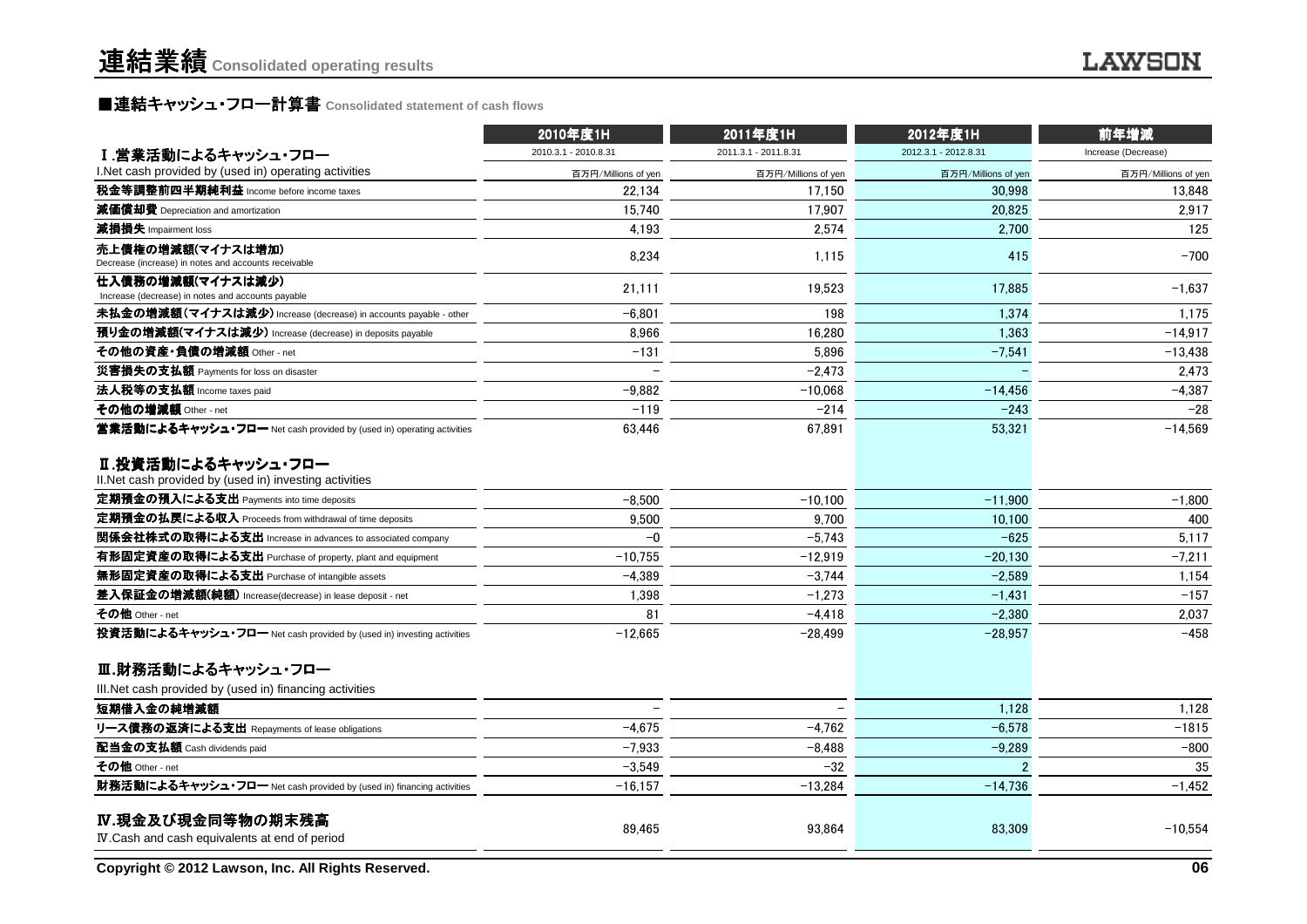### ■連結キャッシュ・フロー計算書 **Consolidated statement of cash flows**

|                                                                               | 2010年度1H             | 2011年度1H             | 2012年度1H             | 前年増減                |
|-------------------------------------------------------------------------------|----------------------|----------------------|----------------------|---------------------|
| I.営業活動によるキャッシュ・フロー                                                            | 2010.3.1 - 2010.8.31 | 2011.3.1 - 2011.8.31 | 2012.3.1 - 2012.8.31 | Increase (Decrease) |
| I. Net cash provided by (used in) operating activities                        | 百万円/Millions of yen  | 百万円/Millions of yen  | 百万円/Millions of yen  | 百万円/Millions of yen |
| 税金等調整前四半期純利益 Income before income taxes                                       | 22.134               | 17.150               | 30.998               | 13.848              |
| 減価償却費 Depreciation and amortization                                           | 15.740               | 17,907               | 20,825               | 2,917               |
| 減損損失 Impairment loss                                                          | 4.193                | 2.574                | 2.700                | 125                 |
| 売上債権の増減額(マイナスは増加)<br>Decrease (increase) in notes and accounts receivable     | 8,234                | 1,115                | 415                  | $-700$              |
| 仕入債務の増減額(マイナスは減少)<br>Increase (decrease) in notes and accounts payable        | 21,111               | 19,523               | 17,885               | $-1,637$            |
| 未払金の増減額(マイナスは減少) Increase (decrease) in accounts payable - other              | $-6.801$             | 198                  | 1.374                | 1,175               |
| 預り金の増減額(マイナスは減少) Increase (decrease) in deposits payable                      | 8.966                | 16,280               | 1,363                | $-14,917$           |
| その他の資産・負債の増減額 Other - net                                                     | $-131$               | 5.896                | $-7.541$             | $-13.438$           |
| 災害損失の支払額 Payments for loss on disaster                                        |                      | $-2,473$             |                      | 2,473               |
| 法人税等の支払額 Income taxes paid                                                    | $-9,882$             | $-10.068$            | $-14,456$            | $-4,387$            |
| その他の増減額 Other - net                                                           | $-119$               | $-214$               | $-243$               | $-28$               |
| 営業活動によるキャッシュ・フロー Net cash provided by (used in) operating activities          | 63.446               | 67.891               | 53,321               | $-14.569$           |
| Ⅱ.投資活動によるキャッシュ・フロー<br>II. Net cash provided by (used in) investing activities |                      |                      |                      |                     |
| 定期預金の預入による支出 Payments into time deposits                                      | $-8.500$             | $-10.100$            | $-11,900$            | $-1.800$            |
| 定期預金の払戻による収入 Proceeds from withdrawal of time deposits                        | 9,500                | 9,700                | 10,100               | 400                 |
| 関係会社株式の取得による支出 Increase in advances to associated company                     | $-0$                 | $-5,743$             | $-625$               | 5,117               |
| 有形固定資産の取得による支出 Purchase of property, plant and equipment                      | $-10.755$            | $-12.919$            | $-20,130$            | $-7.211$            |
| 無形固定資産の取得による支出 Purchase of intangible assets                                  | $-4.389$             | $-3.744$             | $-2.589$             | 1,154               |
| 差入保証金の増減額(純額) Increase(decrease) in lease deposit - net                       | 1,398                | $-1,273$             | $-1,431$             | $-157$              |
| その他 Other - net                                                               | 81                   | $-4,418$             | $-2.380$             | 2,037               |
| 投資活動によるキャッシュ・フロー Net cash provided by (used in) investing activities          | $-12,665$            | $-28.499$            | $-28.957$            | $-458$              |
| Ⅲ.財務活動によるキャッシュ・フロー                                                            |                      |                      |                      |                     |
| III. Net cash provided by (used in) financing activities                      |                      |                      |                      |                     |
| 短期借入金の純増減額                                                                    |                      |                      | 1.128                | 1.128               |
| リース債務の返済による支出 Repayments of lease obligations                                 | $-4,675$             | $-4,762$             | $-6,578$             | $-1815$             |
| 配当金の支払額 Cash dividends paid                                                   | $-7.933$             | $-8,488$             | $-9,289$             | $-800$              |
| その他 Other - net                                                               | $-3.549$             | $-32$                | 2                    | 35                  |
| 財務活動によるキャッシュ・フロー Net cash provided by (used in) financing activities          | $-16.157$            | $-13.284$            | $-14.736$            | $-1,452$            |
| IV.現金及び現金同等物の期末残高<br>IV. Cash and cash equivalents at end of period           | 89.465               | 93.864               | 83.309               | $-10.554$           |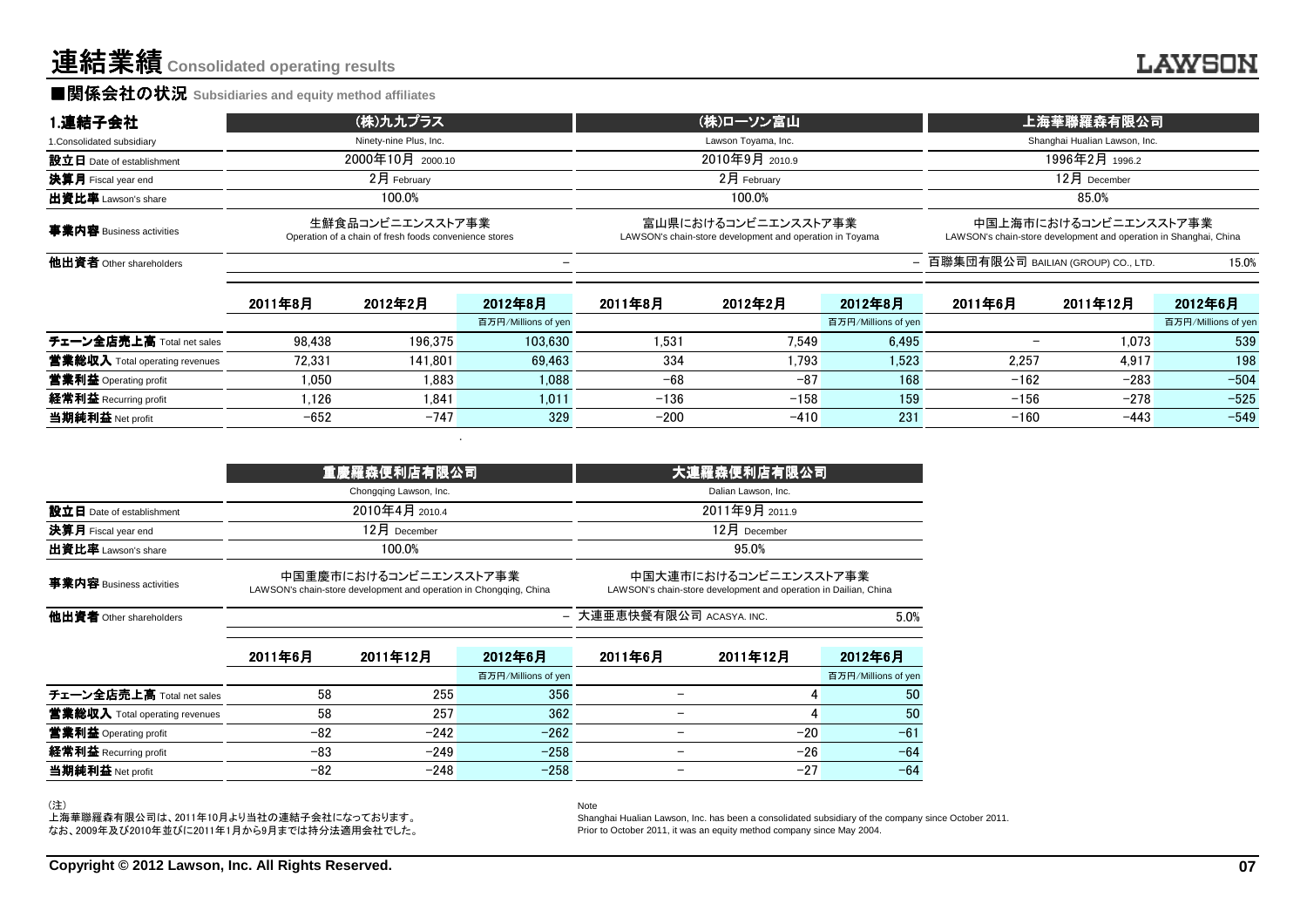#### ■関係会社の状況 **Subsidiaries and equity method affiliates**

| 1.連結子会社                    | (株)九九プラス                                                                   | (株)ローソン富山                                                                       | 上海華聯羅森有限公司                                                                                 |
|----------------------------|----------------------------------------------------------------------------|---------------------------------------------------------------------------------|--------------------------------------------------------------------------------------------|
| 1. Consolidated subsidiary | Ninety-nine Plus, Inc.                                                     | Lawson Toyama, Inc.                                                             | Shanghai Hualian Lawson, Inc.                                                              |
| 設立日 Date of establishment  | 2000年10月 2000.10                                                           | 2010年9月 2010.9                                                                  | 1996年2月 1996.2                                                                             |
| <b>決算月</b> Fiscal year end | 2月 February                                                                | $2$ 月 February                                                                  | $12月$ December                                                                             |
| <b>出資比率</b> Lawson's share | 100.0%                                                                     | 100.0%                                                                          | 85.0%                                                                                      |
| 事業内容 Business activities   | 生鮮食品コンビニエンスストア事業<br>Operation of a chain of fresh foods convenience stores | 富山県におけるコンビニエンスストア事業<br>LAWSON's chain-store development and operation in Toyama | 中国上海市におけるコンビニエンスストア事業<br>LAWSON's chain-store development and operation in Shanghai, China |
| 他出資者 Other shareholders    |                                                                            |                                                                                 | - 百聯集団有限公司 BAILIAN (GROUP) CO., LTD.<br>15.0%                                              |

|                                | 2011年8月 | 2012年2月 | 2012年8月             | 2011年8月 | 2012年2月 | 2012年8月             | 2011年6月 | 2011年12月 | 2012年6月             |
|--------------------------------|---------|---------|---------------------|---------|---------|---------------------|---------|----------|---------------------|
|                                |         |         | 百万円/Millions of yen |         |         | 百万円/Millions of yen |         |          | 百万円/Millions of yen |
| チェーン全店売上高 Total net sales      | 98.438  | 196.375 | 103.630             | 1.531   | 7.549   | 6.495               |         | 1.073    | 539                 |
| 當業総収入 Total operating revenues | 72.331  | 141.801 | 69.463              | 334     | 1.793   | 1.523               | 2.257   | 4.917    | 198                 |
| 営業利益 Operating profit          | 1.050   | 1.883   | 1.088               | $-68$   | $-87$   | 168                 | $-162$  | $-283$   | $-504$              |
| 経常利益 Recurring profit          | .126    | 1.841   | 1.011               | $-136$  | $-158$  | 159                 | $-156$  | $-278$   | $-525$              |
| 当期純利益 Net profit               | $-652$  | $-747$  | 329                 | $-200$  | $-410$  | 231                 | $-160$  | $-443$   | $-549$              |
|                                |         |         |                     |         |         |                     |         |          |                     |

|                                |         | 重慶羅森便利店有限公司                                                                                 |                     | 大連羅森便利店有限公司                                                                               |                     |                     |  |
|--------------------------------|---------|---------------------------------------------------------------------------------------------|---------------------|-------------------------------------------------------------------------------------------|---------------------|---------------------|--|
|                                |         | Chongqing Lawson, Inc.                                                                      |                     |                                                                                           | Dalian Lawson, Inc. |                     |  |
| 設立日 Date of establishment      |         | 2010年4月 2010.4                                                                              |                     |                                                                                           | 2011年9月 2011.9      |                     |  |
| 決算月 Fiscal year end            |         | 12月 December                                                                                |                     |                                                                                           | 12月 December        |                     |  |
| 出資比率 Lawson's share            |         | 100.0%                                                                                      |                     |                                                                                           | 95.0%               |                     |  |
| 事業内容 Business activities       |         | 中国重慶市におけるコンビニエンスストア事業<br>LAWSON's chain-store development and operation in Chongqing, China |                     | 中国大連市におけるコンビニエンスストア事業<br>LAWSON's chain-store development and operation in Dailian, China |                     |                     |  |
| 他出資者 Other shareholders        |         |                                                                                             |                     | - 大連亜恵快餐有限公司 ACASYA. INC.<br>5.0%                                                         |                     |                     |  |
|                                | 2011年6月 | 2011年12月                                                                                    | 2012年6月             | 2011年6月                                                                                   | 2011年12月            | 2012年6月             |  |
|                                |         |                                                                                             | 百万円/Millions of yen |                                                                                           |                     | 百万円/Millions of yen |  |
| チェーン全店売上高 Total net sales      | 58      | 255                                                                                         | 356                 |                                                                                           | 4                   | 50                  |  |
| 営業総収入 Total operating revenues | 58      | 257                                                                                         | 362                 |                                                                                           | 4                   | 50                  |  |
| 営業利益 Operating profit          | $-82$   | $-242$                                                                                      | $-262$              |                                                                                           | $-20$               | $-61$               |  |
| 経常利益 Recurring profit          | $-83$   | $-249$                                                                                      | $-258$              |                                                                                           | $-26$               | $-64$               |  |
| 当期純利益 Net profit               | $-82$   | $-248$                                                                                      | $-258$              |                                                                                           | $-27$               | $-64$               |  |

Note

(注)

上海華聯羅森有限公司は、2011年10月より当社の連結子会社になっております。 なお、2009年及び2010年並びに2011年1月から9月までは持分法適用会社でした。

 Shanghai Hualian Lawson, Inc. has been a consolidated subsidiary of the company since October 2011.Prior to October 2011, it was an equity method company since May 2004.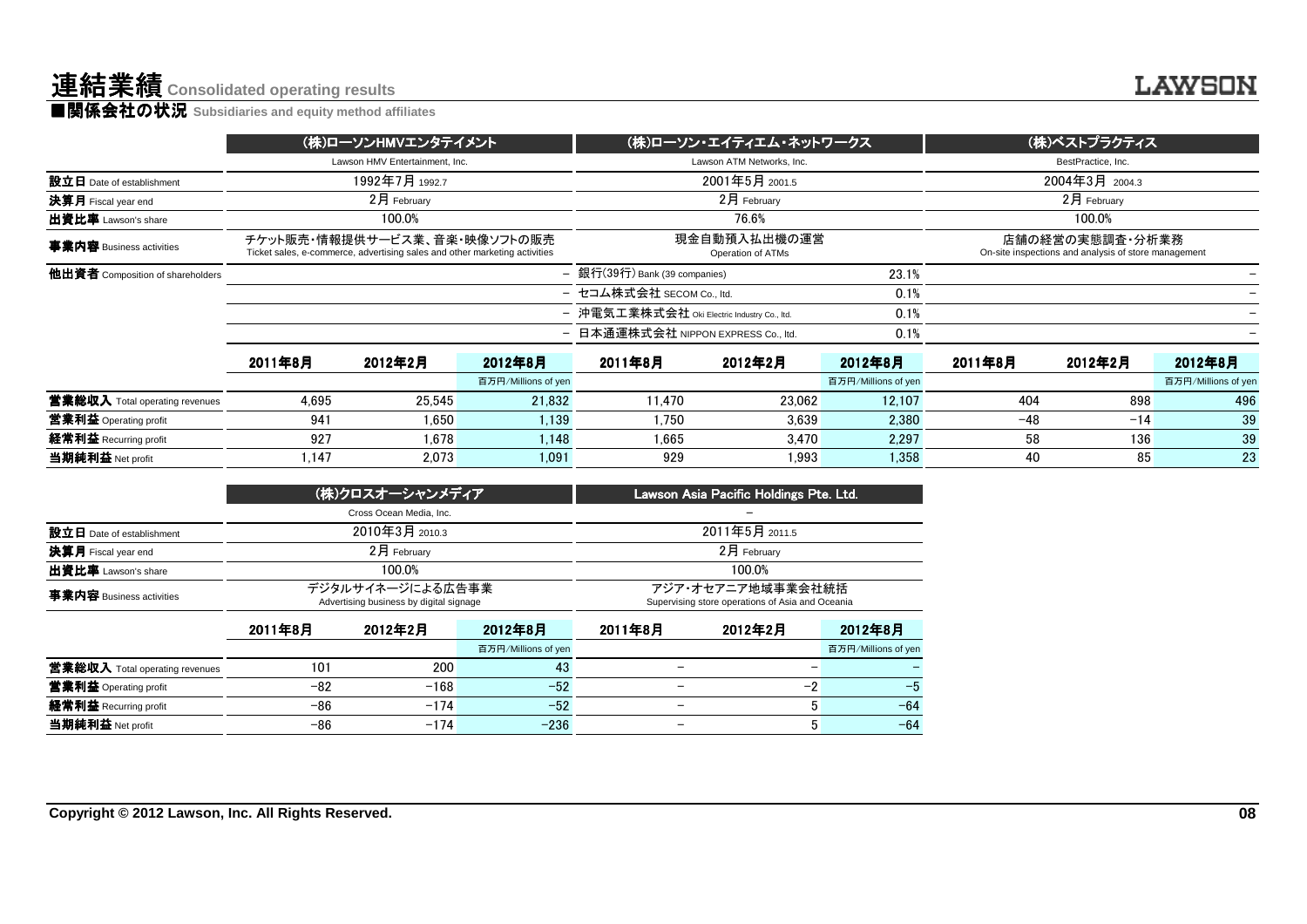|                                                                                                            |                |         | (株)ローソン・エイティエム・ネットワークス            |                                                                       |                                                                                                                                                                                                |                                                                         |                |                                |
|------------------------------------------------------------------------------------------------------------|----------------|---------|-----------------------------------|-----------------------------------------------------------------------|------------------------------------------------------------------------------------------------------------------------------------------------------------------------------------------------|-------------------------------------------------------------------------|----------------|--------------------------------|
|                                                                                                            |                |         |                                   |                                                                       |                                                                                                                                                                                                | BestPractice, Inc.                                                      |                |                                |
|                                                                                                            | 1992年7月 1992.7 |         |                                   | 2001年5月 2001.5                                                        |                                                                                                                                                                                                |                                                                         |                |                                |
| $2月$ February                                                                                              |                |         |                                   | 2月 February                                                           |                                                                                                                                                                                                |                                                                         | $2$ 月 February |                                |
| 100.0%                                                                                                     |                |         |                                   | 76.6%                                                                 |                                                                                                                                                                                                |                                                                         | 100.0%         |                                |
| チケット販売・情報提供サービス業、音楽・映像ソフトの販売<br>Ticket sales, e-commerce, advertising sales and other marketing activities |                |         | 現金自動預入払出機の運営<br>Operation of ATMs |                                                                       |                                                                                                                                                                                                | 店舗の経営の実態調査・分析業務<br>On-site inspections and analysis of store management |                |                                |
|                                                                                                            |                |         | 23.1%                             |                                                                       |                                                                                                                                                                                                |                                                                         |                |                                |
|                                                                                                            |                |         |                                   |                                                                       |                                                                                                                                                                                                |                                                                         |                |                                |
|                                                                                                            |                |         |                                   |                                                                       | 0.1%                                                                                                                                                                                           |                                                                         |                |                                |
|                                                                                                            |                |         |                                   |                                                                       | 0.1%                                                                                                                                                                                           |                                                                         |                |                                |
| 2011年8月                                                                                                    | 2012年2月        | 2012年8月 | 2011年8月                           | 2012年2月                                                               | 2012年8月                                                                                                                                                                                        | 2011年8月                                                                 | 2012年2月        | 2012年8月                        |
|                                                                                                            |                |         |                                   |                                                                       | 百万円/Millions of yen                                                                                                                                                                            |                                                                         |                | 百万円/Millions of yen            |
| 4.695                                                                                                      | 25.545         |         | 11.470                            |                                                                       | 12.107                                                                                                                                                                                         | 404                                                                     | 898            | 496                            |
| 941                                                                                                        | 1.650          |         | 1.750                             | 3.639                                                                 | 2.380                                                                                                                                                                                          | $-48$                                                                   | $-14$          | 39                             |
| 927                                                                                                        | 1.678          |         | 1.665                             | 3.470                                                                 | 2,297                                                                                                                                                                                          | 58                                                                      | 136            | 39                             |
| 1.147                                                                                                      | 2.073          | 1.091   | 929                               |                                                                       | 1.358                                                                                                                                                                                          | 40                                                                      | 85             | 23                             |
|                                                                                                            |                |         | Lawson HMV Entertainment. Inc.    | (株)ローソンHMVエンタテイメント<br>百万円/Millions of yen<br>21.832<br>1.139<br>1.148 | Lawson ATM Networks, Inc.<br>- 銀行(39行) Bank (39 companies)<br>- セコム株式会社 SECOM Co., ltd.<br>- 沖電気工業株式会社 Oki Electric Industry Co., Itd.<br>日本通運株式会社 NIPPON EXPRESS Co., ltd.<br>23.062<br>1.993 | 0.1%                                                                    |                | (株)ベストプラクティス<br>2004年3月 2004.3 |

|                           | (株)クロスオーシャンメディア                                             | Lawson Asia Pacific Holdings Pte. Ltd.                                |
|---------------------------|-------------------------------------------------------------|-----------------------------------------------------------------------|
|                           | Cross Ocean Media, Inc.                                     |                                                                       |
| 設立日 Date of establishment | 2010年3月 2010.3                                              | 2011年5月 2011.5                                                        |
| 決算月 Fiscal year end       | 2月 February                                                 | $2$ 月 February                                                        |
| 出資比率 Lawson's share       | 100.0%                                                      | 100.0%                                                                |
| 事業内容 Business activities  | デジタルサイネージによる広告事業<br>Advertising business by digital signage | アジア・オセアニア地域事業会社統括<br>Supervising store operations of Asia and Oceania |

|                                | 2011年8月 | 2012年2月 | 2012年8月             | 2011年8月                  | 2012年2月 | 2012年8月             |
|--------------------------------|---------|---------|---------------------|--------------------------|---------|---------------------|
|                                |         |         | 百万円/Millions of yen |                          |         | 百万円/Millions of yen |
| 當業総収入 Total operating revenues | 101     | 200     | 43                  | $\overline{\phantom{0}}$ |         |                     |
| <b>営業利益</b> Operating profit   | $-82$   | $-168$  | $-52$               |                          | -9      | -5                  |
| <b>経常利益</b> Recurring profit   | -86     | $-174$  | $-52$               |                          |         | $-64$               |
| 当期純利益 Net profit               | -86     | $-174$  | $-236$              |                          |         | $-64$               |
|                                |         |         |                     |                          |         |                     |

**LAWSON**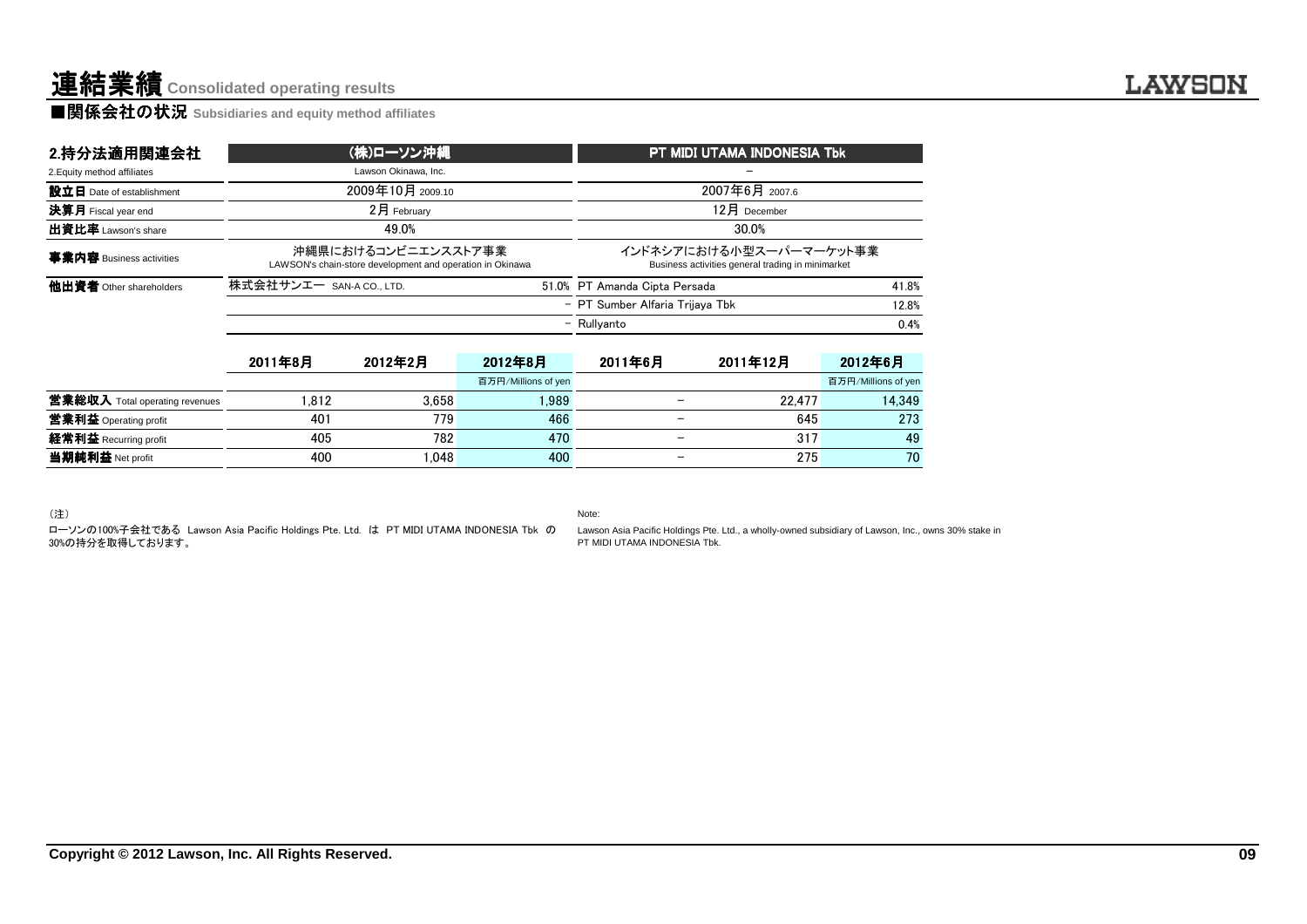**■関係会社の状況 Subsidiaries and equity method affiliates** 

| 2.持分法適用関連会社                    |                          | (株)ローソン沖縄                                                                        |                     | PT MIDI UTAMA INDONESIA Tbk                                                  |                |                     |  |
|--------------------------------|--------------------------|----------------------------------------------------------------------------------|---------------------|------------------------------------------------------------------------------|----------------|---------------------|--|
| 2. Equity method affiliates    |                          | Lawson Okinawa, Inc.                                                             |                     |                                                                              |                |                     |  |
| 設立日 Date of establishment      |                          | 2009年10月 2009.10                                                                 |                     |                                                                              | 2007年6月 2007.6 |                     |  |
| 決算月 Fiscal year end            |                          | 2月 February                                                                      |                     |                                                                              | 12月 December   |                     |  |
| 出資比率 Lawson's share            |                          | 49.0%                                                                            |                     |                                                                              | 30.0%          |                     |  |
| 事業内容 Business activities       |                          | 沖縄県におけるコンビニエンスストア事業<br>LAWSON's chain-store development and operation in Okinawa |                     | インドネシアにおける小型スーパーマーケット事業<br>Business activities general trading in minimarket |                |                     |  |
| 他出資者 Other shareholders        | 株式会社サンエー SAN-A CO., LTD. |                                                                                  |                     | 51.0% PT Amanda Cipta Persada                                                |                | 41.8%               |  |
|                                |                          |                                                                                  |                     | - PT Sumber Alfaria Trijava Tbk                                              |                | 12.8%               |  |
|                                |                          |                                                                                  |                     | - Rullyanto                                                                  |                | 0.4%                |  |
|                                | 2011年8月                  | 2012年2月                                                                          | 2012年8月             | 2011年6月                                                                      | 2011年12月       | 2012年6月             |  |
|                                |                          |                                                                                  | 百万円/Millions of yen |                                                                              |                | 百万円/Millions of yer |  |
|                                |                          |                                                                                  |                     |                                                                              |                |                     |  |
| 営業総収入 Total operating revenues | 1,812                    | 3.658                                                                            | 1,989               | —                                                                            | 22,477         | 14.349              |  |
| 當業利益 Operating profit          | 401                      | 779                                                                              | 466                 |                                                                              | 645            |                     |  |
| 経常利益 Recurring profit          | 405                      | 782                                                                              | 470                 | $\overline{\phantom{m}}$                                                     | 317            | 273<br>49           |  |

|                                | 2011年8月 | 2012年2月 | 2012年8月             | 2011年6月 | 2011年12月 | 2012年6月             |
|--------------------------------|---------|---------|---------------------|---------|----------|---------------------|
|                                |         |         | 百万円/Millions of yen |         |          | 百万円/Millions of yen |
| 営業総収入 Total operating revenues | 1.812   | 3.658   | .989                |         | 22.477   | 14.349              |
| <b>営業利益</b> Operating profit   | 401     | 779     | 466                 |         | 645      | 273                 |
| 経常利益 Recurring profit          | 405     | 782     | 470                 |         | 317      | 49                  |
| 当期純利益 Net profit               | 400     | .048    | 400                 |         | 275      | $70^{\circ}$        |
|                                |         |         |                     |         |          |                     |

Lawson Asia Pacific Holdings Pte. Ltd., a wholly-owned subsidiary of Lawson, Inc., owns 30% stake inPT MIDI UTAMA INDONESIA Tbk.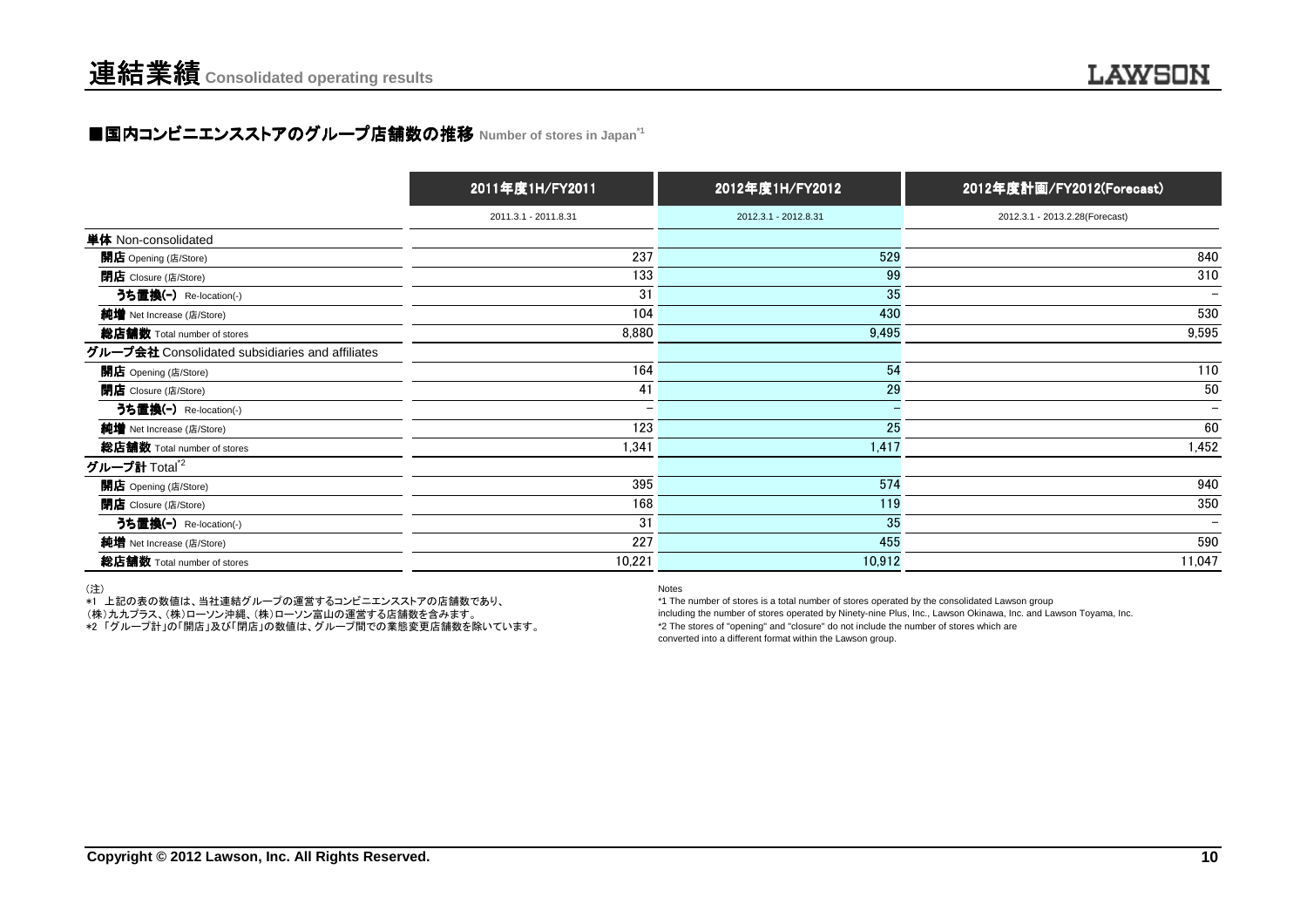### ■国内コンビニエンスストアのグループ店舗数の推移 Number of stores in Japan<sup>\*1</sup>

|                                                 | 2011年度1H/FY2011      | 2012年度1H/FY2012      | 2012年度計画/FY2012(Forecast)      |
|-------------------------------------------------|----------------------|----------------------|--------------------------------|
|                                                 | 2011.3.1 - 2011.8.31 | 2012.3.1 - 2012.8.31 | 2012.3.1 - 2013.2.28(Forecast) |
| 単体 Non-consolidated                             |                      |                      |                                |
| 開店 Opening (店/Store)                            | 237                  | 529                  | 840                            |
| <b>閉店</b> Closure (店/Store)                     | 133                  | 99                   | 310                            |
| うち置換(-) Re-location(-)                          | 31                   | 35                   | $\overline{\phantom{a}}$       |
| 純増 Net Increase (店/Store)                       | 104                  | 430                  | 530                            |
| 総店舗数 Total number of stores                     | 8,880                | 9,495                | 9,595                          |
| グループ会社 Consolidated subsidiaries and affiliates |                      |                      |                                |
| 開店 Opening (店/Store)                            | 164                  | 54                   | 110                            |
| <b>閉店</b> Closure (店/Store)                     | 41                   | 29                   | 50                             |
| うち置換(-) Re-location(-)                          |                      |                      | $\overline{\phantom{0}}$       |
| 純増 Net Increase (店/Store)                       | 123                  | 25                   | 60                             |
| 総店舗数 Total number of stores                     | 1,341                | 1,417                | 1,452                          |
| グループ計 Total <sup>*2</sup>                       |                      |                      |                                |
| 開店 Opening (店/Store)                            | 395                  | 574                  | 940                            |
| <b>閉店</b> Closure (店/Store)                     | 168                  | 119                  | 350                            |
| うち置換(-) Re-location(-)                          | 31                   | 35                   | $\qquad \qquad$                |
| 純増 Net Increase (店/Store)                       | 227                  | 455                  | 590                            |
| 総店舗数 Total number of stores                     | 10,221               | 10,912               | 11,047                         |

(注)

\*1 上記の表の数値は、当社連結グループの運営するコンビニエンスストアの店舗数であり、

(株)九九プラス、(株)ローソン沖縄、(株)ローソン富山の運営する店舗数を含みます。

\*2 「グループ計」の「開店」及び「閉店」の数値は、グループ間での業態変更店舗数を除いています。

Notes

 \*1 The number of stores is a total number of stores operated by the consolidated Lawson group including the number of stores operated by Ninety-nine Plus, Inc., Lawson Okinawa, Inc. and Lawson Toyama, Inc.\*2 The stores of "opening" and "closure" do not include the number of stores which areconverted into a different format within the Lawson group.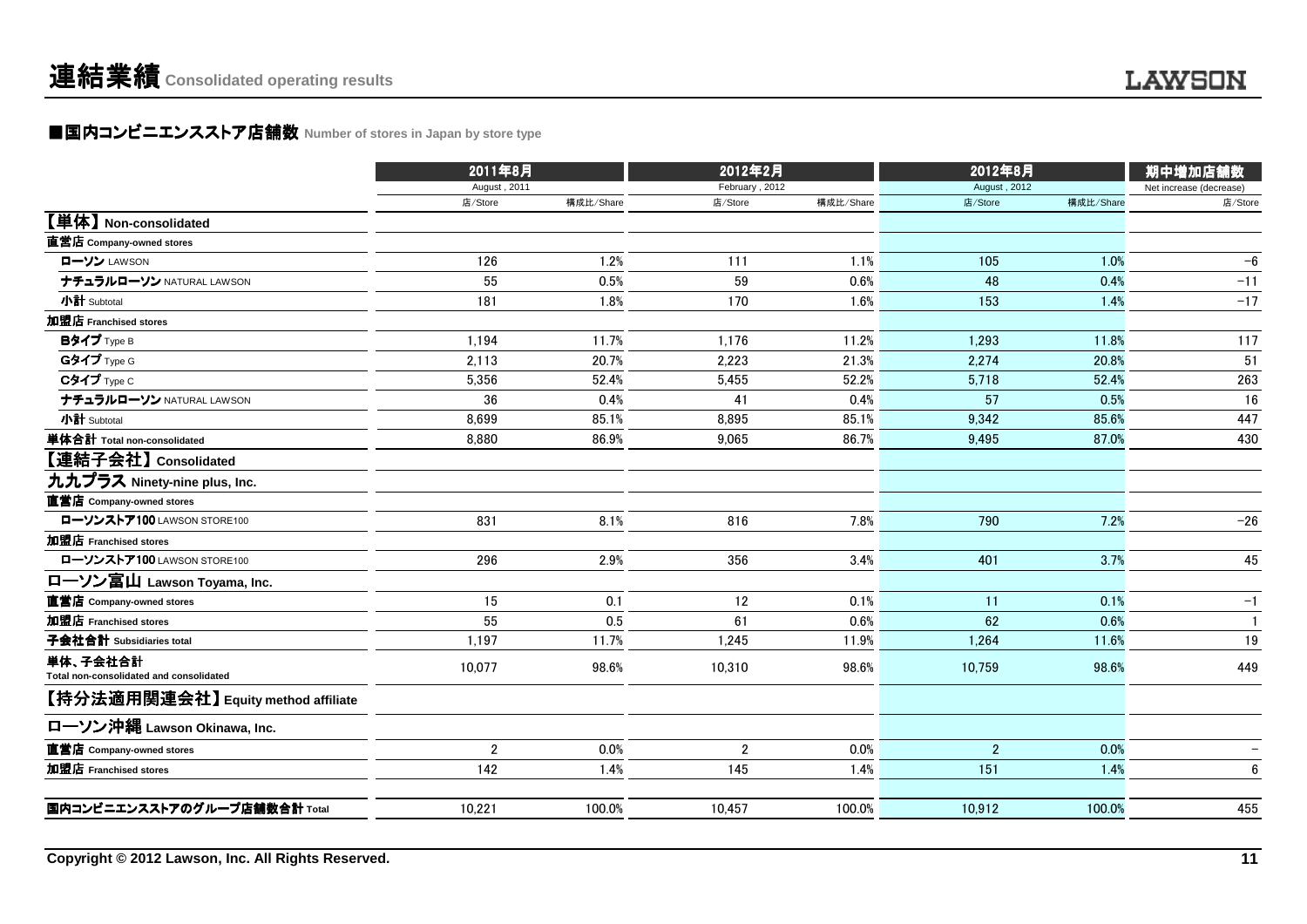### ■国内コンビニエンスストア店舗数 Number of stores in Japan by store type<br> **■国内コンビニエンスストア店舗数** Number of stores in Japan by store type

| 2011年8月          |        | 2012年2月     |        |                             |         | 期中増加店舗数                   |  |
|------------------|--------|-------------|--------|-----------------------------|---------|---------------------------|--|
| August, 2011     |        |             |        |                             |         | Net increase (decrease)   |  |
| 店/Store          |        | 店/Store     |        | 店/Store                     |         | 店/Store                   |  |
|                  |        |             |        |                             |         |                           |  |
|                  |        |             |        |                             |         |                           |  |
| 126              | 1.2%   | 111         | 1.1%   | 105                         | 1.0%    | $-6$                      |  |
| 55               | 0.5%   | 59          | 0.6%   | 48                          | 0.4%    | $-11$                     |  |
| 181              | 1.8%   | 170         | 1.6%   | 153                         | 1.4%    | $-17$                     |  |
|                  |        |             |        |                             |         |                           |  |
| 1,194            | 11.7%  | 1,176       | 11.2%  | 1,293                       | 11.8%   | 117                       |  |
| 2,113            | 20.7%  | 2,223       | 21.3%  | 2.274                       | 20.8%   | 51                        |  |
| 5,356            | 52.4%  | 5,455       | 52.2%  | 5,718                       | 52.4%   | 263                       |  |
| 36               | 0.4%   | 41          | 0.4%   | 57                          | 0.5%    | 16                        |  |
| 8,699            | 85.1%  | 8,895       | 85.1%  | 9,342                       | 85.6%   | 447                       |  |
| 8,880            | 86.9%  | 9,065       | 86.7%  | 9,495                       | 87.0%   | 430                       |  |
|                  |        |             |        |                             |         |                           |  |
|                  |        |             |        |                             |         |                           |  |
|                  |        |             |        |                             |         |                           |  |
| 831              | 8.1%   | 816         | 7.8%   | 790                         | 7.2%    | $-26$                     |  |
|                  |        |             |        |                             |         |                           |  |
| 296              | 2.9%   | 356         | 3.4%   | 401                         | 3.7%    | 45                        |  |
|                  |        |             |        |                             |         |                           |  |
| 15               | 0.1    | 12          | 0.1%   | 11                          | 0.1%    | $-1$                      |  |
| 55               | 0.5    | 61          | 0.6%   | 62                          | 0.6%    | $\mathbf{1}$              |  |
| 1,197            | 11.7%  | 1,245       | 11.9%  | 1,264                       | 11.6%   | 19                        |  |
| 10,077           | 98.6%  | 10,310      | 98.6%  | 10,759                      | 98.6%   | 449                       |  |
|                  |        |             |        |                             |         |                           |  |
|                  |        |             |        |                             |         |                           |  |
| $\boldsymbol{2}$ | 0.0%   | $\mathbf 2$ | 0.0%   | $\sqrt{2}$                  | 0.0%    |                           |  |
| 142              | 1.4%   | 145         | 1.4%   | 151                         | 1.4%    | 6                         |  |
| 10,221           | 100.0% | 10.457      | 100.0% | 10,912                      | 100.0%  | 455                       |  |
|                  |        | 構成比/Share   |        | February, 2012<br>構成比/Share | 2012年8月 | August, 2012<br>構成比/Share |  |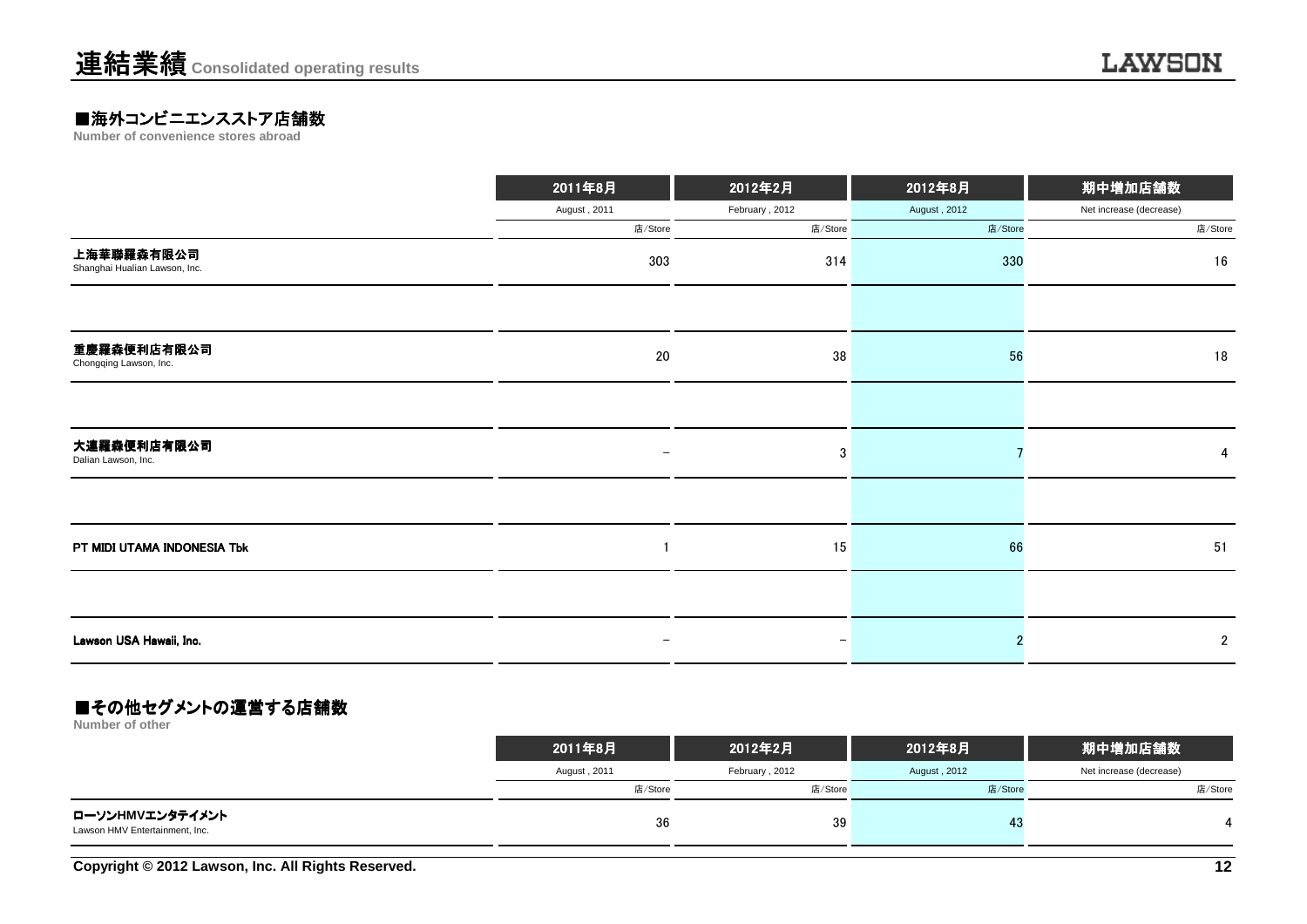# **■海外コンビニエンスストア店舗数**<br>Number of convenience stores abroad

|                                             | 2011年8月      | 2012年2月           | 2012年8月      | 期中増加店舗数                 |
|---------------------------------------------|--------------|-------------------|--------------|-------------------------|
|                                             | August, 2011 | February, 2012    | August, 2012 | Net increase (decrease) |
|                                             | 店/Store      | 店/Store           | 店/Store      | 店/Store                 |
| 上海華聯羅森有限公司<br>Shanghai Hualian Lawson, Inc. | 303          | 314               | 330          | 16                      |
|                                             |              |                   |              |                         |
| 重慶羅森便利店有限公司<br>Chongqing Lawson, Inc.       | 20           | 38                | 56           | 18                      |
|                                             |              |                   |              |                         |
| 大連羅森便利店有限公司<br>Dalian Lawson, Inc.          |              | 3                 |              | 4                       |
|                                             |              |                   |              |                         |
| PT MIDI UTAMA INDONESIA Tbk                 |              | 15                | 66           | 51                      |
|                                             |              |                   |              |                         |
| Lawson USA Hawaii, Inc.                     | -            | $\qquad \qquad -$ |              | $\overline{2}$          |

#### ■その他セグメントの運営する店舗数

**Number of other**

|                                                   | 2011年8月      | 2012年2月        | 2012年8月      | 期中増加店舗数                 |
|---------------------------------------------------|--------------|----------------|--------------|-------------------------|
|                                                   | August, 2011 | February, 2012 | August, 2012 | Net increase (decrease) |
|                                                   | 店/Store      | 店/Store        | 店/Store      | 店/Store                 |
| ローソンHMVエンタテイメント<br>Lawson HMV Entertainment, Inc. | 36           | 39             | -43          |                         |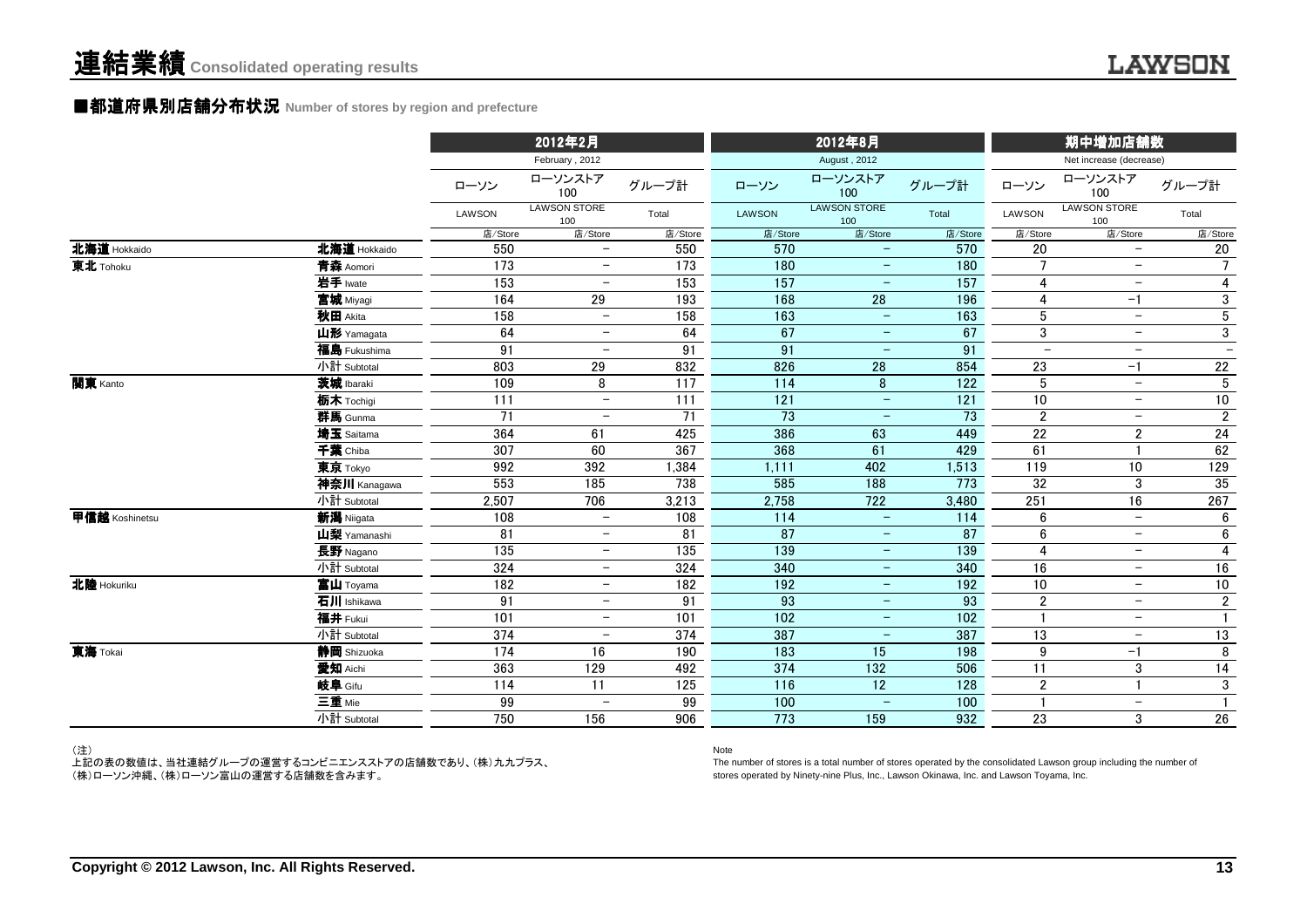#### **■都道府県別店舗分布状況** Number of stores by region and prefecture

|                              |                 | 2012年2月                    |         |               | 2012年8月                    |                  |                          | 期中増加店舗数                    |                          |
|------------------------------|-----------------|----------------------------|---------|---------------|----------------------------|------------------|--------------------------|----------------------------|--------------------------|
|                              |                 | February, 2012             |         |               | August, 2012               |                  |                          | Net increase (decrease)    |                          |
|                              | ローソン            | ローソンストア<br>100             | グループ計   | ローソン          | ローソンストア<br>100             | グループ計            | ローソン                     | ローソンストア<br>100             | グループ計                    |
|                              | LAWSON          | <b>LAWSON STORE</b><br>100 | Total   | <b>LAWSON</b> | <b>LAWSON STORE</b><br>100 | Total            | <b>LAWSON</b>            | <b>LAWSON STORE</b><br>100 | Total                    |
|                              | 店/Store         | 店/Store                    | 店/Store | 店/Store       | 店/Store                    | 店/Store          | 店/Store                  | 店/Store                    | 店/Store                  |
| 北海道 Hokkaido<br>北海道 Hokkaido | 550             | $\overline{\phantom{0}}$   | 550     | 570           | $\overline{\phantom{a}}$   | 570              | 20                       | $\overline{\phantom{m}}$   | 20                       |
| 東北 Tohoku<br>青森 Aomori       | 173             | $\overline{\phantom{0}}$   | 173     | 180           | $\overline{\phantom{m}}$   | 180              | $\overline{7}$           | $-$                        | $\overline{7}$           |
| 岩手 Iwate                     | $\frac{153}{ }$ | $\overline{\phantom{m}}$   | 153     | 157           | $\qquad \qquad -$          | 157              | 4                        | $\overline{\phantom{m}}$   | 4                        |
| 宮城 Miyagi                    | 164             | 29                         | 193     | 168           | $\overline{28}$            | 196              | 4                        | $-1$                       | 3                        |
| 秋田 Akita                     | 158             | $\overline{\phantom{a}}$   | 158     | 163           | $\overline{\phantom{0}}$   | 163              | 5                        | $\overline{\phantom{m}}$   | $\overline{5}$           |
| 山形 Yamagata                  | 64              | $\overline{\phantom{m}}$   | 64      | 67            | $\qquad \qquad -$          | 67               | 3                        | $\overline{\phantom{m}}$   | 3                        |
| 福島 Fukushima                 | 91              |                            | 91      | 91            |                            | 91               | $\overline{\phantom{0}}$ | $\overline{\phantom{m}}$   | $\overline{\phantom{m}}$ |
| 小計 Subtotal                  | 803             | 29                         | 832     | 826           | 28                         | 854              | 23                       | $-1$                       | 22                       |
| 関東 Kanto<br>茨城 Ibaraki       | 109             | 8                          | 117     | 114           | 8                          | $\overline{122}$ | $5\phantom{.0}$          | $\overline{\phantom{m}}$   | $\overline{5}$           |
| 栃木 Tochigi                   | 111             | $\overline{\phantom{0}}$   | 111     | 121           | $\overline{\phantom{a}}$   | 121              | $10$                     | $\overline{\phantom{m}}$   | 10                       |
| 群馬 Gunma                     | 71              | $\overline{\phantom{m}}$   | 71      | 73            | $\qquad \qquad -$          | 73               | $\overline{2}$           | $\overline{\phantom{m}}$   | $\overline{\mathbf{c}}$  |
| 埼玉 Saitama                   | 364             | 61                         | 425     | 386           | 63                         | 449              | 22                       | $\overline{2}$             | 24                       |
| 千葉 Chiba                     | 307             | 60                         | 367     | 368           | 61                         | 429              | 61                       |                            | 62                       |
| 東京 Tokyo                     | 992             | 392                        | 1,384   | 1,111         | 402                        | 1,513            | 119                      | 10                         | 129                      |
| 神奈川 Kanagawa                 | 553             | 185                        | 738     | 585           | 188                        | 773              | 32                       | 3                          | 35                       |
| 小計 Subtotal                  | 2,507           | 706                        | 3,213   | 2,758         | 722                        | 3,480            | 251                      | 16                         | 267                      |
| 甲信越 Koshinetsu<br>新潟 Niigata | 108             | $\overline{\phantom{0}}$   | 108     | 114           | $\equiv$                   | 114              | 6                        | $\overline{\phantom{m}}$   | 6                        |
| 山梨 Yamanashi                 | 81              | $\overline{\phantom{m}}$   | 81      | 87            | $\qquad \qquad -$          | 87               | 6                        | $\overline{\phantom{m}}$   | 6                        |
| 長野 Nagano                    | 135             | $\overline{\phantom{m}}$   | 135     | 139           | $\qquad \qquad -$          | 139              | 4                        | $-$                        | 4                        |
| 小計 Subtotal                  | 324             | $\overline{\phantom{m}}$   | 324     | 340           | $\qquad \qquad -$          | 340              | $\overline{16}$          | $-$                        | 16                       |
| 北陸 Hokuriku<br>富山 Toyama     | 182             | $\overline{\phantom{a}}$   | 182     | 192           | $\overline{\phantom{a}}$   | 192              | $\overline{10}$          | $\overline{\phantom{m}}$   | 10                       |
| 石川 Ishikawa                  | 91              | $\overline{\phantom{m}}$   | 91      | 93            | $\overline{\phantom{m}}$   | 93               | $\overline{2}$           | $\overline{\phantom{m}}$   | $\boldsymbol{2}$         |
| 福井 Fukui                     | 101             | $\overline{\phantom{a}}$   | 101     | 102           | $\qquad \qquad -$          | 102              |                          | $\overline{\phantom{m}}$   |                          |
| 小計 Subtotal                  | 374             | $\overline{\phantom{m}}$   | 374     | 387           | $\overline{\phantom{m}}$   | 387              | 13                       | $\overline{\phantom{m}}$   | 13                       |
| 東海 Tokai<br>静岡 Shizuoka      | 174             | 16                         | 190     | 183           | 15                         | 198              | $\boldsymbol{9}$         | $-1$                       | 8                        |
| 愛知 Aichi                     | 363             | 129                        | 492     | 374           | 132                        | 506              | 11                       | 3                          | $14$                     |
| 岐阜 Gifu                      | 114             | 11                         | 125     | 116           | 12                         | 128              | $\overline{2}$           | $\mathbf{1}$               | 3                        |
| 三重 Mie                       | 99              | $\overline{\phantom{0}}$   | 99      | 100           | $\overline{\phantom{0}}$   | 100              | 1                        | $\overline{\phantom{m}}$   | $\mathbf{1}$             |
| 小計 Subtotal                  | 750             | 156                        | 906     | 773           | 159                        | 932              | 23                       | 3                          | $26\,$                   |

(注)

 上記の表の数値は、当社連結グループの運営するコンビニエンスストアの店舗数であり、(株)九九プラス、(株)ローソン沖縄、(株)ローソン富山の運営する店舗数を含みます。

#### Note

 The number of stores is a total number of stores operated by the consolidated Lawson group including the number ofstores operated by Ninety-nine Plus, Inc., Lawson Okinawa, Inc. and Lawson Toyama, Inc.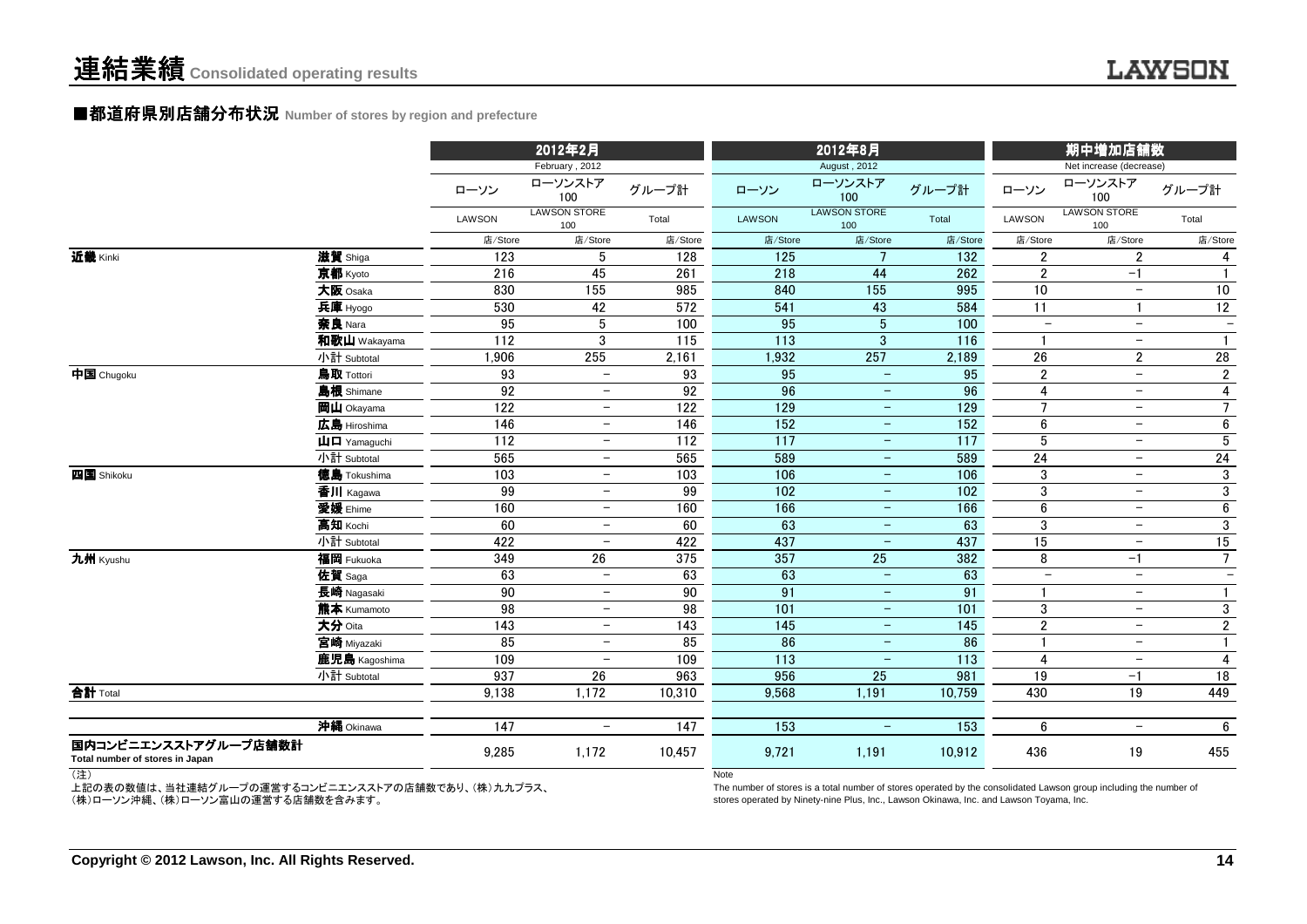#### ■都道府県別店舗分布状況 Number of stores by region and prefecture

|                                                         |                                                           |                  | 2012年2月                    |                  |                  | 2012年8月                    |                  |                          | 期中増加店舗数                    |                          |
|---------------------------------------------------------|-----------------------------------------------------------|------------------|----------------------------|------------------|------------------|----------------------------|------------------|--------------------------|----------------------------|--------------------------|
|                                                         |                                                           |                  | February, 2012             |                  |                  | August, 2012               |                  |                          | Net increase (decrease)    |                          |
|                                                         |                                                           | ローソン             | ローソンストア<br>100             | グループ計            | ローソン             | ローソンストア<br>100             | グループ計            | ローソン                     | ローソンストア<br>100             | グループ計                    |
|                                                         |                                                           | LAWSON           | <b>LAWSON STORE</b><br>100 | Total            | LAWSON           | <b>LAWSON STORE</b><br>100 | Total            | LAWSON                   | <b>LAWSON STORE</b><br>100 | Total                    |
|                                                         |                                                           | 店/Store          | 店/Store                    | 店/Store          | 店/Store          | 店/Store                    | 店/Store          | 店/Store                  | 店/Store                    | 店/Store                  |
| 近畿 Kinki                                                | 滋賀 Shiga                                                  | $\overline{123}$ | 5                          | 128              | $\overline{125}$ | $\overline{7}$             | $\overline{132}$ | $\overline{2}$           | $\overline{2}$             | 4                        |
|                                                         | 京都 Kyoto                                                  | 216              | 45                         | 261              | 218              | 44                         | 262              | $\mathbf{2}$             | $-1$                       |                          |
|                                                         | 大阪 Osaka                                                  | 830              | 155                        | 985              | 840              | $\frac{155}{155}$          | 995              | $\overline{10}$          | $-$                        | 10                       |
|                                                         | 兵庫 Hyogo                                                  | 530              | 42                         | $\overline{572}$ | 541              | 43                         | 584              | $\overline{11}$          | $\mathbf{1}$               | $\overline{12}$          |
|                                                         | 奈良 Nara                                                   | 95               | $\overline{5}$             | 100              | 95               | $\overline{5}$             | 100              | $\overline{\phantom{m}}$ | $\overline{\phantom{a}}$   | $\overline{\phantom{m}}$ |
|                                                         | 和歌山 Wakayama                                              | 112              | 3                          | 115              | 113              | $\mathbf{3}$               | 116              | $\mathbf{1}$             | $-$                        |                          |
|                                                         | 小計 Subtotal                                               | 1,906            | 255                        | 2,161            | 1,932            | 257                        | 2,189            | 26                       | $\overline{2}$             | 28                       |
| 中国 Chugoku                                              | 鳥取 Tottori                                                | 93               | $\overline{\phantom{m}}$   | 93               | 95               | $\equiv$                   | 95               | $\overline{2}$           | $\overline{\phantom{a}}$   | $\mathbf{2}$             |
|                                                         | 島根 Shimane                                                | 92               | $\overline{\phantom{m}}$   | 92               | 96               | $\overline{\phantom{m}}$   | 96               | $\overline{4}$           | $-$                        | 4                        |
|                                                         | 岡山 Okayama                                                | 122              | $\overline{\phantom{m}}$   | 122              | 129              | $\overline{\phantom{m}}$   | $\overline{129}$ | $\overline{7}$           | $-$                        | $\overline{7}$           |
|                                                         | 広島 Hiroshima                                              | 146              | $\overline{\phantom{m}}$   | 146              | 152              | $\overline{\phantom{m}}$   | 152              | $6\phantom{a}$           | $\overline{\phantom{m}}$   | $6\phantom{a}$           |
|                                                         | $\mathbf{\mathsf{\mu}}$ $\mathbf{\mathsf{\Pi}}$ Yamaquchi | 112              | $\overline{\phantom{m}}$   | 112              | 117              | $\equiv$                   | 117              | 5                        | $\overline{\phantom{m}}$   | $5\phantom{.0}$          |
|                                                         | 小計 Subtotal                                               | 565              | $\overline{\phantom{m}}$   | 565              | 589              | $\equiv$                   | 589              | 24                       | $-$                        | 24                       |
| 四国 Shikoku                                              | <b>徳島</b> Tokushima                                       | 103              | $\overline{\phantom{m}}$   | 103              | 106              | $-$                        | 106              | 3                        | $\overline{\phantom{0}}$   | 3                        |
|                                                         | 香川 Kagawa                                                 | 99               | $\overline{\phantom{a}}$   | 99               | 102              | $\equiv$                   | 102              | 3                        | $-$                        | 3                        |
|                                                         | 愛媛 Ehime                                                  | 160              | $\overline{\phantom{a}}$   | 160              | 166              | $\overline{\phantom{m}}$   | 166              | $\boldsymbol{6}$         | $\overline{\phantom{m}}$   | 6                        |
|                                                         | 高知 Kochi                                                  | 60               | $\overline{\phantom{a}}$   | 60               | 63               | $\equiv$                   | 63               | 3                        | $-$                        | 3                        |
|                                                         | 小計 Subtotal                                               | 422              | $\overline{\phantom{0}}$   | 422              | 437              | $\equiv$                   | 437              | 15                       | $-$                        | 15                       |
| 九州 Kyushu                                               | 福岡 Fukuoka                                                | 349              | 26                         | 375              | 357              | 25                         | 382              | 8                        | $-1$                       | 7 <sup>7</sup>           |
|                                                         | 佐賀 Saga                                                   | 63               | $\overline{\phantom{0}}$   | 63               | 63               | $\equiv$                   | 63               | $\overline{\phantom{a}}$ | $-$                        | $\overline{\phantom{0}}$ |
|                                                         | 長崎 Nagasaki                                               | 90               | $\overline{\phantom{m}}$   | 90               | 91               | $\overline{\phantom{m}}$   | 91               |                          | $\overline{\phantom{m}}$   | $\mathbf{1}$             |
|                                                         | 熊本 Kumamoto                                               | 98               | $\overline{\phantom{m}}$   | 98               | 101              | $\overline{\phantom{m}}$   | 101              | 3                        | $\overline{\phantom{m}}$   | 3                        |
|                                                         | 大分 Oita                                                   | 143              | $\overline{\phantom{m}}$   | 143              | 145              | $\equiv$                   | 145              | $\overline{2}$           | $-$                        | $\mathbf{2}$             |
|                                                         | 宮崎 Miyazaki                                               | 85               | $\overline{\phantom{m}}$   | 85               | 86               | $\equiv$                   | 86               |                          | $-$                        |                          |
|                                                         | 鹿児島 Kagoshima                                             | 109              | $\overline{\phantom{0}}$   | 109              | 113              | $\overline{\phantom{m}}$   | 113              | $\overline{4}$           | $-$                        | 4                        |
|                                                         | 小計 Subtotal                                               | 937              | 26                         | 963              | 956              | 25                         | 981              | 19                       | -1                         | 18                       |
| 合計 Total                                                |                                                           | 9,138            | 1,172                      | 10,310           | 9,568            | 1,191                      | 10,759           | 430                      | 19                         | 449                      |
|                                                         |                                                           |                  |                            |                  |                  |                            |                  |                          |                            |                          |
|                                                         | 沖縄 Okinawa                                                | 147              | $\overline{\phantom{a}}$   | 147              | 153              | $\equiv$                   | $\overline{153}$ | 6                        | $-$                        | 6                        |
| 国内コンビニエンスストアグループ店舗数計<br>Total number of stores in Japan |                                                           | 9,285            | 1,172                      | 10,457           | 9,721            | 1,191                      | 10,912           | 436                      | 19                         | 455                      |

(注)

上記の表の数値は、当社連結グループの運営するコンビニエンスストアの店舗数であり、(株)九九プラス、 (株)ローソン沖縄、(株)ローソン富山の運営する店舗数を含みます。

**Note** 

 The number of stores is a total number of stores operated by the consolidated Lawson group including the number ofstores operated by Ninety-nine Plus, Inc., Lawson Okinawa, Inc. and Lawson Toyama, Inc.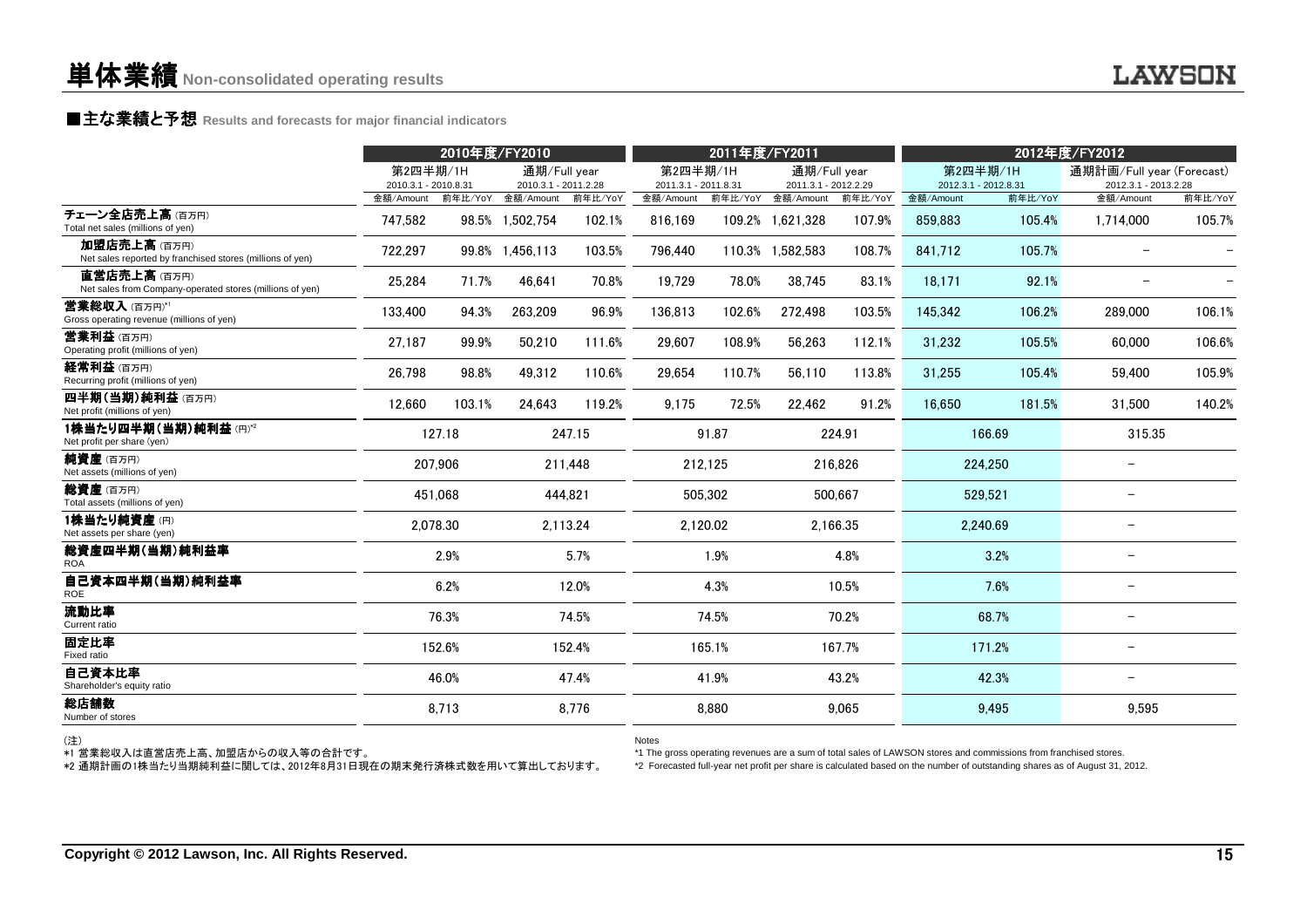### **■主な業績と予想** Results and forecasts for major financial indicators<br>
————————————————————

|                                                                                                      |                                  | 2010年度/FY2010 |                                      |          |                                  | 2011年度/FY2011 |                                      |         |                                                                                                                   | 2012年度/FY2012 |                                                                                                                             |         |  |
|------------------------------------------------------------------------------------------------------|----------------------------------|---------------|--------------------------------------|----------|----------------------------------|---------------|--------------------------------------|---------|-------------------------------------------------------------------------------------------------------------------|---------------|-----------------------------------------------------------------------------------------------------------------------------|---------|--|
|                                                                                                      | 第2四半期/1H<br>2010.3.1 - 2010.8.31 |               | 通期/Full year<br>2010.3.1 - 2011.2.28 |          | 第2四半期/1H<br>2011.3.1 - 2011.8.31 |               | 通期/Full year<br>2011.3.1 - 2012.2.29 |         | 第2四半期/1H<br>2012.3.1 - 2012.8.31                                                                                  |               | 通期計画/Full year (Forecast)<br>2012.3.1 - 2013.2.28                                                                           |         |  |
|                                                                                                      |                                  |               | 金額/Amount 前年比/YoY 金額/Amount          | 前年比/YoY  | 金額/Amount                        |               | 前年比/YoY 金額/Amount                    | 前年比/YoY | 金額/Amount                                                                                                         | 前年比/YoY       | 金額/Amount                                                                                                                   | 前年比/YoY |  |
| チェーン全店売上高(百万円)<br>Total net sales (millions of yen)                                                  | 747.582                          |               | 98.5% 1,502,754                      | 102.1%   | 816.169                          |               | 109.2% 1,621,328                     | 107.9%  | 859,883                                                                                                           | 105.4%        | 1,714,000                                                                                                                   | 105.7%  |  |
| 加盟店売上高(百万円)<br>Net sales reported by franchised stores (millions of yen)                             | 722.297                          |               | 99.8% 1.456.113                      | 103.5%   | 796.440                          |               | 110.3% 1.582.583                     | 108.7%  | 841.712                                                                                                           | 105.7%        | $\overline{\phantom{a}}$                                                                                                    |         |  |
| 直営店売上高(百万円)<br>Net sales from Company-operated stores (millions of yen)                              | 25.284                           | 71.7%         | 46.641                               | 70.8%    | 19,729                           | 78.0%         | 38.745                               | 83.1%   | 18.171                                                                                                            | 92.1%         | $\qquad \qquad -$                                                                                                           |         |  |
| <b>営業総収入</b> (百万円)*'<br>Gross operating revenue (millions of yen)                                    | 133,400                          | 94.3%         | 263,209                              | 96.9%    | 136,813                          | 102.6%        | 272,498                              | 103.5%  | 145,342                                                                                                           | 106.2%        | 289,000                                                                                                                     | 106.1%  |  |
| <b>営業利益</b> (百万円)<br>Operating profit (millions of yen)                                              | 27,187                           | 99.9%         | 50,210                               | 111.6%   | 29,607                           | 108.9%        | 56,263                               | 112.1%  | 31,232                                                                                                            | 105.5%        | 60,000                                                                                                                      | 106.6%  |  |
| 経常利益(百万円)<br>Recurring profit (millions of yen)                                                      | 26,798                           | 98.8%         | 49,312                               | 110.6%   | 29,654                           | 110.7%        | 56,110                               | 113.8%  | 31,255                                                                                                            | 105.4%        | 59.400                                                                                                                      | 105.9%  |  |
| 四半期(当期)純利益(百万円)<br>Net profit (millions of yen)                                                      | 12,660                           | 103.1%        | 24,643                               | 119.2%   | 9,175                            | 72.5%         | 22,462                               | 91.2%   | 16,650                                                                                                            | 181.5%        | 31,500                                                                                                                      | 140.2%  |  |
| 1株当たり四半期(当期)純利益(円)*2<br>Net profit per share (yen)                                                   |                                  | 127.18        |                                      | 247.15   |                                  | 91.87         |                                      | 224.91  |                                                                                                                   | 166.69        | 315.35                                                                                                                      |         |  |
| 純資産(百万円)<br>Net assets (millions of yen)                                                             |                                  | 207,906       |                                      | 211,448  |                                  | 212,125       |                                      | 216,826 |                                                                                                                   | 224.250       | $\overline{\phantom{0}}$                                                                                                    |         |  |
| <b>総資産</b> (百万円)<br>Total assets (millions of yen)                                                   |                                  | 451.068       |                                      | 444.821  |                                  | 505.302       |                                      | 500.667 |                                                                                                                   | 529.521       | $\qquad \qquad -$                                                                                                           |         |  |
| 1株当たり純資産(円)<br>Net assets per share (yen)                                                            |                                  | 2,078.30      |                                      | 2,113.24 |                                  | 2,120.02      | 2,166.35                             |         | 2,240.69                                                                                                          |               | $\qquad \qquad -$                                                                                                           |         |  |
| 総資産四半期(当期)純利益率<br><b>ROA</b>                                                                         |                                  | 2.9%          | 5.7%                                 |          |                                  | 1.9%          |                                      | 4.8%    |                                                                                                                   | 3.2%          | $\qquad \qquad -$                                                                                                           |         |  |
| 自己資本四半期(当期)純利益率<br><b>ROE</b>                                                                        |                                  | 6.2%          | 12.0%                                |          | 4.3%                             |               | 10.5%                                |         | 7.6%                                                                                                              |               | $\qquad \qquad -$                                                                                                           |         |  |
| 流動比率<br>Current ratio                                                                                |                                  | 76.3%         |                                      | 74.5%    |                                  | 74.5%         |                                      | 70.2%   |                                                                                                                   | 68.7%         | $\qquad \qquad -$                                                                                                           |         |  |
| 固定比率<br>Fixed ratio                                                                                  |                                  | 152.6%        |                                      | 152.4%   |                                  | 165.1%        |                                      | 167.7%  |                                                                                                                   | 171.2%        | $\qquad \qquad -$                                                                                                           |         |  |
| 自己資本比率<br>Shareholder's equity ratio                                                                 |                                  | 46.0%         |                                      | 47.4%    |                                  | 41.9%         |                                      | 43.2%   |                                                                                                                   | 42.3%         | $\qquad \qquad -$                                                                                                           |         |  |
| 総店舗数<br>Number of stores                                                                             |                                  | 8,713         |                                      | 8,776    |                                  | 8,880         |                                      | 9.065   |                                                                                                                   | 9,495         | 9.595                                                                                                                       |         |  |
| (注)<br>*1 営業総収入は直営店売上高、加盟店からの収入等の合計です。<br>*2 通期計画の1株当たり当期純利益に関しては、2012年8月31日現在の期末発行済株式数を用いて算出しております。 |                                  |               |                                      |          | <b>Notes</b>                     |               |                                      |         | *1 The gross operating revenues are a sum of total sales of LAWSON stores and commissions from franchised stores. |               | *2 Forecasted full-year net profit per share is calculated based on the number of outstanding shares as of August 31, 2012. |         |  |
|                                                                                                      |                                  |               |                                      |          |                                  |               |                                      |         |                                                                                                                   |               |                                                                                                                             |         |  |
|                                                                                                      |                                  |               |                                      |          |                                  |               |                                      |         |                                                                                                                   |               |                                                                                                                             |         |  |
| Copyright © 2012 Lawson, Inc. All Rights Reserved.                                                   |                                  |               |                                      |          |                                  |               |                                      |         |                                                                                                                   |               |                                                                                                                             | 15      |  |

(注)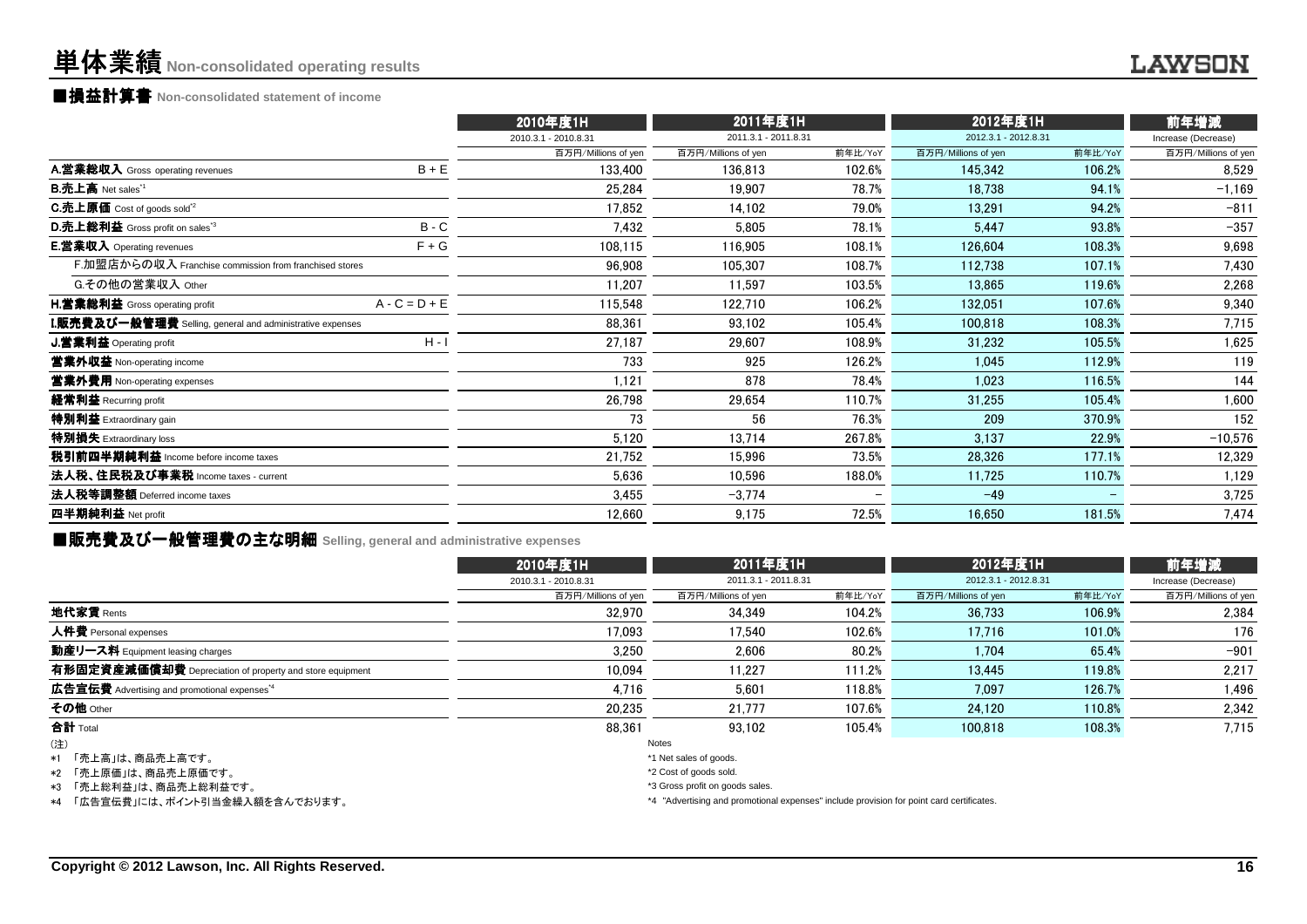### ■損益計算書 **Non-consolidated statement of income**

|                                                                  |                 | 2010年度1H             | 2011年度1H             |                   | 2012年度1H             |         | 前年増減                |  |
|------------------------------------------------------------------|-----------------|----------------------|----------------------|-------------------|----------------------|---------|---------------------|--|
|                                                                  |                 | 2010.3.1 - 2010.8.31 | 2011.3.1 - 2011.8.31 |                   | 2012.3.1 - 2012.8.31 |         | Increase (Decrease) |  |
|                                                                  |                 | 百万円/Millions of yen  | 百万円/Millions of yen  | 前年比/YoY           | 百万円/Millions of yen  | 前年比/YoY | 百万円/Millions of yen |  |
| A.営業総収入 Gross operating revenues                                 | $B + E$         | 133.400              | 136,813              | 102.6%            | 145,342              | 106.2%  | 8,529               |  |
| <b>B.売上高</b> Net sales <sup>"1</sup>                             |                 | 25.284               | 19,907               | 78.7%             | 18.738               | 94.1%   | $-1.169$            |  |
| <b>C.売上原価</b> Cost of goods sold <sup>2</sup>                    |                 | 17,852               | 14,102               | 79.0%             | 13,291               | 94.2%   | $-811$              |  |
| D.売上総利益 Gross profit on sales <sup>3</sup>                       | $B - C$         | 7,432                | 5,805                | 78.1%             | 5,447                | 93.8%   | $-357$              |  |
| <b>E.営業収入</b> Operating revenues                                 | $F + G$         | 108,115              | 116,905              | 108.1%            | 126,604              | 108.3%  | 9,698               |  |
| F.加盟店からの収入 Franchise commission from franchised stores           |                 | 96,908               | 105,307              | 108.7%            | 112,738              | 107.1%  | 7,430               |  |
| G.その他の営業収入 Other                                                 |                 | 11.207               | 11.597               | 103.5%            | 13.865               | 119.6%  | 2,268               |  |
| <b>H.営業総利益</b> Gross operating profit                            | $A - C = D + E$ | 115,548              | 122,710              | 106.2%            | 132.051              | 107.6%  | 9,340               |  |
| <b>I.販売費及び一般管理費</b> Selling, general and administrative expenses |                 | 88,361               | 93,102               | 105.4%            | 100.818              | 108.3%  | 7,715               |  |
| J.営業利益 Operating profit                                          | $H - I$         | 27,187               | 29,607               | 108.9%            | 31,232               | 105.5%  | 1,625               |  |
| 営業外収益 Non-operating income                                       |                 | 733                  | 925                  | 126.2%            | 1,045                | 112.9%  | 119                 |  |
| 営業外費用 Non-operating expenses                                     |                 | 1,121                | 878                  | 78.4%             | 1.023                | 116.5%  | 144                 |  |
| 経常利益 Recurring profit                                            |                 | 26,798               | 29,654               | 110.7%            | 31.255               | 105.4%  | 1,600               |  |
| 特別利益 Extraordinary gain                                          |                 | 73                   | 56                   | 76.3%             | 209                  | 370.9%  | 152                 |  |
| 特別損失 Extraordinary loss                                          |                 | 5,120                | 13,714               | 267.8%            | 3,137                | 22.9%   | $-10,576$           |  |
| 税引前四半期純利益 Income before income taxes                             |                 | 21,752               | 15,996               | 73.5%             | 28,326               | 177.1%  | 12,329              |  |
| 法人税、住民税及び事業税 Income taxes - current                              |                 | 5,636                | 10,596               | 188.0%            | 11,725               | 110.7%  | 1,129               |  |
| 法人税等調整額 Deferred income taxes                                    |                 | 3,455                | $-3,774$             | $\qquad \qquad -$ | $-49$                |         | 3,725               |  |
| 四半期純利益 Net profit                                                |                 | 12,660               | 9,175                | 72.5%             | 16,650               | 181.5%  | 7,474               |  |
|                                                                  |                 |                      |                      |                   |                      |         |                     |  |

■販売費及び一般管理費の主な明細 **Selling, general and administrative expenses**

|                                                          | 2010年度1H             | 2011年度1H             |         | 2012年度1H             |         | 前年増減<br>Increase (Decrease) |  |
|----------------------------------------------------------|----------------------|----------------------|---------|----------------------|---------|-----------------------------|--|
|                                                          | 2010.3.1 - 2010.8.31 | 2011.3.1 - 2011.8.31 |         | 2012.3.1 - 2012.8.31 |         |                             |  |
|                                                          | 百万円/Millions of yen  | 百万円/Millions of yen  | 前年比/YoY | 百万円/Millions of yen  | 前年比/YoY | 百万円/Millions of yen         |  |
| 地代家賃 Rents                                               | 32,970               | 34.349               | 104.2%  | 36.733               | 106.9%  | 2.384                       |  |
| 人件費 Personal expenses                                    | 17.093               | 17.540               | 102.6%  | 17.716               | 101.0%  | 176                         |  |
| 動産リース料 Equipment leasing charges                         | 3.250                | 2.606                | 80.2%   | 1,704                | 65.4%   | $-901$                      |  |
| 有形固定資産減価償却費 Depreciation of property and store equipment | 10.094               | 11.227               | 111.2%  | 13.445               | 119.8%  | 2.217                       |  |
| 広告宣伝費 Advertising and promotional expenses <sup>*4</sup> | 4,716                | 5.601                | 118.8%  | 7.097                | 126.7%  | 1.496                       |  |
| その他 Other                                                | 20,235               | 21.777               | 107.6%  | 24.120               | 110.8%  | 2,342                       |  |
| 合計 Total                                                 | 88,361               | 93.102               | 105.4%  | 100.818              | 108.3%  | 7,715                       |  |
| (注)                                                      |                      | Notes                |         |                      |         |                             |  |

\*1「売上高」は、商品売上高です。

\*2 「売上原価」は、商品売上原価です。

\*3 「売上総利益」は、商品売上総利益です。

\*4 「広告宣伝費」には、ポイント引当金繰入額を含んでおります。

\*1 Net sales of goods.

\*2 Cost of goods sold.

\*3 Gross profit on goods sales.

\*4 "Advertising and promotional expenses" include provision for point card certificates.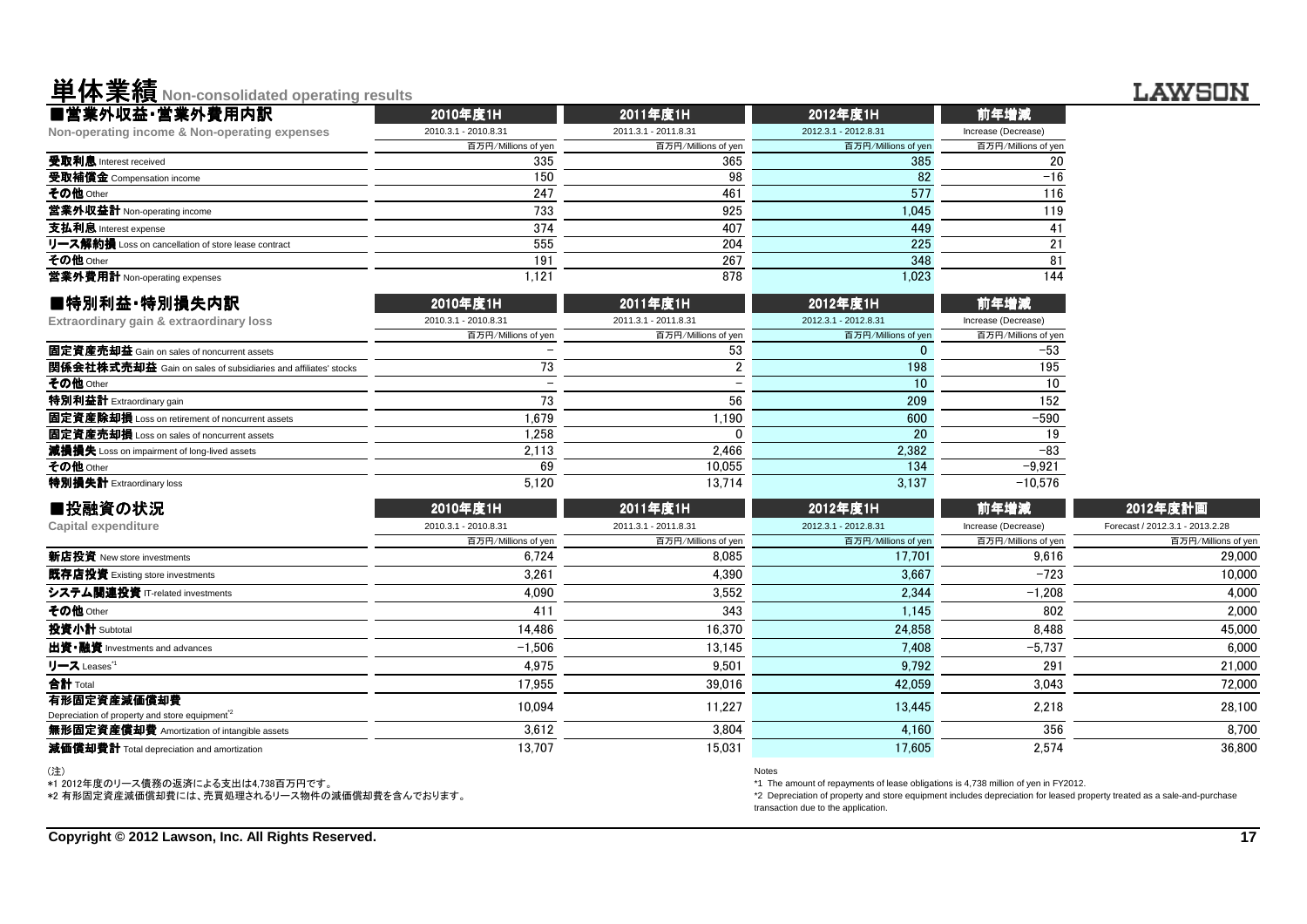# 単体業績**Non-consolidated operating results**

| ■営業外収益·営業外費用内訳<br>前年増減<br>2010年度1H<br>2011年度1H<br>2012年度1H<br>2010.3.1 - 2010.8.31<br>2011.3.1 - 2011.8.31<br>2012.3.1 - 2012.8.31<br>Increase (Decrease)<br>百万円/Millions of yen<br>百万円/Millions of yen<br>百万円/Millions of yen<br>百万円/Millions of yen<br>385<br>335<br>365<br>20<br>150<br>98<br>82<br>$-16$<br>$\overline{247}$<br>577<br>461<br>116<br>733<br>925<br>1,045<br>119<br>374<br>407<br>449<br>41<br>555<br>204<br>225<br>21<br>191<br>267<br>348<br>81<br>1,121<br>878<br>1,023<br>144<br>■特別利益·特別損失内訳<br>2010年度1H<br>2011年度1H<br>2012年度1H<br>前年増減<br>2010.3.1 - 2010.8.31<br>2011.3.1 - 2011.8.31<br>2012.3.1 - 2012.8.31<br>Increase (Decrease)<br>百万円/Millions of yen<br>百万円/Millions of yen<br>百万円/Millions of yen<br>百万円/Millions of yen<br>53<br>$\mathbf 0$<br>$-53$<br>73<br>$\overline{2}$<br>195<br>198<br>10<br>10<br>73<br>56<br>209<br>152<br>1,679<br>600<br>$-590$<br>1,190<br>20<br>1,258<br>19<br>O<br>2,382<br>2,113<br>2,466<br>$-83$<br>69<br>10.055<br>134<br>$-9,921$<br>5,120<br>13.714<br>3,137<br>$-10,576$<br>■投融資の状況<br>2011年度1H<br>前年増減<br>2012年度計画<br>2010年度1H<br>2012年度1H<br>2010.3.1 - 2010.8.31<br>2011.3.1 - 2011.8.31<br>2012.3.1 - 2012.8.31<br>Increase (Decrease)<br>百万円/Millions of yen<br>百万円/Millions of yen<br>百万円/Millions of yen<br>百万円/Millions of yen<br>6.724<br>8.085<br>17.701<br>9.616<br>3,261<br>4,390<br>3,667<br>$-723$<br>4.090<br>3.552<br>2.344<br>$-1.208$<br>411<br>343<br>802<br>1,145<br>14,486<br>16,370<br>24,858<br>8,488<br>7.408<br>$-5,737$<br>$-1,506$<br>13,145<br>4,975<br>9,501<br>9,792<br>291<br>17,955<br>42,059<br>3,043<br>39,016<br>10,094<br>11,227<br>13,445<br>2,218<br>3,612<br>3,804<br>356<br>4,160<br>13,707<br>17,605<br>15,031<br>2,574 | <u>I II PINTER MANAGEMENT I</u> |  |  |                                 |
|--------------------------------------------------------------------------------------------------------------------------------------------------------------------------------------------------------------------------------------------------------------------------------------------------------------------------------------------------------------------------------------------------------------------------------------------------------------------------------------------------------------------------------------------------------------------------------------------------------------------------------------------------------------------------------------------------------------------------------------------------------------------------------------------------------------------------------------------------------------------------------------------------------------------------------------------------------------------------------------------------------------------------------------------------------------------------------------------------------------------------------------------------------------------------------------------------------------------------------------------------------------------------------------------------------------------------------------------------------------------------------------------------------------------------------------------------------------------------------------------------------------------------------------------------------------------------------------------------------------------------------------------------------------------------------------------------------------------------------------------|---------------------------------|--|--|---------------------------------|
| Non-operating income & Non-operating expenses<br>受取利息 Interest received<br>受取補償金 Compensation income<br>その他 Other<br>営業外収益計 Non-operating income<br>支払利息 Interest expense<br>リース解約損 Loss on cancellation of store lease contract<br>その他 Other<br>営業外費用計 Non-operating expenses<br>Extraordinary gain & extraordinary loss<br>固定資産売却益 Gain on sales of noncurrent assets<br><b>関係会社株式売却益</b> Gain on sales of subsidiaries and affiliates' stocks<br>その他 Other<br>特別利益計 Extraordinary gain<br>固定資産除却損 Loss on retirement of noncurrent assets<br>固定資産売却損 Loss on sales of noncurrent assets<br>減損損失 Loss on impairment of long-lived assets<br>その他 Other<br>特別損失計 Extraordinary loss<br><b>Capital expenditure</b><br>新店投資 New store investments<br>既存店投資 Existing store investments<br>出資·融資 Investments and advances                                                                                                                                                                                                                                                                                                                                                                                                                                                                                                                                                                                                                                                                                                                                                                                                                                                                                                                      |                                 |  |  |                                 |
|                                                                                                                                                                                                                                                                                                                                                                                                                                                                                                                                                                                                                                                                                                                                                                                                                                                                                                                                                                                                                                                                                                                                                                                                                                                                                                                                                                                                                                                                                                                                                                                                                                                                                                                                            |                                 |  |  |                                 |
|                                                                                                                                                                                                                                                                                                                                                                                                                                                                                                                                                                                                                                                                                                                                                                                                                                                                                                                                                                                                                                                                                                                                                                                                                                                                                                                                                                                                                                                                                                                                                                                                                                                                                                                                            |                                 |  |  |                                 |
|                                                                                                                                                                                                                                                                                                                                                                                                                                                                                                                                                                                                                                                                                                                                                                                                                                                                                                                                                                                                                                                                                                                                                                                                                                                                                                                                                                                                                                                                                                                                                                                                                                                                                                                                            |                                 |  |  |                                 |
|                                                                                                                                                                                                                                                                                                                                                                                                                                                                                                                                                                                                                                                                                                                                                                                                                                                                                                                                                                                                                                                                                                                                                                                                                                                                                                                                                                                                                                                                                                                                                                                                                                                                                                                                            |                                 |  |  |                                 |
|                                                                                                                                                                                                                                                                                                                                                                                                                                                                                                                                                                                                                                                                                                                                                                                                                                                                                                                                                                                                                                                                                                                                                                                                                                                                                                                                                                                                                                                                                                                                                                                                                                                                                                                                            |                                 |  |  |                                 |
|                                                                                                                                                                                                                                                                                                                                                                                                                                                                                                                                                                                                                                                                                                                                                                                                                                                                                                                                                                                                                                                                                                                                                                                                                                                                                                                                                                                                                                                                                                                                                                                                                                                                                                                                            |                                 |  |  |                                 |
|                                                                                                                                                                                                                                                                                                                                                                                                                                                                                                                                                                                                                                                                                                                                                                                                                                                                                                                                                                                                                                                                                                                                                                                                                                                                                                                                                                                                                                                                                                                                                                                                                                                                                                                                            |                                 |  |  |                                 |
|                                                                                                                                                                                                                                                                                                                                                                                                                                                                                                                                                                                                                                                                                                                                                                                                                                                                                                                                                                                                                                                                                                                                                                                                                                                                                                                                                                                                                                                                                                                                                                                                                                                                                                                                            |                                 |  |  |                                 |
|                                                                                                                                                                                                                                                                                                                                                                                                                                                                                                                                                                                                                                                                                                                                                                                                                                                                                                                                                                                                                                                                                                                                                                                                                                                                                                                                                                                                                                                                                                                                                                                                                                                                                                                                            |                                 |  |  |                                 |
|                                                                                                                                                                                                                                                                                                                                                                                                                                                                                                                                                                                                                                                                                                                                                                                                                                                                                                                                                                                                                                                                                                                                                                                                                                                                                                                                                                                                                                                                                                                                                                                                                                                                                                                                            |                                 |  |  |                                 |
|                                                                                                                                                                                                                                                                                                                                                                                                                                                                                                                                                                                                                                                                                                                                                                                                                                                                                                                                                                                                                                                                                                                                                                                                                                                                                                                                                                                                                                                                                                                                                                                                                                                                                                                                            |                                 |  |  |                                 |
|                                                                                                                                                                                                                                                                                                                                                                                                                                                                                                                                                                                                                                                                                                                                                                                                                                                                                                                                                                                                                                                                                                                                                                                                                                                                                                                                                                                                                                                                                                                                                                                                                                                                                                                                            |                                 |  |  |                                 |
|                                                                                                                                                                                                                                                                                                                                                                                                                                                                                                                                                                                                                                                                                                                                                                                                                                                                                                                                                                                                                                                                                                                                                                                                                                                                                                                                                                                                                                                                                                                                                                                                                                                                                                                                            |                                 |  |  |                                 |
|                                                                                                                                                                                                                                                                                                                                                                                                                                                                                                                                                                                                                                                                                                                                                                                                                                                                                                                                                                                                                                                                                                                                                                                                                                                                                                                                                                                                                                                                                                                                                                                                                                                                                                                                            |                                 |  |  |                                 |
|                                                                                                                                                                                                                                                                                                                                                                                                                                                                                                                                                                                                                                                                                                                                                                                                                                                                                                                                                                                                                                                                                                                                                                                                                                                                                                                                                                                                                                                                                                                                                                                                                                                                                                                                            |                                 |  |  |                                 |
|                                                                                                                                                                                                                                                                                                                                                                                                                                                                                                                                                                                                                                                                                                                                                                                                                                                                                                                                                                                                                                                                                                                                                                                                                                                                                                                                                                                                                                                                                                                                                                                                                                                                                                                                            |                                 |  |  |                                 |
|                                                                                                                                                                                                                                                                                                                                                                                                                                                                                                                                                                                                                                                                                                                                                                                                                                                                                                                                                                                                                                                                                                                                                                                                                                                                                                                                                                                                                                                                                                                                                                                                                                                                                                                                            |                                 |  |  |                                 |
|                                                                                                                                                                                                                                                                                                                                                                                                                                                                                                                                                                                                                                                                                                                                                                                                                                                                                                                                                                                                                                                                                                                                                                                                                                                                                                                                                                                                                                                                                                                                                                                                                                                                                                                                            |                                 |  |  |                                 |
|                                                                                                                                                                                                                                                                                                                                                                                                                                                                                                                                                                                                                                                                                                                                                                                                                                                                                                                                                                                                                                                                                                                                                                                                                                                                                                                                                                                                                                                                                                                                                                                                                                                                                                                                            |                                 |  |  |                                 |
|                                                                                                                                                                                                                                                                                                                                                                                                                                                                                                                                                                                                                                                                                                                                                                                                                                                                                                                                                                                                                                                                                                                                                                                                                                                                                                                                                                                                                                                                                                                                                                                                                                                                                                                                            |                                 |  |  |                                 |
|                                                                                                                                                                                                                                                                                                                                                                                                                                                                                                                                                                                                                                                                                                                                                                                                                                                                                                                                                                                                                                                                                                                                                                                                                                                                                                                                                                                                                                                                                                                                                                                                                                                                                                                                            |                                 |  |  |                                 |
|                                                                                                                                                                                                                                                                                                                                                                                                                                                                                                                                                                                                                                                                                                                                                                                                                                                                                                                                                                                                                                                                                                                                                                                                                                                                                                                                                                                                                                                                                                                                                                                                                                                                                                                                            |                                 |  |  |                                 |
|                                                                                                                                                                                                                                                                                                                                                                                                                                                                                                                                                                                                                                                                                                                                                                                                                                                                                                                                                                                                                                                                                                                                                                                                                                                                                                                                                                                                                                                                                                                                                                                                                                                                                                                                            |                                 |  |  |                                 |
|                                                                                                                                                                                                                                                                                                                                                                                                                                                                                                                                                                                                                                                                                                                                                                                                                                                                                                                                                                                                                                                                                                                                                                                                                                                                                                                                                                                                                                                                                                                                                                                                                                                                                                                                            |                                 |  |  | Forecast / 2012.3.1 - 2013.2.28 |
| システム関連投資 IT-related investments<br>その他 Other<br>投資小計 Subtotal<br>リース Leases <sup>*1</sup><br>合計 Total<br>有形固定資産減価償却費<br>Depreciation of property and store equipment <sup>2</sup><br>無形固定資産償却費 Amortization of intangible assets<br>減価償却費計 Total depreciation and amortization                                                                                                                                                                                                                                                                                                                                                                                                                                                                                                                                                                                                                                                                                                                                                                                                                                                                                                                                                                                                                                                                                                                                                                                                                                                                                                                                                                                                                                                             |                                 |  |  | 百万円/Millions of yer             |
|                                                                                                                                                                                                                                                                                                                                                                                                                                                                                                                                                                                                                                                                                                                                                                                                                                                                                                                                                                                                                                                                                                                                                                                                                                                                                                                                                                                                                                                                                                                                                                                                                                                                                                                                            |                                 |  |  | 29,000                          |
|                                                                                                                                                                                                                                                                                                                                                                                                                                                                                                                                                                                                                                                                                                                                                                                                                                                                                                                                                                                                                                                                                                                                                                                                                                                                                                                                                                                                                                                                                                                                                                                                                                                                                                                                            |                                 |  |  | 10,000                          |
|                                                                                                                                                                                                                                                                                                                                                                                                                                                                                                                                                                                                                                                                                                                                                                                                                                                                                                                                                                                                                                                                                                                                                                                                                                                                                                                                                                                                                                                                                                                                                                                                                                                                                                                                            |                                 |  |  | 4.000                           |
|                                                                                                                                                                                                                                                                                                                                                                                                                                                                                                                                                                                                                                                                                                                                                                                                                                                                                                                                                                                                                                                                                                                                                                                                                                                                                                                                                                                                                                                                                                                                                                                                                                                                                                                                            |                                 |  |  | 2,000                           |
|                                                                                                                                                                                                                                                                                                                                                                                                                                                                                                                                                                                                                                                                                                                                                                                                                                                                                                                                                                                                                                                                                                                                                                                                                                                                                                                                                                                                                                                                                                                                                                                                                                                                                                                                            |                                 |  |  | 45,000                          |
|                                                                                                                                                                                                                                                                                                                                                                                                                                                                                                                                                                                                                                                                                                                                                                                                                                                                                                                                                                                                                                                                                                                                                                                                                                                                                                                                                                                                                                                                                                                                                                                                                                                                                                                                            |                                 |  |  | 6,000                           |
|                                                                                                                                                                                                                                                                                                                                                                                                                                                                                                                                                                                                                                                                                                                                                                                                                                                                                                                                                                                                                                                                                                                                                                                                                                                                                                                                                                                                                                                                                                                                                                                                                                                                                                                                            |                                 |  |  | 21,000                          |
|                                                                                                                                                                                                                                                                                                                                                                                                                                                                                                                                                                                                                                                                                                                                                                                                                                                                                                                                                                                                                                                                                                                                                                                                                                                                                                                                                                                                                                                                                                                                                                                                                                                                                                                                            |                                 |  |  | 72,000                          |
|                                                                                                                                                                                                                                                                                                                                                                                                                                                                                                                                                                                                                                                                                                                                                                                                                                                                                                                                                                                                                                                                                                                                                                                                                                                                                                                                                                                                                                                                                                                                                                                                                                                                                                                                            |                                 |  |  | 28,100                          |
|                                                                                                                                                                                                                                                                                                                                                                                                                                                                                                                                                                                                                                                                                                                                                                                                                                                                                                                                                                                                                                                                                                                                                                                                                                                                                                                                                                                                                                                                                                                                                                                                                                                                                                                                            |                                 |  |  | 8,700                           |
|                                                                                                                                                                                                                                                                                                                                                                                                                                                                                                                                                                                                                                                                                                                                                                                                                                                                                                                                                                                                                                                                                                                                                                                                                                                                                                                                                                                                                                                                                                                                                                                                                                                                                                                                            |                                 |  |  | 36,800                          |

(注)

\*1 2012年度のリース債務の返済による支出は4,738百万円です。 \*2 有形固定資産減価償却費には、売買処理されるリース物件の減価償却費を含んでおります。

Notes

\*1 The amount of repayments of lease obligations is 4,738 million of yen in FY2012.

 \*2 Depreciation of property and store equipment includes depreciation for leased property treated as a sale-and-purchasetransaction due to the application.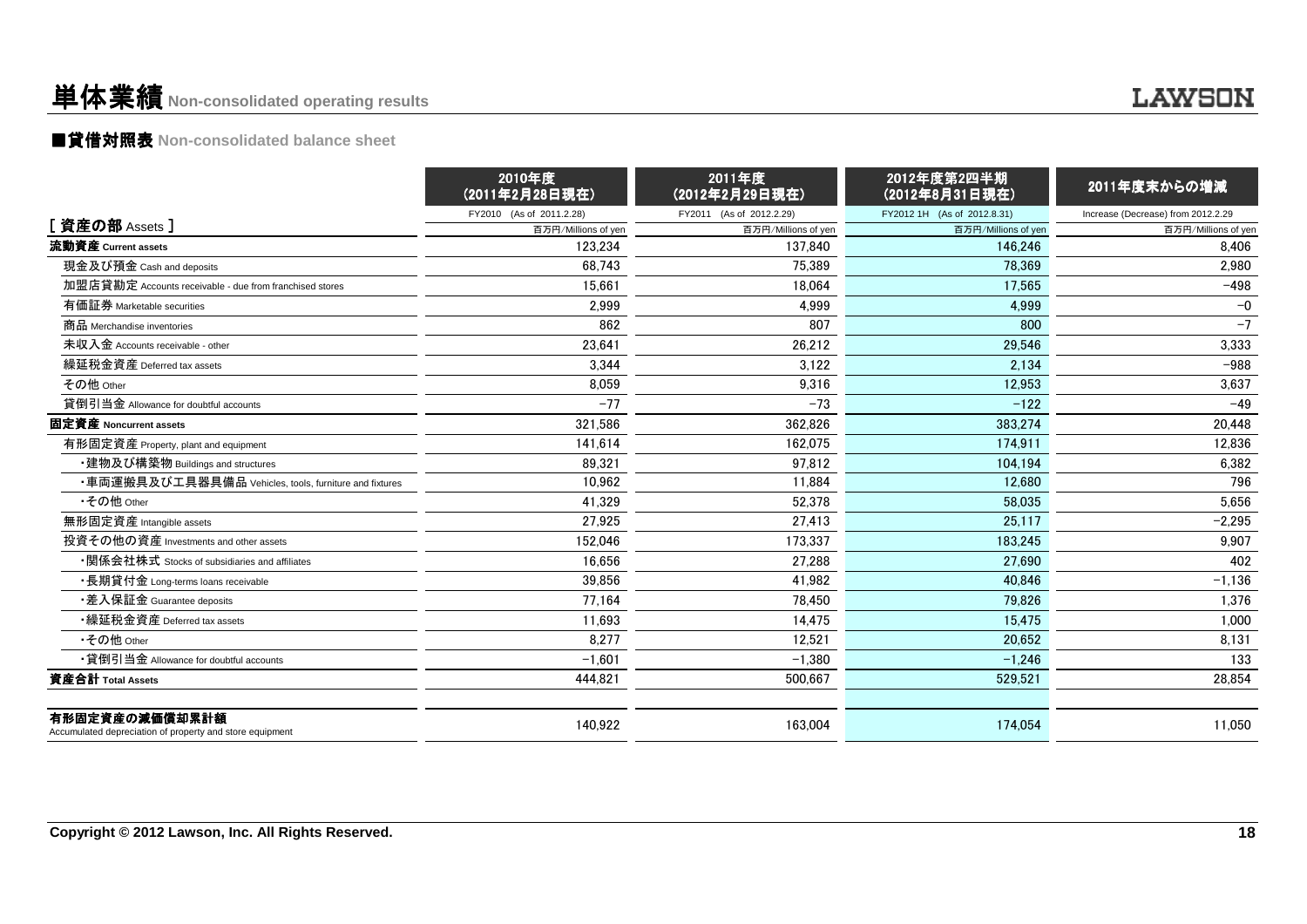### 単体業績**Non-consolidated operating results**

### ■貸借対照表 **Non-consolidated balance sheet**

|                                                                            | 2010年度<br>(2011年2月28日現在) | 2011年度<br>(2012年2月29日現在) | 2012年度第2四半期<br>(2012年8月31日現在) | 2011年度末からの増減                       |
|----------------------------------------------------------------------------|--------------------------|--------------------------|-------------------------------|------------------------------------|
|                                                                            | FY2010 (As of 2011.2.28) | FY2011 (As of 2012.2.29) | FY2012 1H (As of 2012.8.31)   | Increase (Decrease) from 2012.2.29 |
| [ 資産の部 Assets ]                                                            | 百万円/Millions of yen      | 百万円/Millions of yen      | 百万円/Millions of yen           | 百万円/Millions of yen                |
| 流動資産 Current assets                                                        | 123.234                  | 137.840                  | 146.246                       | 8,406                              |
| 現金及び預金 Cash and deposits                                                   | 68.743                   | 75.389                   | 78.369                        | 2,980                              |
| 加盟店貸勘定 Accounts receivable - due from franchised stores                    | 15.661                   | 18.064                   | 17.565                        | $-498$                             |
| 有価証券 Marketable securities                                                 | 2,999                    | 4,999                    | 4,999                         | $-0$                               |
| 商品 Merchandise inventories                                                 | 862                      | 807                      | 800                           | $-7$                               |
| 未収入金 Accounts receivable - other                                           | 23,641                   | 26,212                   | 29,546                        | 3,333                              |
| 繰延税金資産 Deferred tax assets                                                 | 3,344                    | 3,122                    | 2,134                         | $-988$                             |
| その他 Other                                                                  | 8,059                    | 9,316                    | 12,953                        | 3,637                              |
| 貸倒引当金 Allowance for doubtful accounts                                      | $-77$                    | $-73$                    | $-122$                        | $-49$                              |
| 固定資産 Noncurrent assets                                                     | 321.586                  | 362.826                  | 383.274                       | 20.448                             |
| 有形固定資産 Property, plant and equipment                                       | 141.614                  | 162.075                  | 174.911                       | 12.836                             |
| ・建物及び構築物 Buildings and structures                                          | 89,321                   | 97.812                   | 104.194                       | 6,382                              |
| ・車両運搬具及び工具器具備品 Vehicles, tools, furniture and fixtures                     | 10,962                   | 11.884                   | 12.680                        | 796                                |
| •その他 Other                                                                 | 41.329                   | 52.378                   | 58.035                        | 5.656                              |
| 無形固定資産 Intangible assets                                                   | 27,925                   | 27,413                   | 25.117                        | $-2,295$                           |
| 投資その他の資産 Investments and other assets                                      | 152,046                  | 173.337                  | 183.245                       | 9,907                              |
| ・関係会社株式 Stocks of subsidiaries and affiliates                              | 16,656                   | 27,288                   | 27.690                        | 402                                |
| ・長期貸付金 Long-terms loans receivable                                         | 39,856                   | 41,982                   | 40,846                        | $-1,136$                           |
| •差入保証金 Guarantee deposits                                                  | 77,164                   | 78,450                   | 79,826                        | 1,376                              |
| •繰延税金資産 Deferred tax assets                                                | 11,693                   | 14.475                   | 15,475                        | 1.000                              |
| •その他 Other                                                                 | 8.277                    | 12.521                   | 20.652                        | 8,131                              |
| •貸倒引当金 Allowance for doubtful accounts                                     | $-1,601$                 | $-1.380$                 | $-1.246$                      | 133                                |
| 資産合計 Total Assets                                                          | 444,821                  | 500,667                  | 529,521                       | 28,854                             |
| 有形固定資産の減価償却累計額<br>Accumulated depreciation of property and store equipment | 140,922                  | 163.004                  | 174.054                       | 11.050                             |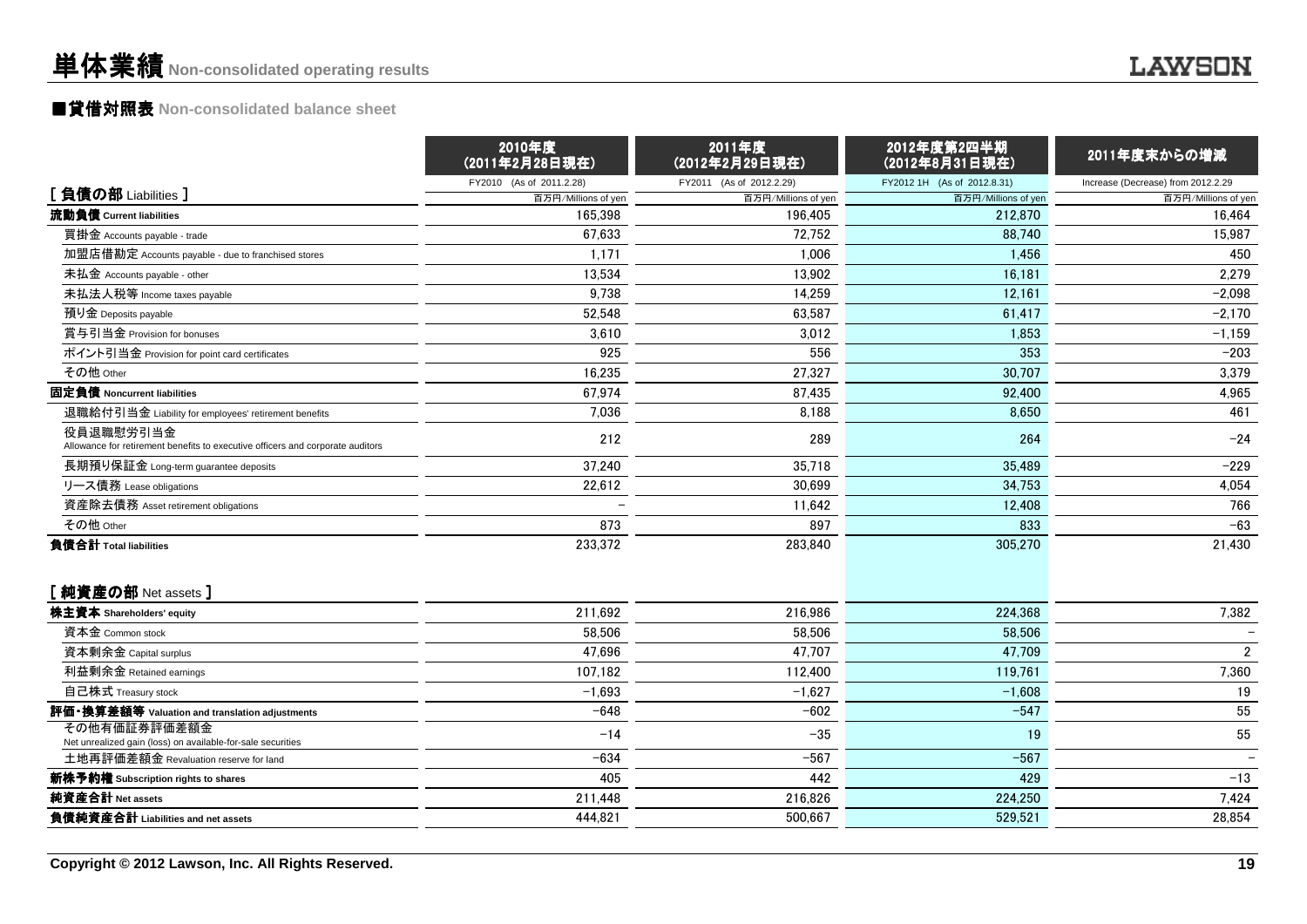# ■貸借対照表 **Non-consolidated balance sheet**

|                                                                                             | 2010年度<br>(2011年2月28日現在)       | 2011年度<br>(2012年2月29日現在)       | 2012年度第2四半期<br>(2012年8月31日現在)  | 2011年度末からの増減                       |
|---------------------------------------------------------------------------------------------|--------------------------------|--------------------------------|--------------------------------|------------------------------------|
| [負債の部 Liabilities ]                                                                         | FY2010 (As of 2011.2.28)       | FY2011 (As of 2012.2.29)       | FY2012 1H (As of 2012.8.31)    | Increase (Decrease) from 2012.2.29 |
| 流動負債 Current liabilities                                                                    | 百万円/Millions of yen<br>165,398 | 百万円/Millions of yen<br>196.405 | 百万円/Millions of yen<br>212,870 | 百万円/Millions of yen<br>16.464      |
| 買掛金 Accounts payable - trade                                                                | 67,633                         | 72,752                         | 88,740                         | 15,987                             |
| 加盟店借勘定 Accounts payable - due to franchised stores                                          | 1,171                          | 1,006                          | 1,456                          | 450                                |
| 未払金 Accounts payable - other                                                                | 13,534                         | 13,902                         | 16,181                         | 2,279                              |
| 未払法人税等 Income taxes payable                                                                 | 9,738                          | 14,259                         | 12,161                         | $-2,098$                           |
| 預り金 Deposits payable                                                                        | 52,548                         | 63,587                         | 61,417                         | $-2,170$                           |
| 賞与引当金 Provision for bonuses                                                                 | 3,610                          | 3,012                          | 1,853                          | $-1,159$                           |
| ポイント引当金 Provision for point card certificates                                               | 925                            | 556                            | 353                            | $-203$                             |
| その他 Other                                                                                   | 16,235                         | 27,327                         | 30,707                         | 3,379                              |
| 固定負債 Noncurrent liabilities                                                                 | 67,974                         | 87,435                         | 92,400                         | 4,965                              |
| 退職給付引当金 Liability for employees' retirement benefits                                        | 7,036                          | 8,188                          | 8,650                          | 461                                |
| 役員退職慰労引当金<br>Allowance for retirement benefits to executive officers and corporate auditors | 212                            | 289                            | 264                            | $-24$                              |
| 長期預り保証金 Long-term guarantee deposits                                                        | 37,240                         | 35,718                         | 35.489                         | $-229$                             |
| リース債務 Lease obligations                                                                     | 22,612                         | 30,699                         | 34,753                         | 4,054                              |
| 資産除去債務 Asset retirement obligations                                                         |                                | 11,642                         | 12,408                         | 766                                |
| その他 Other                                                                                   | 873                            | 897                            | 833                            | $-63$                              |
| 負債合計 Total liabilities                                                                      | 233,372                        | 283.840                        | 305,270                        | 21,430                             |
| [純資産の部 Net assets]                                                                          |                                |                                |                                |                                    |
| 株主資本 Shareholders' equity                                                                   | 211,692                        | 216,986                        | 224,368                        | 7,382                              |
| 資本金 Common stock                                                                            | 58,506                         | 58,506                         | 58,506                         |                                    |
| 資本剰余金 Capital surplus                                                                       | 47,696                         | 47,707                         | 47,709                         | $\overline{2}$                     |
| 利益剰余金 Retained earnings                                                                     | 107,182                        | 112.400                        | 119,761                        | 7,360                              |
| 自己株式 Treasury stock                                                                         | $-1,693$                       | $-1,627$                       | $-1,608$                       | 19                                 |
| 評価・換算差額等 Valuation and translation adjustments                                              | $-648$                         | $-602$                         | $-547$                         | 55                                 |
| その他有価証券評価差額金<br>Net unrealized gain (loss) on available-for-sale securities                 | $-14$                          | $-35$                          | 19                             | 55                                 |
| 土地再評価差額金 Revaluation reserve for land                                                       | $-634$                         | $-567$                         | $-567$                         |                                    |
| 新株予約権 Subscription rights to shares                                                         | 405                            | 442                            | 429                            | $-13$                              |
| 純資産合計 Net assets                                                                            | 211,448                        | 216,826                        | 224,250                        | 7,424                              |
| 負債純資産合計 Liabilities and net assets                                                          | 444,821                        | 500,667                        | 529,521                        | 28,854                             |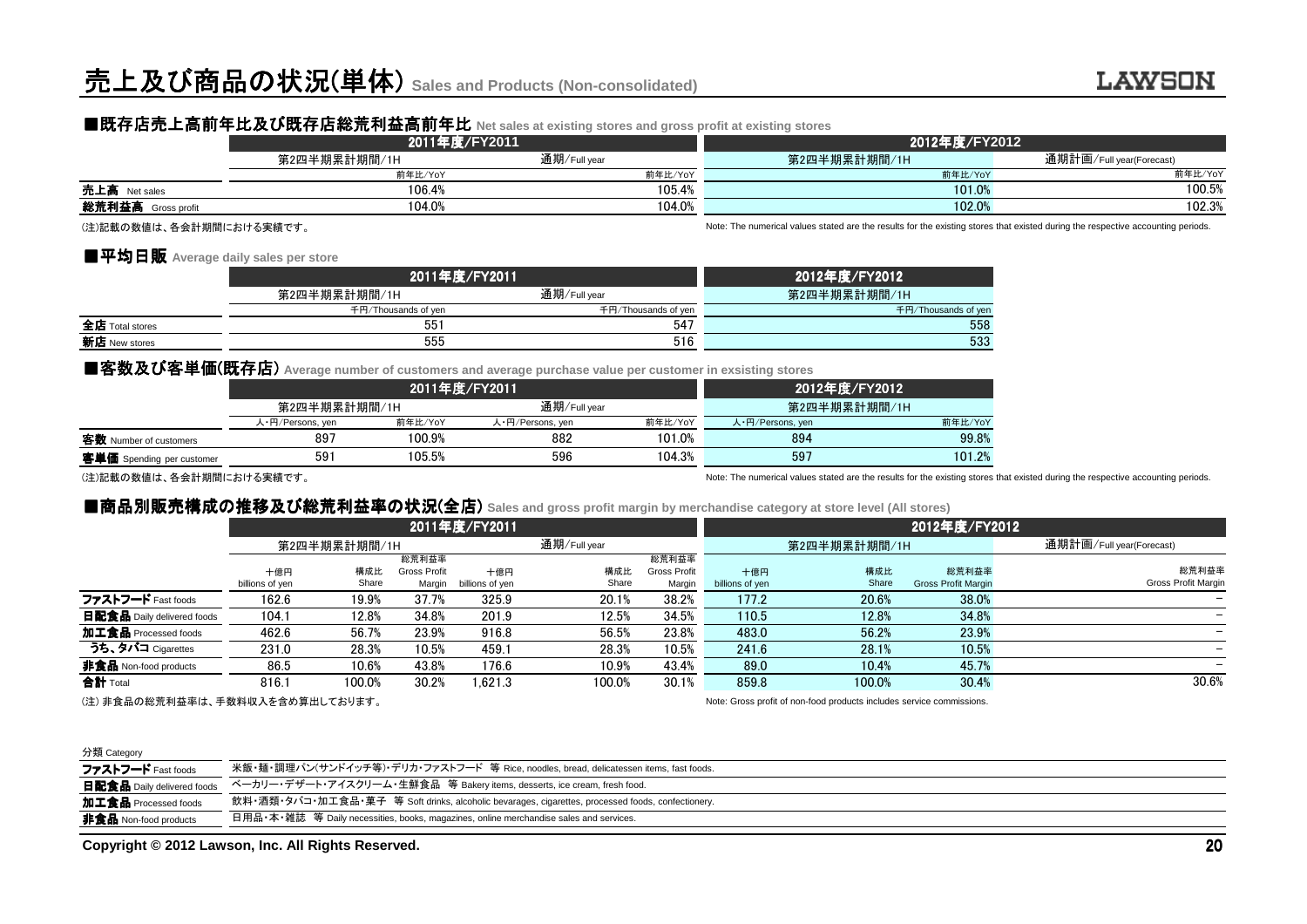### ■既存店売上高前年比及び既存店総荒利益高前年比 Net sales at existing stores and gross profit at existing stores<br>2011年度/EY2011

|                                                                                                                                                                                                                                 | 2011年度/FY2011 |              | 2012年度/FY2012 |                          |  |  |
|---------------------------------------------------------------------------------------------------------------------------------------------------------------------------------------------------------------------------------|---------------|--------------|---------------|--------------------------|--|--|
|                                                                                                                                                                                                                                 | 第2四半期累計期間/1H  | 通期/Full year | 第2四半期累計期間/1H  | 通期計画/Full year(Forecast) |  |  |
|                                                                                                                                                                                                                                 | 前年比/YoY       | 前年比/YoY      | 前年比/YoY       | 前年比/YoY                  |  |  |
| 売上高 Net sales                                                                                                                                                                                                                   | 106.4%        | 105.4%       | 101.0%        | 100.5%                   |  |  |
| 総荒利益高<br>Gross profit                                                                                                                                                                                                           | 104.0%        | 104.0%       | 102.0%        | 102.3%                   |  |  |
| $\cdots$ . The second contract and the contract of the contract of the contract of the contract of the contract of the contract of the contract of the contract of the contract of the contract of the contract of the contract |               |              |               |                          |  |  |

#### ■平均日販 Average daily sales per store<br>□

|                 | 2011年度/FY2011       | 2012年度/FY2012       |                     |
|-----------------|---------------------|---------------------|---------------------|
|                 | 第2四半期累計期間/1H        | 通期/Full year        | 第2四半期累計期間/1H        |
|                 | 千円/Thousands of ven | 千円/Thousands of yen | 千円/Thousands of yen |
| 全店 Total stores | $55^{\circ}$        | 547                 | 558                 |
| 新店 New stores   | 555                 | 516                 | 533                 |

|                                                                                                                                                                                                                                                                                                                                                                                                      |                  | 2011年度/FY2011                | 2012年度/FY2012    |         |                        |         |
|------------------------------------------------------------------------------------------------------------------------------------------------------------------------------------------------------------------------------------------------------------------------------------------------------------------------------------------------------------------------------------------------------|------------------|------------------------------|------------------|---------|------------------------|---------|
|                                                                                                                                                                                                                                                                                                                                                                                                      |                  | 通期/Full year<br>第2四半期累計期間/1H |                  |         | 第2四半期累計期間/1H           |         |
|                                                                                                                                                                                                                                                                                                                                                                                                      | 人·円/Persons, yen | 前年比/YoY                      | 人·円/Persons, yen | 前年比/YoY | 人·円/Persons, yen       | 前年比/YoY |
| 客数 Number of customers                                                                                                                                                                                                                                                                                                                                                                               | 897              | 100.9%                       | 882              | 101.0%  | 894                    | 99.8%   |
| 客単価 Spending per customer                                                                                                                                                                                                                                                                                                                                                                            | 591              | 105.5%                       | 596              | 104.3%  | 597                    | 101.2%  |
| $\left( \frac{1}{2} + \frac{1}{2} + \frac{1}{2} + \frac{1}{2} + \frac{1}{2} + \frac{1}{2} + \frac{1}{2} + \frac{1}{2} + \frac{1}{2} + \frac{1}{2} + \frac{1}{2} + \frac{1}{2} + \frac{1}{2} + \frac{1}{2} + \frac{1}{2} + \frac{1}{2} + \frac{1}{2} + \frac{1}{2} + \frac{1}{2} + \frac{1}{2} + \frac{1}{2} + \frac{1}{2} + \frac{1}{2} + \frac{1}{2} + \frac{1}{2} + \frac{1}{2} + \frac{1}{2} + \$ |                  |                              |                  |         | .<br>$\cdots$ $\cdots$ |         |

### ■商品別販売構成の推移及び総荒利益率の状況(全店) Sales and gross profit margin by merchandise category at store level (All stores)<br>→ 2011年度/EX2011

|                                                                                                             | 2011年度/FY2011           |                 |                     |                 | 2012年度/FY2012           |                     |                  |                                                                  |                            |                                                                                                                                  |
|-------------------------------------------------------------------------------------------------------------|-------------------------|-----------------|---------------------|-----------------|-------------------------|---------------------|------------------|------------------------------------------------------------------|----------------------------|----------------------------------------------------------------------------------------------------------------------------------|
|                                                                                                             | 第2四半期累計期間/1H            |                 |                     |                 | 通期/Full year            |                     |                  | 第2四半期累計期間/1H                                                     |                            | 通期計画/Full year(Forecast)                                                                                                         |
|                                                                                                             |                         |                 | 前年比/YoY             |                 |                         | 前年比/YoY             |                  |                                                                  | 前年比/YoY                    | 前年比/YoY                                                                                                                          |
| 売上高 Net sales                                                                                               |                         |                 | 106.4%              |                 |                         | 105.4%              |                  |                                                                  | 101.0%                     | 100.5%                                                                                                                           |
| 総荒利益高 Gross profit                                                                                          |                         |                 | 104.0%              |                 |                         | 104.0%              |                  |                                                                  | 102.0%                     | 102.3%                                                                                                                           |
| (注)記載の数値は、各会計期間における実績です。                                                                                    |                         |                 |                     |                 |                         |                     |                  |                                                                  |                            | Note: The numerical values stated are the results for the existing stores that existed during the respective accounting periods. |
| ■平均日販 Average daily sales per store                                                                         |                         |                 |                     |                 |                         |                     |                  |                                                                  |                            |                                                                                                                                  |
|                                                                                                             |                         |                 |                     | 2011年度/FY2011   |                         |                     |                  | 2012年度/FY2012                                                    |                            |                                                                                                                                  |
|                                                                                                             | 第2四半期累計期間/1H            |                 |                     |                 | 通期/Full vear            |                     |                  | 第2四半期累計期間/1H                                                     |                            |                                                                                                                                  |
|                                                                                                             |                         |                 | 千円/Thousands of yen |                 |                         | 千円/Thousands of yen |                  |                                                                  | 千円/Thousands of yen        |                                                                                                                                  |
| 全店 Total stores                                                                                             |                         |                 | 551                 |                 |                         | 547                 |                  |                                                                  | 558                        |                                                                                                                                  |
| 新店 New stores                                                                                               |                         |                 | 555                 |                 |                         | 516                 |                  |                                                                  | 533                        |                                                                                                                                  |
| ■客数及び客単価(既存店) Average number of customers and average purchase value per customer in exsisting stores       |                         |                 |                     |                 |                         |                     |                  |                                                                  |                            |                                                                                                                                  |
|                                                                                                             |                         |                 |                     |                 |                         |                     |                  |                                                                  |                            |                                                                                                                                  |
|                                                                                                             |                         |                 |                     | 2011年度/FY2011   |                         |                     |                  | 2012年度/FY2012                                                    |                            |                                                                                                                                  |
|                                                                                                             | 第2四半期累計期間/1H            |                 | 前年比/YoY             |                 | 通期/Full year            | 前年比/YoY             |                  | 第2四半期累計期間/1H                                                     | 前年比/YoY                    |                                                                                                                                  |
| 客数 Number of customers                                                                                      | 人·円/Persons, yen<br>897 |                 | 100.9%              |                 | 人·円/Persons, yen<br>882 | 101.0%              | 人·円/Persons, yen | 894                                                              | 99.8%                      |                                                                                                                                  |
|                                                                                                             | 591                     |                 | 105.5%              |                 | 596                     | 104.3%              |                  | 597                                                              |                            |                                                                                                                                  |
| 客単価 Spending per customer                                                                                   |                         |                 |                     |                 |                         |                     |                  |                                                                  | 101.2%                     |                                                                                                                                  |
| (注)記載の数値は、各会計期間における実績です。                                                                                    |                         |                 |                     |                 |                         |                     |                  |                                                                  |                            | Note: The numerical values stated are the results for the existing stores that existed during the respective accounting periods. |
| ■商品別販売構成の推移及び総荒利益率の状況(全店) Sales and gross profit margin by merchandise category at store level (All stores) |                         |                 |                     |                 |                         |                     |                  |                                                                  |                            |                                                                                                                                  |
|                                                                                                             |                         |                 |                     | 2011年度/FY2011   |                         |                     |                  |                                                                  | 2012年度/FY2012              |                                                                                                                                  |
|                                                                                                             | 第2四半期累計期間/1H            |                 |                     |                 | 通期/Full year            |                     |                  | 第2四半期累計期間/1H                                                     |                            | 通期計画/Full year(Forecast)                                                                                                         |
|                                                                                                             |                         |                 | 総荒利益率               |                 |                         | 総荒利益率               |                  |                                                                  |                            |                                                                                                                                  |
|                                                                                                             | 十億円                     | 構成比             | <b>Gross Profit</b> | 十億円             | 構成比                     | <b>Gross Profit</b> | 十億円              | 構成比                                                              | 総荒利益率                      | 総荒利益率                                                                                                                            |
|                                                                                                             | billions of yen         | Share           | Margin              | billions of yen | Share                   | Margin              | billions of yen  | Share                                                            | <b>Gross Profit Margir</b> | Gross Profit Margin                                                                                                              |
| ファストフード Fast foods                                                                                          | 162.6                   | 19.9%           | 37.7%               | 325.9           | 20.1%                   | 38.2%               | 177.2            | 20.6%                                                            | 38.0%                      |                                                                                                                                  |
| 日配食品 Daily delivered foods                                                                                  | 104.1                   | 12.8%           | 34.8%               | 201.9           | 12.5%                   | 34.5%               | 110.5            | 12.8%                                                            | 34.8%                      |                                                                                                                                  |
| 加工食品 Processed foods<br>うち、タバコ Cigarettes                                                                   | 462.6                   | 56.7%           | 23.9%               | 916.8           | 56.5%                   | 23.8%               | 483.0            | 56.2%                                                            | 23.9%                      |                                                                                                                                  |
|                                                                                                             | 231.0                   | 28.3%           | 10.5%               | 459.1           | 28.3%                   | 10.5%               | 241.6            | 28.1%                                                            | 10.5%                      |                                                                                                                                  |
| 非食品 Non-food products                                                                                       | 86.5<br>816.1           | 10.6%<br>100.0% | 43.8%               | 176.6           | 10.9%                   | 43.4%               | 89.0<br>859.8    | 10.4%<br>100.0%                                                  | 45.7%                      | 30.6%                                                                                                                            |
| 合計 Total<br><u>◇ ት 내수 미 ◇ 씨 풀 돼 # ま # - 로 # + 써 빠 ㅋ + 스 ن # # !!! _ _ + + !! + + +</u>                      |                         |                 | 30.2%               | 1.621.3         | 100.0%                  | 30.1%               |                  | Nister Opene world of way found would deal fundation and deal as | 30.4%                      |                                                                                                                                  |
|                                                                                                             |                         |                 |                     |                 |                         |                     |                  |                                                                  |                            |                                                                                                                                  |

(注) 非食品の総荒利益率は、手数料収入を含め算出しております。

Note: Gross profit of non-food products includes service commissions.

#### 分類 Category

| ファストフード Fast foods                | 米飯・麺・調理パン(サンドイッチ等)・デリカ・ファストフード 等 Rice, noodles, bread, delicatessen items, fast foods.            |
|-----------------------------------|---------------------------------------------------------------------------------------------------|
| <b>日配食品</b> Daily delivered foods | ベーカリー・デザート・アイスクリーム・生鮮食品 等 Bakery items, desserts, ice cream, fresh food.                          |
| 加工食品 Processed foods              | 飲料・酒類・タバコ・加工食品・菓子 等 Soft drinks, alcoholic bevarages, cigarettes, processed foods, confectionery. |
| <b>非食品</b> Non-food products      | 日用品・本・雑誌 等 Daily necessities, books, magazines, online merchandise sales and services.            |
|                                   |                                                                                                   |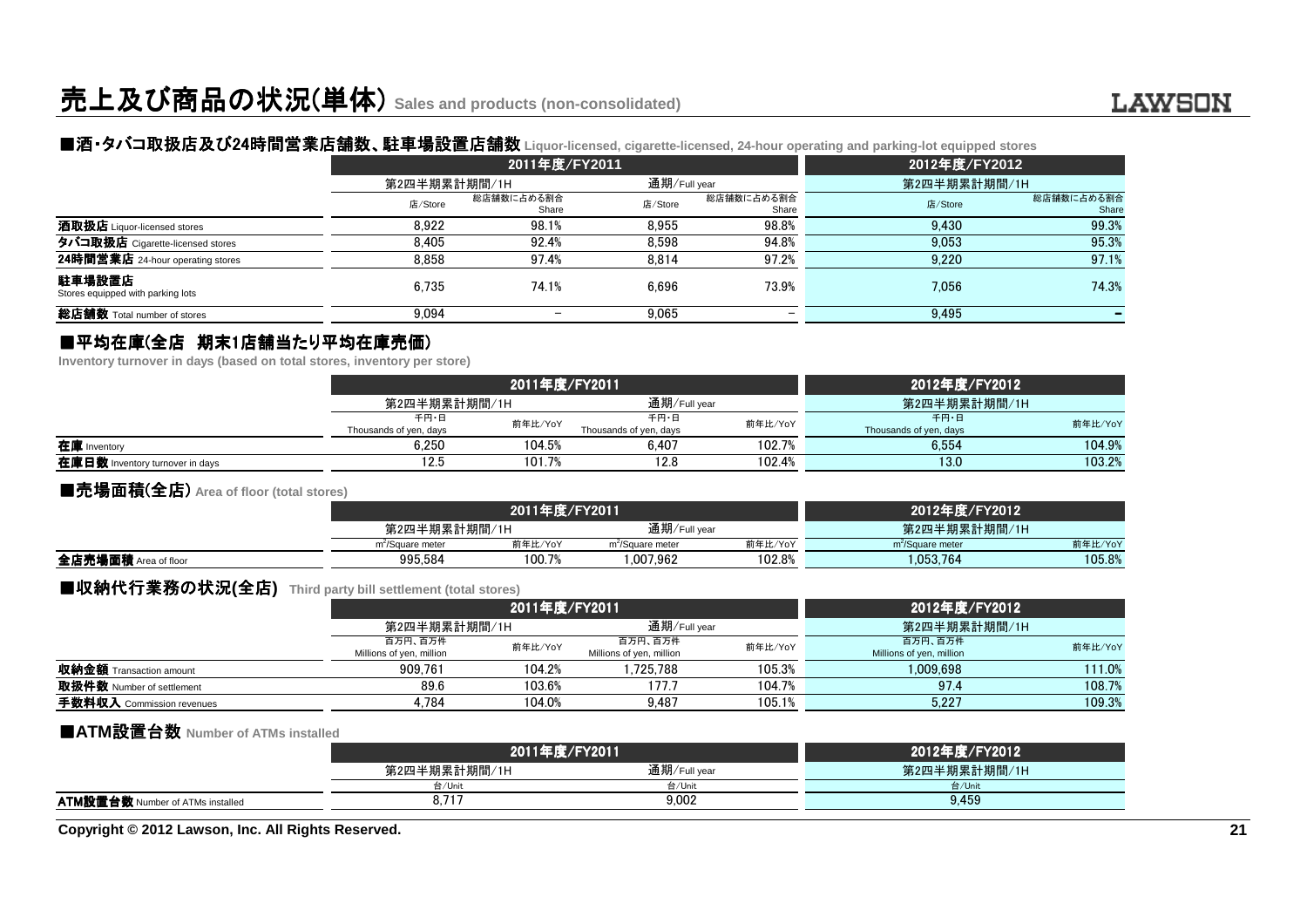## ■酒・タバコ取扱店及び24時間営業店舗数 時間営業店舗数、駐車場設置店舗数 、駐車場設置店舗数 **Liquor-licensed, cigarette-licensed, 24-hour operating and parking-lot equipped stores**

|                                             |              | 2011年度/FY2011            |              |                     | 2012年度/FY2012 |                     |  |
|---------------------------------------------|--------------|--------------------------|--------------|---------------------|---------------|---------------------|--|
|                                             | 第2四半期累計期間/1H |                          | 通期/Full year |                     | 第2四半期累計期間/1H  |                     |  |
|                                             | 店/Store      | 総店舗数に占める割合<br>Share      | 店/Store      | 総店舗数に占める割合<br>Share | 店/Store       | 総店舗数に占める割合<br>Share |  |
| 酒取扱店 Liquor-licensed stores                 | 8.922        | 98.1%                    | 8.955        | 98.8%               | 9.430         | 99.3%               |  |
| タバコ取扱店 Cigarette-licensed stores            | 8.405        | 92.4%                    | 8.598        | 94.8%               | 9.053         | 95.3%               |  |
| 24時間営業店 24-hour operating stores            | 8.858        | 97.4%                    | 8.814        | 97.2%               | 9.220         | 97.1%               |  |
| 駐車場設置店<br>Stores equipped with parking lots | 6.735        | 74.1%                    | 6.696        | 73.9%               | 7.056         | 74.3%               |  |
| 総店舗数 Total number of stores                 | 9,094        | $\overline{\phantom{0}}$ | 9,065        |                     | 9,495         |                     |  |

# ■平均在庫(全店 期末1店舗当たり平均在庫売価)<br>Inventory turnover in davs (based on total stores, inventory per

**Inventory turnover in days (based on total stores, inventory per store)**

|                                 |                                | 2011年度/FY2011 |                                | 2012年度/FY2012 |                                |         |
|---------------------------------|--------------------------------|---------------|--------------------------------|---------------|--------------------------------|---------|
|                                 | 第2四半期累計期間/1H                   |               | 通期/Full year                   |               | 第2四半期累計期間/1H                   |         |
|                                 | 千円・日<br>Thousands of yen, days | 前年比/YoY       | 千円・日<br>Thousands of yen, days | 前年比/YoY       | 千円・日<br>Thousands of yen, days | 前年比/YoY |
| 在庫 Inventory                    | 6.250                          | 104.5%        | 6.407                          | 102.7%        | 6,554                          | 104.9%  |
| 在庫日数 Inventory turnover in days | 12.5                           | 101.7%        | 12.8                           | 102.4%        | 13.0                           | 103.2%  |

#### ■売場面積(全店) **Area of floor (total stores)**

|                      |                              | 2011年度/FY2011 | 2012年度/FY2012                |              |                              |         |
|----------------------|------------------------------|---------------|------------------------------|--------------|------------------------------|---------|
|                      |                              | 第2四半期累計期間/1H  |                              | 通期/Full year | 第2四半期累計期間/1H                 |         |
|                      | m <sup>-</sup> /Square meter | 前年比/YoY       | m <sup>-</sup> /Square meter | 前年比/YoY      | m <sup>-</sup> /Square meter | 前年比/YoY |
| 全店売場面積 Area of floor | 995.584                      | 100.7%        | 007.962                      | 102.8%       | .053.764                     | 105.8%  |
|                      |                              |               |                              |              |                              |         |

### ■収納代行業務の状況(全店) Third party bill settlement (total stores)<br>*?*

|                                |                                     | 2011年度/FY2011 | 2012年度/FY2012                       |         |                                     |         |
|--------------------------------|-------------------------------------|---------------|-------------------------------------|---------|-------------------------------------|---------|
|                                | 第2四半期累計期間/1H                        |               | 通期/Full vear                        |         | 第2四半期累計期間/1H                        |         |
|                                | 百万円、百万件<br>Millions of yen, million | 前年比/YoY       | 百万円、百万件<br>Millions of yen, million | 前年比/YoY | 百万円、百万件<br>Millions of yen, million | 前年比/YoY |
| <b>収納金額</b> Transaction amount | 909.761                             | 104.2%        | .725.788                            | 105.3%  | 1.009.698                           | 111.0%  |
| 取扱件数 Number of settlement      | 89.6                                | 103.6%        | 177.7                               | 104.7%  | 97.4                                | 108.7%  |
| 手数料収入 Commission revenues      | 4.784                               | 104.0%        | 9.487                               | 105.1%  | 5.227                               | 109.3%  |

### ■**ATM**設置台数 **Number of ATMs installed**

|                                         | 【2011年度/FY2011】 |              | 2012年度/FY2012 |  |
|-----------------------------------------|-----------------|--------------|---------------|--|
|                                         | 第2四半期累計期間/1H    | 通期/Full year | 第2四半期累計期間/1H  |  |
|                                         | 台/Unit          | 台/Unit       | 台/Unit        |  |
| <b>ATM設置台数</b> Number of ATMs installed | o<br>0.11       | 9.002        | 9.459         |  |
|                                         |                 |              |               |  |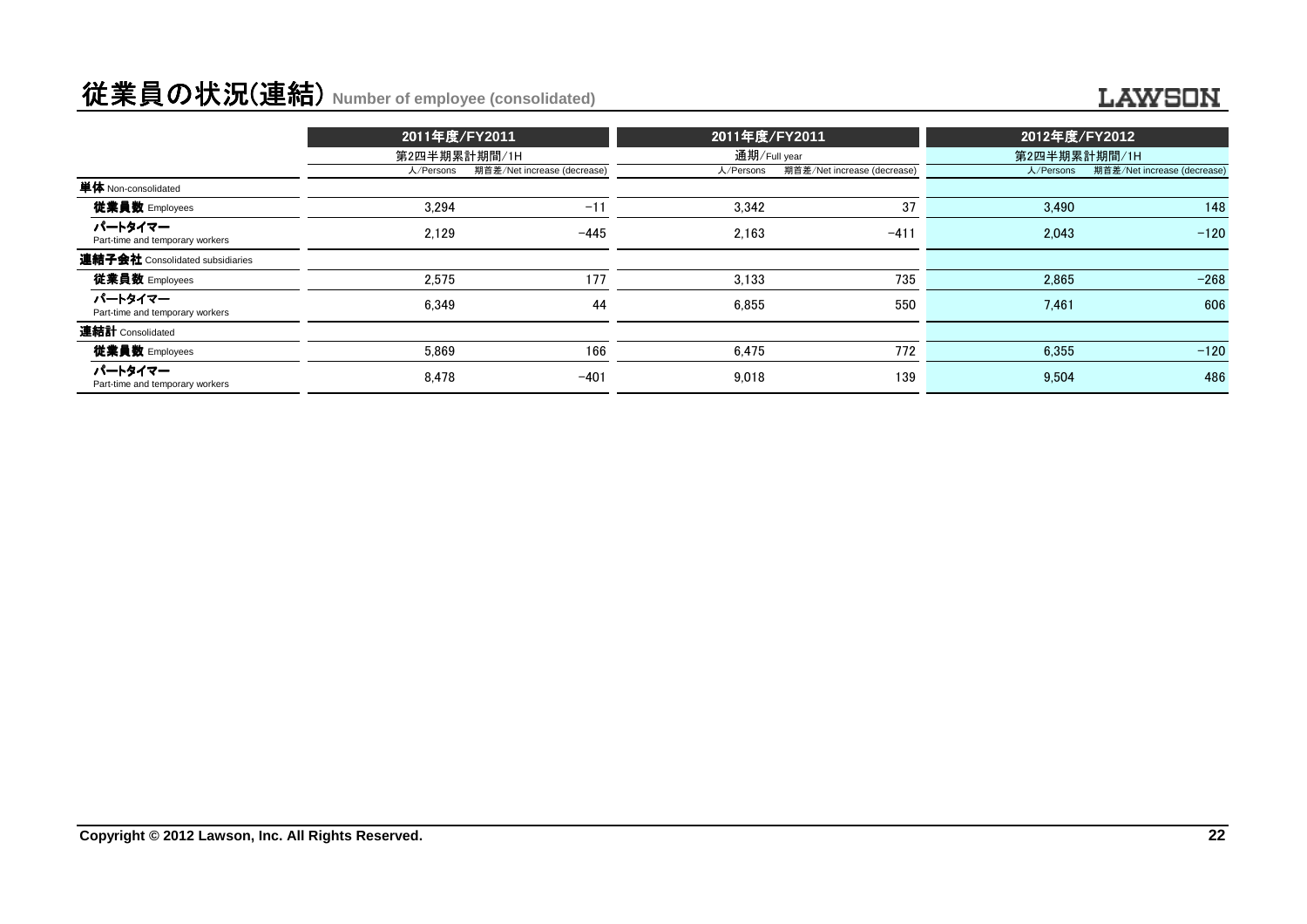# 従業員の状況(連結) **Number of employee (consolidated)**

#### **LAWSON**

|                                            | 2011年度/FY2011 |                             | 2011年度/FY2011 |                             | 2012年度/FY2012 |                             |
|--------------------------------------------|---------------|-----------------------------|---------------|-----------------------------|---------------|-----------------------------|
|                                            | 第2四半期累計期間/1H  |                             | 通期/Full year  |                             | 第2四半期累計期間/1H  |                             |
|                                            | 人/Persons     | 期首差/Net increase (decrease) | 人/Persons     | 期首差/Net increase (decrease) | 人/Persons     | 期首差/Net increase (decrease) |
| 単体 Non-consolidated                        |               |                             |               |                             |               |                             |
| 従業員数 Employees                             | 3.294         | $-11$                       | 3.342         | 37                          | 3.490         | 148                         |
| パートタイマー<br>Part-time and temporary workers | 2.129         | $-445$                      | 2.163         | $-411$                      | 2.043         | $-120$                      |
| 連結子会社 Consolidated subsidiaries            |               |                             |               |                             |               |                             |
| 従業員数 Employees                             | 2.575         | 177                         | 3.133         | 735                         | 2,865         | $-268$                      |
| パートタイマー<br>Part-time and temporary workers | 6.349         | 44                          | 6.855         | 550                         | 7.461         | 606                         |
| 連結計 Consolidated                           |               |                             |               |                             |               |                             |
| 従業員数 Employees                             | 5.869         | 166                         | 6.475         | 772                         | 6.355         | $-120$                      |
| パートタイマー<br>Part-time and temporary workers | 8.478         | $-401$                      | 9.018         | 139                         | 9.504         | 486                         |